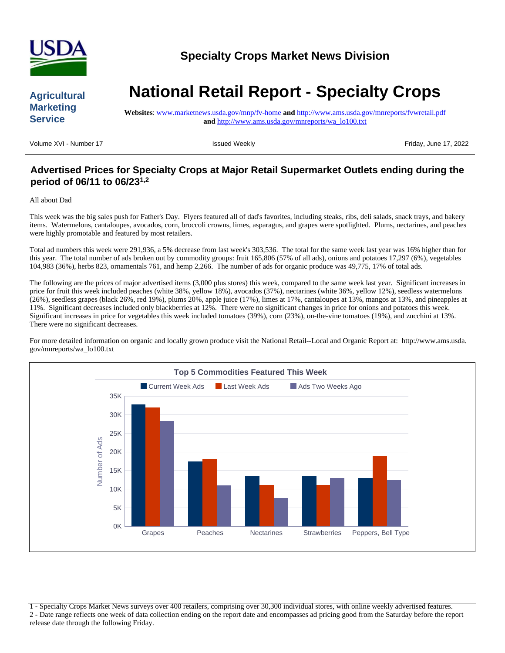

# **Agricultural Marketing Service**

# **National Retail Report - Specialty Crops**

**Websites**: www.marketnews.usda.gov/mnp/fv-home **and** http://www.ams.usda.gov/mnreports/fvwretail.pdf **and** http://www.ams.usda.gov/mnreports/wa\_lo100.txt

Volume XVI - Number 17 **Issued Weekly Friday, June 17, 2022** 

# **Advertised Prices for Specialty Crops at Major Retail Supermarket Outlets ending during the period of 06/11 to 06/231,2**

#### All about Dad

This week was the big sales push for Father's Day. Flyers featured all of dad's favorites, including steaks, ribs, deli salads, snack trays, and bakery items. Watermelons, cantaloupes, avocados, corn, broccoli crowns, limes, asparagus, and grapes were spotlighted. Plums, nectarines, and peaches were highly promotable and featured by most retailers.

Total ad numbers this week were 291,936, a 5% decrease from last week's 303,536. The total for the same week last year was 16% higher than for this year. The total number of ads broken out by commodity groups: fruit 165,806 (57% of all ads), onions and potatoes 17,297 (6%), vegetables 104,983 (36%), herbs 823, ornamentals 761, and hemp 2,266. The number of ads for organic produce was 49,775, 17% of total ads.

The following are the prices of major advertised items (3,000 plus stores) this week, compared to the same week last year. Significant increases in price for fruit this week included peaches (white 38%, yellow 18%), avocados (37%), nectarines (white 36%, yellow 12%), seedless watermelons (26%), seedless grapes (black 26%, red 19%), plums 20%, apple juice (17%), limes at 17%, cantaloupes at 13%, mangos at 13%, and pineapples at 11%. Significant decreases included only blackberries at 12%. There were no significant changes in price for onions and potatoes this week. Significant increases in price for vegetables this week included tomatoes (39%), corn (23%), on-the-vine tomatoes (19%), and zucchini at 13%. There were no significant decreases.

For more detailed information on organic and locally grown produce visit the National Retail--Local and Organic Report at: http://www.ams.usda. gov/mnreports/wa\_lo100.txt



1 - Specialty Crops Market News surveys over 400 retailers, comprising over 30,300 individual stores, with online weekly advertised features. 2 - Date range reflects one week of data collection ending on the report date and encompasses ad pricing good from the Saturday before the report release date through the following Friday.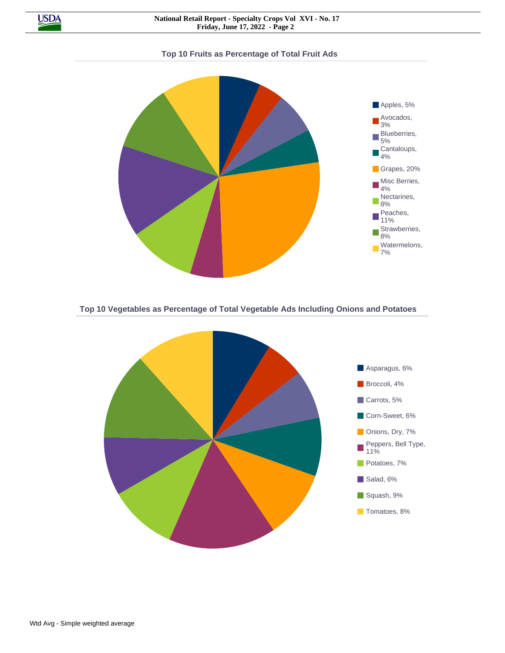

#### **Top 10 Fruits as Percentage of Total Fruit Ads**



**Top 10 Vegetables as Percentage of Total Vegetable Ads Including Onions and Potatoes**

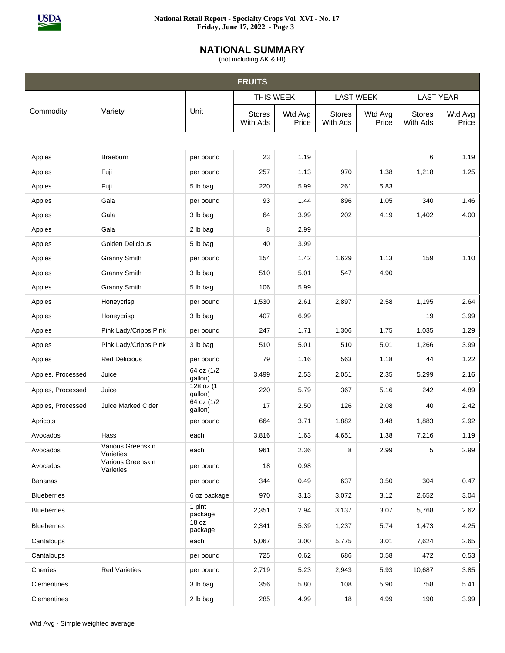

**NATIONAL SUMMARY**

(not including AK & HI)

|                    |                                |                       | <b>FRUITS</b>             |                  |                           |                  |                           |                  |
|--------------------|--------------------------------|-----------------------|---------------------------|------------------|---------------------------|------------------|---------------------------|------------------|
|                    |                                |                       | THIS WEEK                 |                  |                           | <b>LAST WEEK</b> |                           | <b>LAST YEAR</b> |
| Commodity          | Variety                        | Unit                  | <b>Stores</b><br>With Ads | Wtd Avg<br>Price | <b>Stores</b><br>With Ads | Wtd Avg<br>Price | <b>Stores</b><br>With Ads | Wtd Avg<br>Price |
|                    |                                |                       |                           |                  |                           |                  |                           |                  |
| Apples             | <b>Braeburn</b>                | per pound             | 23                        | 1.19             |                           |                  | 6                         | 1.19             |
| Apples             | Fuji                           | per pound             | 257                       | 1.13             | 970                       | 1.38             | 1,218                     | 1.25             |
| Apples             | Fuji                           | 5 lb bag              | 220                       | 5.99             | 261                       | 5.83             |                           |                  |
| Apples             | Gala                           | per pound             | 93                        | 1.44             | 896                       | 1.05             | 340                       | 1.46             |
| Apples             | Gala                           | 3 lb bag              | 64                        | 3.99             | 202                       | 4.19             | 1,402                     | 4.00             |
| Apples             | Gala                           | 2 lb bag              | 8                         | 2.99             |                           |                  |                           |                  |
| Apples             | Golden Delicious               | 5 lb bag              | 40                        | 3.99             |                           |                  |                           |                  |
| Apples             | <b>Granny Smith</b>            | per pound             | 154                       | 1.42             | 1,629                     | 1.13             | 159                       | 1.10             |
| Apples             | <b>Granny Smith</b>            | 3 lb bag              | 510                       | 5.01             | 547                       | 4.90             |                           |                  |
| Apples             | <b>Granny Smith</b>            | 5 lb bag              | 106                       | 5.99             |                           |                  |                           |                  |
| Apples             | Honeycrisp                     | per pound             | 1,530                     | 2.61             | 2,897                     | 2.58             | 1,195                     | 2.64             |
| Apples             | Honeycrisp                     | 3 lb bag              | 407                       | 6.99             |                           |                  | 19                        | 3.99             |
| Apples             | Pink Lady/Cripps Pink          | per pound             | 247                       | 1.71             | 1,306                     | 1.75             | 1,035                     | 1.29             |
| Apples             | Pink Lady/Cripps Pink          | 3 lb bag              | 510                       | 5.01             | 510                       | 5.01             | 1,266                     | 3.99             |
| Apples             | <b>Red Delicious</b>           | per pound             | 79                        | 1.16             | 563                       | 1.18             | 44                        | 1.22             |
| Apples, Processed  | Juice                          | 64 oz (1/2<br>gallon) | 3,499                     | 2.53             | 2,051                     | 2.35             | 5,299                     | 2.16             |
| Apples, Processed  | Juice                          | 128 oz (1<br>gallon)  | 220                       | 5.79             | 367                       | 5.16             | 242                       | 4.89             |
| Apples, Processed  | Juice Marked Cider             | 64 oz (1/2<br>gallon) | 17                        | 2.50             | 126                       | 2.08             | 40                        | 2.42             |
| Apricots           |                                | per pound             | 664                       | 3.71             | 1,882                     | 3.48             | 1,883                     | 2.92             |
| Avocados           | Hass                           | each                  | 3,816                     | 1.63             | 4,651                     | 1.38             | 7,216                     | 1.19             |
| Avocados           | Various Greenskin<br>Varieties | each                  | 961                       | 2.36             | 8                         | 2.99             | 5                         | 2.99             |
| Avocados           | Various Greenskin<br>Varieties | per pound             | 18                        | 0.98             |                           |                  |                           |                  |
| <b>Bananas</b>     |                                | per pound             | 344                       | 0.49             | 637                       | 0.50             | 304                       | 0.47             |
| <b>Blueberries</b> |                                | 6 oz package          | 970                       | 3.13             | 3,072                     | 3.12             | 2,652                     | 3.04             |
| <b>Blueberries</b> |                                | 1 pint<br>package     | 2,351                     | 2.94             | 3,137                     | 3.07             | 5,768                     | 2.62             |
| <b>Blueberries</b> |                                | 18 oz<br>package      | 2,341                     | 5.39             | 1,237                     | 5.74             | 1,473                     | 4.25             |
| Cantaloups         |                                | each                  | 5,067                     | 3.00             | 5,775                     | 3.01             | 7,624                     | 2.65             |
| Cantaloups         |                                | per pound             | 725                       | 0.62             | 686                       | 0.58             | 472                       | 0.53             |
| Cherries           | <b>Red Varieties</b>           | per pound             | 2,719                     | 5.23             | 2,943                     | 5.93             | 10,687                    | 3.85             |
| <b>Clementines</b> |                                | 3 lb bag              | 356                       | 5.80             | 108                       | 5.90             | 758                       | 5.41             |
| Clementines        |                                | 2 lb bag              | 285                       | 4.99             | 18                        | 4.99             | 190                       | 3.99             |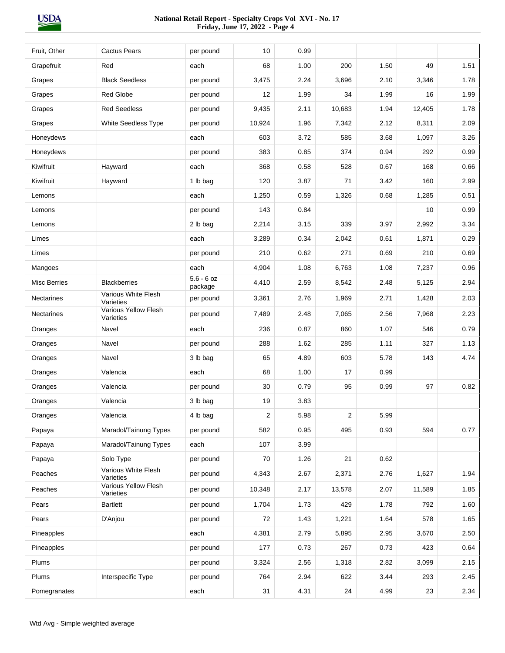| Fruit, Other        | Cactus Pears                      | per pound               | 10             | 0.99 |                |      |        |      |
|---------------------|-----------------------------------|-------------------------|----------------|------|----------------|------|--------|------|
| Grapefruit          | Red                               | each                    | 68             | 1.00 | 200            | 1.50 | 49     | 1.51 |
| Grapes              | <b>Black Seedless</b>             | per pound               | 3,475          | 2.24 | 3,696          | 2.10 | 3,346  | 1.78 |
| Grapes              | Red Globe                         | per pound               | 12             | 1.99 | 34             | 1.99 | 16     | 1.99 |
| Grapes              | <b>Red Seedless</b>               | per pound               | 9,435          | 2.11 | 10,683         | 1.94 | 12,405 | 1.78 |
| Grapes              | <b>White Seedless Type</b>        | per pound               | 10,924         | 1.96 | 7,342          | 2.12 | 8,311  | 2.09 |
| Honeydews           |                                   | each                    | 603            | 3.72 | 585            | 3.68 | 1,097  | 3.26 |
| Honeydews           |                                   | per pound               | 383            | 0.85 | 374            | 0.94 | 292    | 0.99 |
| Kiwifruit           | Hayward                           | each                    | 368            | 0.58 | 528            | 0.67 | 168    | 0.66 |
| Kiwifruit           | Hayward                           | 1 lb bag                | 120            | 3.87 | 71             | 3.42 | 160    | 2.99 |
| Lemons              |                                   | each                    | 1,250          | 0.59 | 1,326          | 0.68 | 1,285  | 0.51 |
| Lemons              |                                   | per pound               | 143            | 0.84 |                |      | 10     | 0.99 |
| Lemons              |                                   | 2 lb bag                | 2,214          | 3.15 | 339            | 3.97 | 2,992  | 3.34 |
| Limes               |                                   | each                    | 3,289          | 0.34 | 2,042          | 0.61 | 1,871  | 0.29 |
| Limes               |                                   | per pound               | 210            | 0.62 | 271            | 0.69 | 210    | 0.69 |
| Mangoes             |                                   | each                    | 4,904          | 1.08 | 6,763          | 1.08 | 7,237  | 0.96 |
| <b>Misc Berries</b> | <b>Blackberries</b>               | $5.6 - 6$ oz<br>package | 4,410          | 2.59 | 8,542          | 2.48 | 5,125  | 2.94 |
| <b>Nectarines</b>   | Various White Flesh<br>Varieties  | per pound               | 3,361          | 2.76 | 1,969          | 2.71 | 1,428  | 2.03 |
| Nectarines          | Various Yellow Flesh<br>Varieties | per pound               | 7,489          | 2.48 | 7,065          | 2.56 | 7,968  | 2.23 |
| Oranges             | Navel                             | each                    | 236            | 0.87 | 860            | 1.07 | 546    | 0.79 |
| Oranges             | Navel                             | per pound               | 288            | 1.62 | 285            | 1.11 | 327    | 1.13 |
| Oranges             | Navel                             | 3 lb bag                | 65             | 4.89 | 603            | 5.78 | 143    | 4.74 |
| Oranges             | Valencia                          | each                    | 68             | 1.00 | 17             | 0.99 |        |      |
| Oranges             | Valencia                          | per pound               | 30             | 0.79 | 95             | 0.99 | 97     | 0.82 |
| Oranges             | Valencia                          | 3 lb bag                | 19             | 3.83 |                |      |        |      |
| Oranges             | Valencia                          | 4 lb bag                | $\overline{c}$ | 5.98 | $\overline{2}$ | 5.99 |        |      |
| Papaya              | Maradol/Tainung Types             | per pound               | 582            | 0.95 | 495            | 0.93 | 594    | 0.77 |
| Papaya              | Maradol/Tainung Types             | each                    | 107            | 3.99 |                |      |        |      |
| Papaya              | Solo Type                         | per pound               | 70             | 1.26 | 21             | 0.62 |        |      |
| Peaches             | Various White Flesh<br>Varieties  | per pound               | 4,343          | 2.67 | 2,371          | 2.76 | 1,627  | 1.94 |
| Peaches             | Various Yellow Flesh<br>Varieties | per pound               | 10,348         | 2.17 | 13,578         | 2.07 | 11,589 | 1.85 |
| Pears               | Bartlett                          | per pound               | 1,704          | 1.73 | 429            | 1.78 | 792    | 1.60 |
| Pears               | D'Anjou                           | per pound               | 72             | 1.43 | 1,221          | 1.64 | 578    | 1.65 |
| Pineapples          |                                   | each                    | 4,381          | 2.79 | 5,895          | 2.95 | 3,670  | 2.50 |
| Pineapples          |                                   | per pound               | 177            | 0.73 | 267            | 0.73 | 423    | 0.64 |
| Plums               |                                   | per pound               | 3,324          | 2.56 | 1,318          | 2.82 | 3,099  | 2.15 |
| Plums               | Interspecific Type                | per pound               | 764            | 2.94 | 622            | 3.44 | 293    | 2.45 |
| Pomegranates        |                                   | each                    | 31             | 4.31 | 24             | 4.99 | 23     | 2.34 |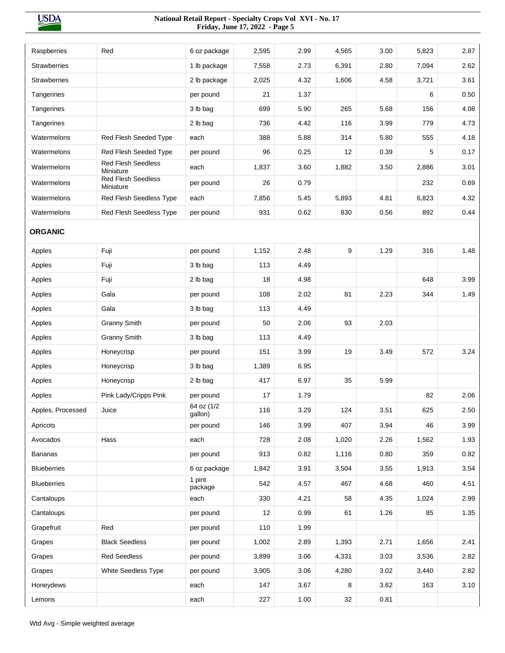| Raspberries         | Red                                    | 6 oz package          | 2,595 | 2.99 | 4,565 | 3.00 | 5,823 | 2.87 |
|---------------------|----------------------------------------|-----------------------|-------|------|-------|------|-------|------|
| <b>Strawberries</b> |                                        | 1 lb package          | 7,558 | 2.73 | 6,391 | 2.80 | 7,094 | 2.62 |
| <b>Strawberries</b> |                                        | 2 lb package          | 2,025 | 4.32 | 1,606 | 4.58 | 3,721 | 3.61 |
| Tangerines          |                                        | per pound             | 21    | 1.37 |       |      | 6     | 0.50 |
| Tangerines          |                                        | 3 lb bag              | 699   | 5.90 | 265   | 5.68 | 156   | 4.08 |
| Tangerines          |                                        | 2 lb bag              | 736   | 4.42 | 116   | 3.99 | 779   | 4.73 |
| Watermelons         | <b>Red Flesh Seeded Type</b>           | each                  | 388   | 5.88 | 314   | 5.80 | 555   | 4.18 |
| Watermelons         | Red Flesh Seeded Type                  | per pound             | 96    | 0.25 | 12    | 0.39 | 5     | 0.17 |
| Watermelons         | <b>Red Flesh Seedless</b><br>Miniature | each                  | 1,837 | 3.60 | 1,882 | 3.50 | 2,886 | 3.01 |
| Watermelons         | <b>Red Flesh Seedless</b><br>Miniature | per pound             | 26    | 0.79 |       |      | 232   | 0.69 |
| Watermelons         | Red Flesh Seedless Type                | each                  | 7,856 | 5.45 | 5,893 | 4.81 | 6,823 | 4.32 |
| Watermelons         | Red Flesh Seedless Type                | per pound             | 931   | 0.62 | 830   | 0.56 | 892   | 0.44 |
|                     |                                        |                       |       |      |       |      |       |      |
| <b>ORGANIC</b>      |                                        |                       |       |      |       |      |       |      |
| Apples              | Fuji                                   | per pound             | 1,152 | 2.48 | 9     | 1.29 | 316   | 1.48 |
| Apples              | Fuji                                   | 3 lb bag              | 113   | 4.49 |       |      |       |      |
| Apples              | Fuji                                   | 2 lb bag              | 18    | 4.98 |       |      | 648   | 3.99 |
| Apples              | Gala                                   | per pound             | 108   | 2.02 | 81    | 2.23 | 344   | 1.49 |
| Apples              | Gala                                   | 3 lb bag              | 113   | 4.49 |       |      |       |      |
| Apples              | <b>Granny Smith</b>                    | per pound             | 50    | 2.06 | 93    | 2.03 |       |      |
| Apples              | <b>Granny Smith</b>                    | 3 lb bag              | 113   | 4.49 |       |      |       |      |
| Apples              | Honeycrisp                             | per pound             | 151   | 3.99 | 19    | 3.49 | 572   | 3.24 |
| Apples              | Honeycrisp                             | 3 lb bag              | 1,389 | 6.95 |       |      |       |      |
| Apples              | Honeycrisp                             | 2 lb bag              | 417   | 6.97 | 35    | 5.99 |       |      |
| Apples              | Pink Lady/Cripps Pink                  | per pound             | 17    | 1.79 |       |      | 82    | 2.06 |
| Apples, Processed   | Juice                                  | 64 oz (1/2<br>gallon) | 116   | 3.29 | 124   | 3.51 | 625   | 2.50 |
| Apricots            |                                        | per pound             | 146   | 3.99 | 407   | 3.94 | 46    | 3.99 |
| Avocados            | Hass                                   | each                  | 728   | 2.08 | 1,020 | 2.26 | 1,562 | 1.93 |
| <b>Bananas</b>      |                                        | per pound             | 913   | 0.82 | 1,116 | 0.80 | 359   | 0.82 |
| <b>Blueberries</b>  |                                        | 6 oz package          | 1,842 | 3.91 | 3,504 | 3.55 | 1,913 | 3.54 |
| <b>Blueberries</b>  |                                        | 1 pint<br>package     | 542   | 4.57 | 467   | 4.68 | 460   | 4.51 |
| Cantaloups          |                                        | each                  | 330   | 4.21 | 58    | 4.35 | 1,024 | 2.99 |
| Cantaloups          |                                        | per pound             | 12    | 0.99 | 61    | 1.26 | 85    | 1.35 |
| Grapefruit          | Red                                    | per pound             | 110   | 1.99 |       |      |       |      |
| Grapes              | <b>Black Seedless</b>                  | per pound             | 1,002 | 2.89 | 1,393 | 2.71 | 1,656 | 2.41 |
| Grapes              | <b>Red Seedless</b>                    | per pound             | 3,899 | 3.06 | 4,331 | 3.03 | 3,536 | 2.82 |
| Grapes              | White Seedless Type                    | per pound             | 3,905 | 3.06 | 4,280 | 3.02 | 3,440 | 2.82 |
| Honeydews           |                                        | each                  | 147   | 3.67 | 8     | 3.62 | 163   | 3.10 |
| Lemons              |                                        | each                  | 227   | 1.00 | 32    | 0.81 |       |      |
|                     |                                        |                       |       |      |       |      |       |      |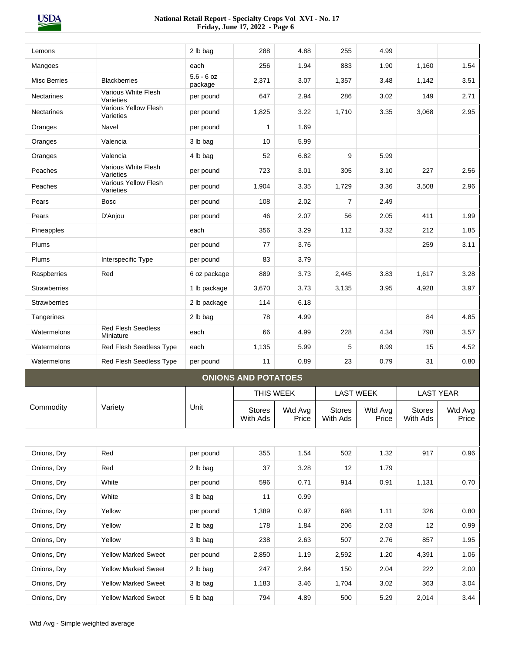| Lemons              |                                        | 2 lb bag                | 288                        | 4.88             | 255                       | 4.99             |                           |                  |
|---------------------|----------------------------------------|-------------------------|----------------------------|------------------|---------------------------|------------------|---------------------------|------------------|
| Mangoes             |                                        | each                    | 256                        | 1.94             | 883                       | 1.90             | 1,160                     | 1.54             |
| <b>Misc Berries</b> | <b>Blackberries</b>                    | $5.6 - 6$ oz<br>package | 2,371                      | 3.07             | 1,357                     | 3.48             | 1,142                     | 3.51             |
| <b>Nectarines</b>   | Various White Flesh<br>Varieties       | per pound               | 647                        | 2.94             | 286                       | 3.02             | 149                       | 2.71             |
| Nectarines          | Various Yellow Flesh<br>Varieties      | per pound               | 1,825                      | 3.22             | 1,710                     | 3.35             | 3,068                     | 2.95             |
| Oranges             | Navel                                  | per pound               | 1                          | 1.69             |                           |                  |                           |                  |
| Oranges             | Valencia                               | 3 lb bag                | 10                         | 5.99             |                           |                  |                           |                  |
| Oranges             | Valencia                               | 4 lb bag                | 52                         | 6.82             | 9                         | 5.99             |                           |                  |
| Peaches             | Various White Flesh<br>Varieties       | per pound               | 723                        | 3.01             | 305                       | 3.10             | 227                       | 2.56             |
| Peaches             | Various Yellow Flesh<br>Varieties      | per pound               | 1,904                      | 3.35             | 1,729                     | 3.36             | 3,508                     | 2.96             |
| Pears               | <b>Bosc</b>                            | per pound               | 108                        | 2.02             | $\overline{7}$            | 2.49             |                           |                  |
| Pears               | D'Anjou                                | per pound               | 46                         | 2.07             | 56                        | 2.05             | 411                       | 1.99             |
| Pineapples          |                                        | each                    | 356                        | 3.29             | 112                       | 3.32             | 212                       | 1.85             |
| Plums               |                                        | per pound               | 77                         | 3.76             |                           |                  | 259                       | 3.11             |
| Plums               | Interspecific Type                     | per pound               | 83                         | 3.79             |                           |                  |                           |                  |
| Raspberries         | Red                                    | 6 oz package            | 889                        | 3.73             | 2,445                     | 3.83             | 1,617                     | 3.28             |
| <b>Strawberries</b> |                                        | 1 lb package            | 3,670                      | 3.73             | 3,135                     | 3.95             | 4,928                     | 3.97             |
| <b>Strawberries</b> |                                        | 2 lb package            | 114                        | 6.18             |                           |                  |                           |                  |
| Tangerines          |                                        | 2 lb bag                | 78                         | 4.99             |                           |                  | 84                        | 4.85             |
| Watermelons         | <b>Red Flesh Seedless</b><br>Miniature | each                    | 66                         | 4.99             | 228                       | 4.34             | 798                       | 3.57             |
| Watermelons         | Red Flesh Seedless Type                | each                    | 1,135                      | 5.99             | 5                         | 8.99             | 15                        | 4.52             |
| Watermelons         | Red Flesh Seedless Type                | per pound               | 11                         | 0.89             | 23                        | 0.79             | 31                        | 0.80             |
|                     |                                        |                         | <b>ONIONS AND POTATOES</b> |                  |                           |                  |                           |                  |
|                     |                                        |                         |                            | THIS WEEK        |                           | <b>LAST WEEK</b> |                           | <b>LAST YEAR</b> |
| Commodity           | Variety                                | Unit                    | <b>Stores</b><br>With Ads  | Wtd Avg<br>Price | <b>Stores</b><br>With Ads | Wtd Avg<br>Price | <b>Stores</b><br>With Ads | Wtd Avg<br>Price |
|                     |                                        |                         |                            |                  |                           |                  |                           |                  |
| Onions, Dry         | Red                                    | per pound               | 355                        | 1.54             | 502                       | 1.32             | 917                       | 0.96             |
| Onions, Dry         | Red                                    | 2 lb bag                | 37                         | 3.28             | 12                        | 1.79             |                           |                  |
| Onions, Dry         | White                                  | per pound               | 596                        | 0.71             | 914                       | 0.91             | 1,131                     | 0.70             |
| Onions, Dry         | White                                  | 3 lb bag                | 11                         | 0.99             |                           |                  |                           |                  |
| Onions, Dry         | Yellow                                 | per pound               | 1,389                      | 0.97             | 698                       | 1.11             | 326                       | 0.80             |
| Onions, Dry         | Yellow                                 | 2 lb bag                | 178                        | 1.84             | 206                       | 2.03             | 12                        | 0.99             |
| Onions, Dry         | Yellow                                 | 3 lb bag                | 238                        | 2.63             | 507                       | 2.76             | 857                       | 1.95             |
| Onions, Dry         | <b>Yellow Marked Sweet</b>             | per pound               | 2,850                      | 1.19             | 2,592                     | 1.20             | 4,391                     | 1.06             |
| Onions, Dry         | <b>Yellow Marked Sweet</b>             | 2 lb bag                | 247                        | 2.84             | 150                       | 2.04             | 222                       | 2.00             |
| Onions, Dry         | <b>Yellow Marked Sweet</b>             | 3 lb bag                | 1,183                      | 3.46             | 1,704                     | 3.02             | 363                       | 3.04             |
| Onions, Dry         | Yellow Marked Sweet                    | 5 lb bag                | 794                        | 4.89             | 500                       | 5.29             | 2,014                     | 3.44             |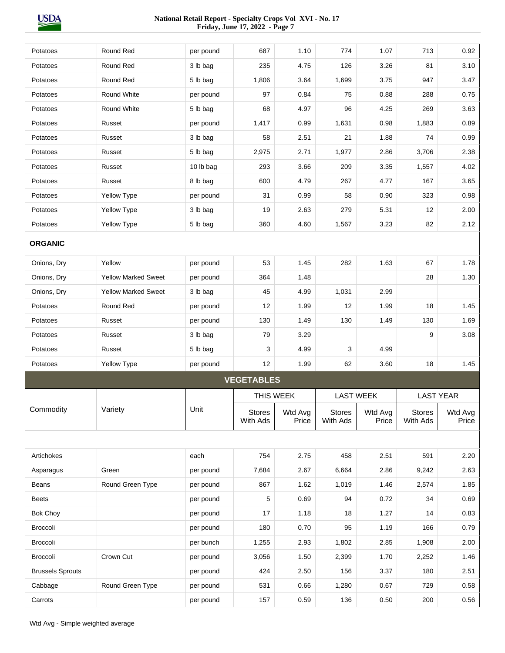| Potatoes                | Round Red                  | per pound | 687                | 1.10             | 774                       | 1.07             | 713                       | 0.92             |
|-------------------------|----------------------------|-----------|--------------------|------------------|---------------------------|------------------|---------------------------|------------------|
| Potatoes                | Round Red                  | 3 lb bag  | 235                | 4.75             | 126                       | 3.26             | 81                        | 3.10             |
| Potatoes                | Round Red                  | 5 lb bag  | 1,806              | 3.64             | 1,699                     | 3.75             | 947                       | 3.47             |
| Potatoes                | Round White                | per pound | 97                 | 0.84             | 75                        | 0.88             | 288                       | 0.75             |
| Potatoes                | <b>Round White</b>         | 5 lb bag  | 68                 | 4.97             | 96                        | 4.25             | 269                       | 3.63             |
| Potatoes                | Russet                     | per pound | 1,417              | 0.99             | 1,631                     | 0.98             | 1,883                     | 0.89             |
| Potatoes                | Russet                     | 3 lb bag  | 58                 | 2.51             | 21                        | 1.88             | 74                        | 0.99             |
| Potatoes                | Russet                     | 5 lb bag  | 2,975              | 2.71             | 1,977                     | 2.86             | 3,706                     | 2.38             |
| Potatoes                | Russet                     | 10 lb bag | 293                | 3.66             | 209                       | 3.35             | 1,557                     | 4.02             |
| Potatoes                | Russet                     | 8 lb bag  | 600                | 4.79             | 267                       | 4.77             | 167                       | 3.65             |
| Potatoes                | Yellow Type                | per pound | 31                 | 0.99             | 58                        | 0.90             | 323                       | 0.98             |
| Potatoes                | Yellow Type                | 3 lb bag  | 19                 | 2.63             | 279                       | 5.31             | 12                        | 2.00             |
| Potatoes                | Yellow Type                | 5 lb bag  | 360                | 4.60             | 1,567                     | 3.23             | 82                        | 2.12             |
| <b>ORGANIC</b>          |                            |           |                    |                  |                           |                  |                           |                  |
| Onions, Dry             | Yellow                     | per pound | 53                 | 1.45             | 282                       | 1.63             | 67                        | 1.78             |
| Onions, Dry             | <b>Yellow Marked Sweet</b> | per pound | 364                | 1.48             |                           |                  | 28                        | 1.30             |
| Onions, Dry             | <b>Yellow Marked Sweet</b> | 3 lb bag  | 45                 | 4.99             | 1,031                     | 2.99             |                           |                  |
| Potatoes                | Round Red                  | per pound | 12                 | 1.99             | 12                        | 1.99             | 18                        | 1.45             |
| Potatoes                | Russet                     | per pound | 130                | 1.49             | 130                       | 1.49             | 130                       | 1.69             |
| Potatoes                | Russet                     | 3 lb bag  | 79                 | 3.29             |                           |                  | 9                         | 3.08             |
| Potatoes                | Russet                     | 5 lb bag  | 3                  | 4.99             | 3                         | 4.99             |                           |                  |
| Potatoes                | Yellow Type                | per pound | 12                 | 1.99             | 62                        | 3.60             | 18                        | 1.45             |
|                         |                            |           | <b>VEGETABLES</b>  |                  |                           |                  |                           |                  |
|                         |                            |           |                    | THIS WEEK        |                           | <b>LAST WEEK</b> |                           | <b>LAST YEAR</b> |
| Commodity               | Variety                    | Unit      | Stores<br>With Ads | Wtd Avg<br>Price | <b>Stores</b><br>With Ads | Wtd Avg<br>Price | <b>Stores</b><br>With Ads | Wtd Avg<br>Price |
|                         |                            |           |                    |                  |                           |                  |                           |                  |
| Artichokes              |                            | each      | 754                | 2.75             | 458                       | 2.51             | 591                       | 2.20             |
| Asparagus               | Green                      | per pound | 7,684              | 2.67             | 6,664                     | 2.86             | 9,242                     | 2.63             |
| Beans                   | Round Green Type           | per pound | 867                | 1.62             | 1,019                     | 1.46             | 2,574                     | 1.85             |
| <b>Beets</b>            |                            | per pound | 5                  | 0.69             | 94                        | 0.72             | 34                        | 0.69             |
| Bok Choy                |                            | per pound | 17                 | 1.18             | 18                        | 1.27             | 14                        | 0.83             |
| <b>Broccoli</b>         |                            | per pound | 180                | 0.70             | 95                        | 1.19             | 166                       | 0.79             |
| Broccoli                |                            | per bunch | 1,255              | 2.93             | 1,802                     | 2.85             | 1,908                     | 2.00             |
| Broccoli                | Crown Cut                  | per pound | 3,056              | 1.50             | 2,399                     | 1.70             | 2,252                     | 1.46             |
| <b>Brussels Sprouts</b> |                            | per pound | 424                | 2.50             | 156                       | 3.37             | 180                       | 2.51             |
| Cabbage                 | Round Green Type           | per pound | 531                | 0.66             | 1,280                     | 0.67             | 729                       | 0.58             |
| Carrots                 |                            | per pound | 157                | 0.59             | 136                       | 0.50             | 200                       | 0.56             |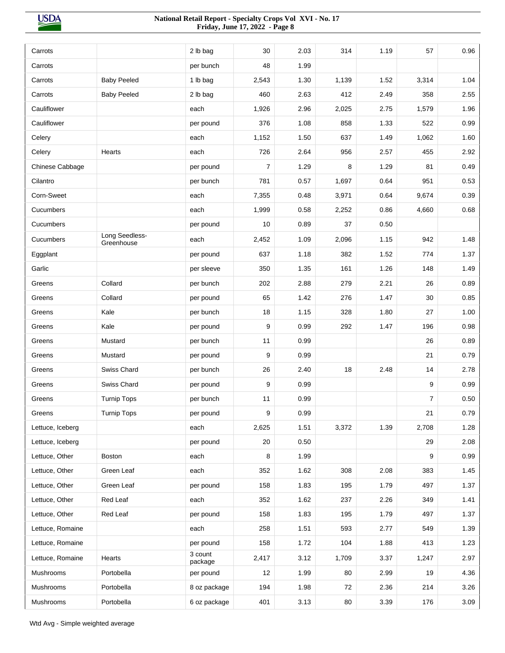| 48<br>1.99<br>Carrots<br>per bunch<br><b>Baby Peeled</b><br>1.30<br>1,139<br>1.52<br>3,314<br>1.04<br>Carrots<br>1 lb bag<br>2,543<br><b>Baby Peeled</b><br>460<br>2 lb bag<br>2.63<br>412<br>2.49<br>358<br>2.55<br>Carrots<br>Cauliflower<br>each<br>1,926<br>2.96<br>2,025<br>2.75<br>1,579<br>1.96<br>Cauliflower<br>376<br>1.08<br>858<br>1.33<br>0.99<br>per pound<br>522<br>1,152<br>1.50<br>637<br>1.49<br>1,062<br>1.60<br>Celery<br>each<br>726<br>2.64<br>956<br>2.57<br>455<br>2.92<br>Celery<br>Hearts<br>each<br>$\overline{7}$<br>Chinese Cabbage<br>8<br>1.29<br>1.29<br>81<br>0.49<br>per pound<br>781<br>1,697<br>0.64<br>951<br>0.53<br>Cilantro<br>per bunch<br>0.57<br>Corn-Sweet<br>0.64<br>0.39<br>each<br>7,355<br>0.48<br>3,971<br>9,674<br>Cucumbers<br>1,999<br>2,252<br>0.86<br>4,660<br>0.68<br>each<br>0.58<br>Cucumbers<br>10<br>37<br>0.50<br>0.89<br>per pound<br>Long Seedless-<br>Cucumbers<br>1.09<br>2,096<br>1.15<br>942<br>1.48<br>each<br>2,452<br>Greenhouse<br>637<br>1.52<br>Eggplant<br>1.18<br>382<br>774<br>1.37<br>per pound<br>Garlic<br>350<br>1.26<br>148<br>1.35<br>161<br>1.49<br>per sleeve<br>Collard<br>202<br>2.88<br>279<br>2.21<br>Greens<br>per bunch<br>26<br>0.89<br>Collard<br>65<br>1.42<br>276<br>1.47<br>30<br>0.85<br>Greens<br>per pound<br>Kale<br>18<br>1.15<br>328<br>1.80<br>per bunch<br>27<br>1.00<br>Greens<br>Kale<br>9<br>0.99<br>1.47<br>0.98<br>Greens<br>292<br>196<br>per pound<br>Mustard<br>11<br>0.99<br>26<br>0.89<br>Greens<br>per bunch<br>9<br>0.99<br>21<br>0.79<br>Mustard<br>Greens<br>per pound<br>Swiss Chard<br>26<br>2.40<br>18<br>2.48<br>2.78<br>Greens<br>per bunch<br>14<br>Swiss Chard<br>9<br>9<br>0.99<br>0.99<br>Greens<br>per pound<br><b>Turnip Tops</b><br>11<br>0.99<br>$\overline{7}$<br>0.50<br>Greens<br>per bunch<br><b>Turnip Tops</b><br>9<br>0.99<br>21<br>0.79<br>Greens<br>per pound<br>2,625<br>3,372<br>1.39<br>2,708<br>Lettuce, Iceberg<br>1.51<br>1.28<br>each<br>29<br>Lettuce, Iceberg<br>per pound<br>20<br>0.50<br>2.08<br>Lettuce, Other<br>8<br>1.99<br>9<br>0.99<br>Boston<br>each<br>2.08<br>Lettuce, Other<br>Green Leaf<br>352<br>1.62<br>308<br>1.45<br>each<br>383<br>Lettuce, Other<br>Green Leaf<br>per pound<br>158<br>1.83<br>195<br>1.79<br>497<br>1.37<br>Lettuce, Other<br>Red Leaf<br>2.26<br>each<br>352<br>1.62<br>237<br>349<br>1.41<br>Lettuce, Other<br>Red Leaf<br>1.79<br>per pound<br>158<br>1.83<br>195<br>497<br>1.37<br>Lettuce, Romaine<br>258<br>1.51<br>593<br>549<br>2.77<br>1.39<br>each<br>Lettuce, Romaine<br>158<br>104<br>1.88<br>per pound<br>1.72<br>413<br>1.23<br>3 count<br>2.97<br>Lettuce, Romaine<br>Hearts<br>2,417<br>3.12<br>1,709<br>3.37<br>1,247<br>package<br>Portobella<br>12<br>1.99<br>2.99<br>4.36<br>Mushrooms<br>per pound<br>80<br>19<br>Portobella<br>194<br>1.98<br>2.36<br>3.26<br>Mushrooms<br>8 oz package<br>72<br>214<br>Portobella<br>6 oz package<br>401<br>3.39<br>3.09<br>Mushrooms<br>3.13<br>80<br>176 |         |          | 30 | 2.03 | 314 | 1.19 | 57 | 0.96 |
|-----------------------------------------------------------------------------------------------------------------------------------------------------------------------------------------------------------------------------------------------------------------------------------------------------------------------------------------------------------------------------------------------------------------------------------------------------------------------------------------------------------------------------------------------------------------------------------------------------------------------------------------------------------------------------------------------------------------------------------------------------------------------------------------------------------------------------------------------------------------------------------------------------------------------------------------------------------------------------------------------------------------------------------------------------------------------------------------------------------------------------------------------------------------------------------------------------------------------------------------------------------------------------------------------------------------------------------------------------------------------------------------------------------------------------------------------------------------------------------------------------------------------------------------------------------------------------------------------------------------------------------------------------------------------------------------------------------------------------------------------------------------------------------------------------------------------------------------------------------------------------------------------------------------------------------------------------------------------------------------------------------------------------------------------------------------------------------------------------------------------------------------------------------------------------------------------------------------------------------------------------------------------------------------------------------------------------------------------------------------------------------------------------------------------------------------------------------------------------------------------------------------------------------------------------------------------------------------------------------------------------------------------------------------------------------------------------------------------------------------------------------------------------------------------------------------------------------------------------------------------------------------------------------------------------------------------------------------------------------------------------------|---------|----------|----|------|-----|------|----|------|
|                                                                                                                                                                                                                                                                                                                                                                                                                                                                                                                                                                                                                                                                                                                                                                                                                                                                                                                                                                                                                                                                                                                                                                                                                                                                                                                                                                                                                                                                                                                                                                                                                                                                                                                                                                                                                                                                                                                                                                                                                                                                                                                                                                                                                                                                                                                                                                                                                                                                                                                                                                                                                                                                                                                                                                                                                                                                                                                                                                                                           | Carrots | 2 lb bag |    |      |     |      |    |      |
|                                                                                                                                                                                                                                                                                                                                                                                                                                                                                                                                                                                                                                                                                                                                                                                                                                                                                                                                                                                                                                                                                                                                                                                                                                                                                                                                                                                                                                                                                                                                                                                                                                                                                                                                                                                                                                                                                                                                                                                                                                                                                                                                                                                                                                                                                                                                                                                                                                                                                                                                                                                                                                                                                                                                                                                                                                                                                                                                                                                                           |         |          |    |      |     |      |    |      |
|                                                                                                                                                                                                                                                                                                                                                                                                                                                                                                                                                                                                                                                                                                                                                                                                                                                                                                                                                                                                                                                                                                                                                                                                                                                                                                                                                                                                                                                                                                                                                                                                                                                                                                                                                                                                                                                                                                                                                                                                                                                                                                                                                                                                                                                                                                                                                                                                                                                                                                                                                                                                                                                                                                                                                                                                                                                                                                                                                                                                           |         |          |    |      |     |      |    |      |
|                                                                                                                                                                                                                                                                                                                                                                                                                                                                                                                                                                                                                                                                                                                                                                                                                                                                                                                                                                                                                                                                                                                                                                                                                                                                                                                                                                                                                                                                                                                                                                                                                                                                                                                                                                                                                                                                                                                                                                                                                                                                                                                                                                                                                                                                                                                                                                                                                                                                                                                                                                                                                                                                                                                                                                                                                                                                                                                                                                                                           |         |          |    |      |     |      |    |      |
|                                                                                                                                                                                                                                                                                                                                                                                                                                                                                                                                                                                                                                                                                                                                                                                                                                                                                                                                                                                                                                                                                                                                                                                                                                                                                                                                                                                                                                                                                                                                                                                                                                                                                                                                                                                                                                                                                                                                                                                                                                                                                                                                                                                                                                                                                                                                                                                                                                                                                                                                                                                                                                                                                                                                                                                                                                                                                                                                                                                                           |         |          |    |      |     |      |    |      |
|                                                                                                                                                                                                                                                                                                                                                                                                                                                                                                                                                                                                                                                                                                                                                                                                                                                                                                                                                                                                                                                                                                                                                                                                                                                                                                                                                                                                                                                                                                                                                                                                                                                                                                                                                                                                                                                                                                                                                                                                                                                                                                                                                                                                                                                                                                                                                                                                                                                                                                                                                                                                                                                                                                                                                                                                                                                                                                                                                                                                           |         |          |    |      |     |      |    |      |
|                                                                                                                                                                                                                                                                                                                                                                                                                                                                                                                                                                                                                                                                                                                                                                                                                                                                                                                                                                                                                                                                                                                                                                                                                                                                                                                                                                                                                                                                                                                                                                                                                                                                                                                                                                                                                                                                                                                                                                                                                                                                                                                                                                                                                                                                                                                                                                                                                                                                                                                                                                                                                                                                                                                                                                                                                                                                                                                                                                                                           |         |          |    |      |     |      |    |      |
|                                                                                                                                                                                                                                                                                                                                                                                                                                                                                                                                                                                                                                                                                                                                                                                                                                                                                                                                                                                                                                                                                                                                                                                                                                                                                                                                                                                                                                                                                                                                                                                                                                                                                                                                                                                                                                                                                                                                                                                                                                                                                                                                                                                                                                                                                                                                                                                                                                                                                                                                                                                                                                                                                                                                                                                                                                                                                                                                                                                                           |         |          |    |      |     |      |    |      |
|                                                                                                                                                                                                                                                                                                                                                                                                                                                                                                                                                                                                                                                                                                                                                                                                                                                                                                                                                                                                                                                                                                                                                                                                                                                                                                                                                                                                                                                                                                                                                                                                                                                                                                                                                                                                                                                                                                                                                                                                                                                                                                                                                                                                                                                                                                                                                                                                                                                                                                                                                                                                                                                                                                                                                                                                                                                                                                                                                                                                           |         |          |    |      |     |      |    |      |
|                                                                                                                                                                                                                                                                                                                                                                                                                                                                                                                                                                                                                                                                                                                                                                                                                                                                                                                                                                                                                                                                                                                                                                                                                                                                                                                                                                                                                                                                                                                                                                                                                                                                                                                                                                                                                                                                                                                                                                                                                                                                                                                                                                                                                                                                                                                                                                                                                                                                                                                                                                                                                                                                                                                                                                                                                                                                                                                                                                                                           |         |          |    |      |     |      |    |      |
|                                                                                                                                                                                                                                                                                                                                                                                                                                                                                                                                                                                                                                                                                                                                                                                                                                                                                                                                                                                                                                                                                                                                                                                                                                                                                                                                                                                                                                                                                                                                                                                                                                                                                                                                                                                                                                                                                                                                                                                                                                                                                                                                                                                                                                                                                                                                                                                                                                                                                                                                                                                                                                                                                                                                                                                                                                                                                                                                                                                                           |         |          |    |      |     |      |    |      |
|                                                                                                                                                                                                                                                                                                                                                                                                                                                                                                                                                                                                                                                                                                                                                                                                                                                                                                                                                                                                                                                                                                                                                                                                                                                                                                                                                                                                                                                                                                                                                                                                                                                                                                                                                                                                                                                                                                                                                                                                                                                                                                                                                                                                                                                                                                                                                                                                                                                                                                                                                                                                                                                                                                                                                                                                                                                                                                                                                                                                           |         |          |    |      |     |      |    |      |
|                                                                                                                                                                                                                                                                                                                                                                                                                                                                                                                                                                                                                                                                                                                                                                                                                                                                                                                                                                                                                                                                                                                                                                                                                                                                                                                                                                                                                                                                                                                                                                                                                                                                                                                                                                                                                                                                                                                                                                                                                                                                                                                                                                                                                                                                                                                                                                                                                                                                                                                                                                                                                                                                                                                                                                                                                                                                                                                                                                                                           |         |          |    |      |     |      |    |      |
|                                                                                                                                                                                                                                                                                                                                                                                                                                                                                                                                                                                                                                                                                                                                                                                                                                                                                                                                                                                                                                                                                                                                                                                                                                                                                                                                                                                                                                                                                                                                                                                                                                                                                                                                                                                                                                                                                                                                                                                                                                                                                                                                                                                                                                                                                                                                                                                                                                                                                                                                                                                                                                                                                                                                                                                                                                                                                                                                                                                                           |         |          |    |      |     |      |    |      |
|                                                                                                                                                                                                                                                                                                                                                                                                                                                                                                                                                                                                                                                                                                                                                                                                                                                                                                                                                                                                                                                                                                                                                                                                                                                                                                                                                                                                                                                                                                                                                                                                                                                                                                                                                                                                                                                                                                                                                                                                                                                                                                                                                                                                                                                                                                                                                                                                                                                                                                                                                                                                                                                                                                                                                                                                                                                                                                                                                                                                           |         |          |    |      |     |      |    |      |
|                                                                                                                                                                                                                                                                                                                                                                                                                                                                                                                                                                                                                                                                                                                                                                                                                                                                                                                                                                                                                                                                                                                                                                                                                                                                                                                                                                                                                                                                                                                                                                                                                                                                                                                                                                                                                                                                                                                                                                                                                                                                                                                                                                                                                                                                                                                                                                                                                                                                                                                                                                                                                                                                                                                                                                                                                                                                                                                                                                                                           |         |          |    |      |     |      |    |      |
|                                                                                                                                                                                                                                                                                                                                                                                                                                                                                                                                                                                                                                                                                                                                                                                                                                                                                                                                                                                                                                                                                                                                                                                                                                                                                                                                                                                                                                                                                                                                                                                                                                                                                                                                                                                                                                                                                                                                                                                                                                                                                                                                                                                                                                                                                                                                                                                                                                                                                                                                                                                                                                                                                                                                                                                                                                                                                                                                                                                                           |         |          |    |      |     |      |    |      |
|                                                                                                                                                                                                                                                                                                                                                                                                                                                                                                                                                                                                                                                                                                                                                                                                                                                                                                                                                                                                                                                                                                                                                                                                                                                                                                                                                                                                                                                                                                                                                                                                                                                                                                                                                                                                                                                                                                                                                                                                                                                                                                                                                                                                                                                                                                                                                                                                                                                                                                                                                                                                                                                                                                                                                                                                                                                                                                                                                                                                           |         |          |    |      |     |      |    |      |
|                                                                                                                                                                                                                                                                                                                                                                                                                                                                                                                                                                                                                                                                                                                                                                                                                                                                                                                                                                                                                                                                                                                                                                                                                                                                                                                                                                                                                                                                                                                                                                                                                                                                                                                                                                                                                                                                                                                                                                                                                                                                                                                                                                                                                                                                                                                                                                                                                                                                                                                                                                                                                                                                                                                                                                                                                                                                                                                                                                                                           |         |          |    |      |     |      |    |      |
|                                                                                                                                                                                                                                                                                                                                                                                                                                                                                                                                                                                                                                                                                                                                                                                                                                                                                                                                                                                                                                                                                                                                                                                                                                                                                                                                                                                                                                                                                                                                                                                                                                                                                                                                                                                                                                                                                                                                                                                                                                                                                                                                                                                                                                                                                                                                                                                                                                                                                                                                                                                                                                                                                                                                                                                                                                                                                                                                                                                                           |         |          |    |      |     |      |    |      |
|                                                                                                                                                                                                                                                                                                                                                                                                                                                                                                                                                                                                                                                                                                                                                                                                                                                                                                                                                                                                                                                                                                                                                                                                                                                                                                                                                                                                                                                                                                                                                                                                                                                                                                                                                                                                                                                                                                                                                                                                                                                                                                                                                                                                                                                                                                                                                                                                                                                                                                                                                                                                                                                                                                                                                                                                                                                                                                                                                                                                           |         |          |    |      |     |      |    |      |
|                                                                                                                                                                                                                                                                                                                                                                                                                                                                                                                                                                                                                                                                                                                                                                                                                                                                                                                                                                                                                                                                                                                                                                                                                                                                                                                                                                                                                                                                                                                                                                                                                                                                                                                                                                                                                                                                                                                                                                                                                                                                                                                                                                                                                                                                                                                                                                                                                                                                                                                                                                                                                                                                                                                                                                                                                                                                                                                                                                                                           |         |          |    |      |     |      |    |      |
|                                                                                                                                                                                                                                                                                                                                                                                                                                                                                                                                                                                                                                                                                                                                                                                                                                                                                                                                                                                                                                                                                                                                                                                                                                                                                                                                                                                                                                                                                                                                                                                                                                                                                                                                                                                                                                                                                                                                                                                                                                                                                                                                                                                                                                                                                                                                                                                                                                                                                                                                                                                                                                                                                                                                                                                                                                                                                                                                                                                                           |         |          |    |      |     |      |    |      |
|                                                                                                                                                                                                                                                                                                                                                                                                                                                                                                                                                                                                                                                                                                                                                                                                                                                                                                                                                                                                                                                                                                                                                                                                                                                                                                                                                                                                                                                                                                                                                                                                                                                                                                                                                                                                                                                                                                                                                                                                                                                                                                                                                                                                                                                                                                                                                                                                                                                                                                                                                                                                                                                                                                                                                                                                                                                                                                                                                                                                           |         |          |    |      |     |      |    |      |
|                                                                                                                                                                                                                                                                                                                                                                                                                                                                                                                                                                                                                                                                                                                                                                                                                                                                                                                                                                                                                                                                                                                                                                                                                                                                                                                                                                                                                                                                                                                                                                                                                                                                                                                                                                                                                                                                                                                                                                                                                                                                                                                                                                                                                                                                                                                                                                                                                                                                                                                                                                                                                                                                                                                                                                                                                                                                                                                                                                                                           |         |          |    |      |     |      |    |      |
|                                                                                                                                                                                                                                                                                                                                                                                                                                                                                                                                                                                                                                                                                                                                                                                                                                                                                                                                                                                                                                                                                                                                                                                                                                                                                                                                                                                                                                                                                                                                                                                                                                                                                                                                                                                                                                                                                                                                                                                                                                                                                                                                                                                                                                                                                                                                                                                                                                                                                                                                                                                                                                                                                                                                                                                                                                                                                                                                                                                                           |         |          |    |      |     |      |    |      |
|                                                                                                                                                                                                                                                                                                                                                                                                                                                                                                                                                                                                                                                                                                                                                                                                                                                                                                                                                                                                                                                                                                                                                                                                                                                                                                                                                                                                                                                                                                                                                                                                                                                                                                                                                                                                                                                                                                                                                                                                                                                                                                                                                                                                                                                                                                                                                                                                                                                                                                                                                                                                                                                                                                                                                                                                                                                                                                                                                                                                           |         |          |    |      |     |      |    |      |
|                                                                                                                                                                                                                                                                                                                                                                                                                                                                                                                                                                                                                                                                                                                                                                                                                                                                                                                                                                                                                                                                                                                                                                                                                                                                                                                                                                                                                                                                                                                                                                                                                                                                                                                                                                                                                                                                                                                                                                                                                                                                                                                                                                                                                                                                                                                                                                                                                                                                                                                                                                                                                                                                                                                                                                                                                                                                                                                                                                                                           |         |          |    |      |     |      |    |      |
|                                                                                                                                                                                                                                                                                                                                                                                                                                                                                                                                                                                                                                                                                                                                                                                                                                                                                                                                                                                                                                                                                                                                                                                                                                                                                                                                                                                                                                                                                                                                                                                                                                                                                                                                                                                                                                                                                                                                                                                                                                                                                                                                                                                                                                                                                                                                                                                                                                                                                                                                                                                                                                                                                                                                                                                                                                                                                                                                                                                                           |         |          |    |      |     |      |    |      |
|                                                                                                                                                                                                                                                                                                                                                                                                                                                                                                                                                                                                                                                                                                                                                                                                                                                                                                                                                                                                                                                                                                                                                                                                                                                                                                                                                                                                                                                                                                                                                                                                                                                                                                                                                                                                                                                                                                                                                                                                                                                                                                                                                                                                                                                                                                                                                                                                                                                                                                                                                                                                                                                                                                                                                                                                                                                                                                                                                                                                           |         |          |    |      |     |      |    |      |
|                                                                                                                                                                                                                                                                                                                                                                                                                                                                                                                                                                                                                                                                                                                                                                                                                                                                                                                                                                                                                                                                                                                                                                                                                                                                                                                                                                                                                                                                                                                                                                                                                                                                                                                                                                                                                                                                                                                                                                                                                                                                                                                                                                                                                                                                                                                                                                                                                                                                                                                                                                                                                                                                                                                                                                                                                                                                                                                                                                                                           |         |          |    |      |     |      |    |      |
|                                                                                                                                                                                                                                                                                                                                                                                                                                                                                                                                                                                                                                                                                                                                                                                                                                                                                                                                                                                                                                                                                                                                                                                                                                                                                                                                                                                                                                                                                                                                                                                                                                                                                                                                                                                                                                                                                                                                                                                                                                                                                                                                                                                                                                                                                                                                                                                                                                                                                                                                                                                                                                                                                                                                                                                                                                                                                                                                                                                                           |         |          |    |      |     |      |    |      |
|                                                                                                                                                                                                                                                                                                                                                                                                                                                                                                                                                                                                                                                                                                                                                                                                                                                                                                                                                                                                                                                                                                                                                                                                                                                                                                                                                                                                                                                                                                                                                                                                                                                                                                                                                                                                                                                                                                                                                                                                                                                                                                                                                                                                                                                                                                                                                                                                                                                                                                                                                                                                                                                                                                                                                                                                                                                                                                                                                                                                           |         |          |    |      |     |      |    |      |
|                                                                                                                                                                                                                                                                                                                                                                                                                                                                                                                                                                                                                                                                                                                                                                                                                                                                                                                                                                                                                                                                                                                                                                                                                                                                                                                                                                                                                                                                                                                                                                                                                                                                                                                                                                                                                                                                                                                                                                                                                                                                                                                                                                                                                                                                                                                                                                                                                                                                                                                                                                                                                                                                                                                                                                                                                                                                                                                                                                                                           |         |          |    |      |     |      |    |      |
|                                                                                                                                                                                                                                                                                                                                                                                                                                                                                                                                                                                                                                                                                                                                                                                                                                                                                                                                                                                                                                                                                                                                                                                                                                                                                                                                                                                                                                                                                                                                                                                                                                                                                                                                                                                                                                                                                                                                                                                                                                                                                                                                                                                                                                                                                                                                                                                                                                                                                                                                                                                                                                                                                                                                                                                                                                                                                                                                                                                                           |         |          |    |      |     |      |    |      |
|                                                                                                                                                                                                                                                                                                                                                                                                                                                                                                                                                                                                                                                                                                                                                                                                                                                                                                                                                                                                                                                                                                                                                                                                                                                                                                                                                                                                                                                                                                                                                                                                                                                                                                                                                                                                                                                                                                                                                                                                                                                                                                                                                                                                                                                                                                                                                                                                                                                                                                                                                                                                                                                                                                                                                                                                                                                                                                                                                                                                           |         |          |    |      |     |      |    |      |
|                                                                                                                                                                                                                                                                                                                                                                                                                                                                                                                                                                                                                                                                                                                                                                                                                                                                                                                                                                                                                                                                                                                                                                                                                                                                                                                                                                                                                                                                                                                                                                                                                                                                                                                                                                                                                                                                                                                                                                                                                                                                                                                                                                                                                                                                                                                                                                                                                                                                                                                                                                                                                                                                                                                                                                                                                                                                                                                                                                                                           |         |          |    |      |     |      |    |      |
|                                                                                                                                                                                                                                                                                                                                                                                                                                                                                                                                                                                                                                                                                                                                                                                                                                                                                                                                                                                                                                                                                                                                                                                                                                                                                                                                                                                                                                                                                                                                                                                                                                                                                                                                                                                                                                                                                                                                                                                                                                                                                                                                                                                                                                                                                                                                                                                                                                                                                                                                                                                                                                                                                                                                                                                                                                                                                                                                                                                                           |         |          |    |      |     |      |    |      |
|                                                                                                                                                                                                                                                                                                                                                                                                                                                                                                                                                                                                                                                                                                                                                                                                                                                                                                                                                                                                                                                                                                                                                                                                                                                                                                                                                                                                                                                                                                                                                                                                                                                                                                                                                                                                                                                                                                                                                                                                                                                                                                                                                                                                                                                                                                                                                                                                                                                                                                                                                                                                                                                                                                                                                                                                                                                                                                                                                                                                           |         |          |    |      |     |      |    |      |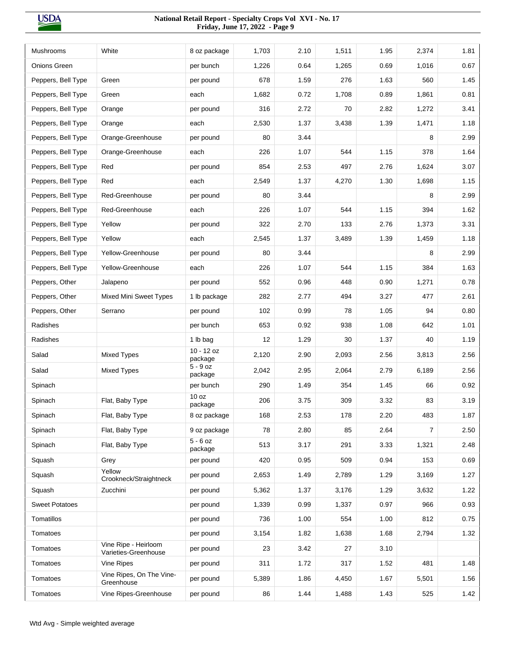| <b>Mushrooms</b>      | White                                        | 8 oz package                | 1.703 | 2.10 | 1,511 | 1.95 | 2,374 | 1.81 |
|-----------------------|----------------------------------------------|-----------------------------|-------|------|-------|------|-------|------|
| Onions Green          |                                              | per bunch                   | 1,226 | 0.64 | 1,265 | 0.69 | 1,016 | 0.67 |
| Peppers, Bell Type    | Green                                        | per pound                   | 678   | 1.59 | 276   | 1.63 | 560   | 1.45 |
| Peppers, Bell Type    | Green                                        | each                        | 1,682 | 0.72 | 1,708 | 0.89 | 1,861 | 0.81 |
| Peppers, Bell Type    | Orange                                       | per pound                   | 316   | 2.72 | 70    | 2.82 | 1,272 | 3.41 |
| Peppers, Bell Type    | Orange                                       | each                        | 2,530 | 1.37 | 3,438 | 1.39 | 1,471 | 1.18 |
| Peppers, Bell Type    | Orange-Greenhouse                            | per pound                   | 80    | 3.44 |       |      | 8     | 2.99 |
| Peppers, Bell Type    | Orange-Greenhouse                            | each                        | 226   | 1.07 | 544   | 1.15 | 378   | 1.64 |
| Peppers, Bell Type    | Red                                          | per pound                   | 854   | 2.53 | 497   | 2.76 | 1,624 | 3.07 |
| Peppers, Bell Type    | Red                                          | each                        | 2,549 | 1.37 | 4,270 | 1.30 | 1,698 | 1.15 |
| Peppers, Bell Type    | Red-Greenhouse                               | per pound                   | 80    | 3.44 |       |      | 8     | 2.99 |
| Peppers, Bell Type    | Red-Greenhouse                               | each                        | 226   | 1.07 | 544   | 1.15 | 394   | 1.62 |
| Peppers, Bell Type    | Yellow                                       | per pound                   | 322   | 2.70 | 133   | 2.76 | 1,373 | 3.31 |
| Peppers, Bell Type    | Yellow                                       | each                        | 2,545 | 1.37 | 3,489 | 1.39 | 1,459 | 1.18 |
| Peppers, Bell Type    | Yellow-Greenhouse                            | per pound                   | 80    | 3.44 |       |      | 8     | 2.99 |
| Peppers, Bell Type    | Yellow-Greenhouse                            | each                        | 226   | 1.07 | 544   | 1.15 | 384   | 1.63 |
| Peppers, Other        | Jalapeno                                     | per pound                   | 552   | 0.96 | 448   | 0.90 | 1,271 | 0.78 |
| Peppers, Other        | <b>Mixed Mini Sweet Types</b>                | 1 lb package                | 282   | 2.77 | 494   | 3.27 | 477   | 2.61 |
| Peppers, Other        | Serrano                                      | per pound                   | 102   | 0.99 | 78    | 1.05 | 94    | 0.80 |
| Radishes              |                                              | per bunch                   | 653   | 0.92 | 938   | 1.08 | 642   | 1.01 |
| Radishes              |                                              | 1 lb bag                    | 12    | 1.29 | 30    | 1.37 | 40    | 1.19 |
| Salad                 | <b>Mixed Types</b>                           | $10 - 12$ oz<br>package     | 2,120 | 2.90 | 2,093 | 2.56 | 3,813 | 2.56 |
| Salad                 | <b>Mixed Types</b>                           | $5 - 9$ oz<br>package       | 2,042 | 2.95 | 2,064 | 2.79 | 6,189 | 2.56 |
| Spinach               |                                              | per bunch                   | 290   | 1.49 | 354   | 1.45 | 66    | 0.92 |
| Spinach               | Flat, Baby Type                              | 10 <sub>oz</sub><br>package | 206   | 3.75 | 309   | 3.32 | 83    | 3.19 |
| Spinach               | Flat, Baby Type                              | 8 oz package                | 168   | 2.53 | 178   | 2.20 | 483   | 1.87 |
| Spinach               | Flat, Baby Type                              | 9 oz package                | 78    | 2.80 | 85    | 2.64 | 7     | 2.50 |
| Spinach               | Flat, Baby Type                              | $5 - 6$ oz<br>package       | 513   | 3.17 | 291   | 3.33 | 1,321 | 2.48 |
| Squash                | Grey                                         | per pound                   | 420   | 0.95 | 509   | 0.94 | 153   | 0.69 |
| Squash                | Yellow<br>Crookneck/Straightneck             | per pound                   | 2,653 | 1.49 | 2,789 | 1.29 | 3,169 | 1.27 |
| Squash                | Zucchini                                     | per pound                   | 5,362 | 1.37 | 3,176 | 1.29 | 3,632 | 1.22 |
| <b>Sweet Potatoes</b> |                                              | per pound                   | 1,339 | 0.99 | 1,337 | 0.97 | 966   | 0.93 |
| Tomatillos            |                                              | per pound                   | 736   | 1.00 | 554   | 1.00 | 812   | 0.75 |
| Tomatoes              |                                              | per pound                   | 3,154 | 1.82 | 1,638 | 1.68 | 2,794 | 1.32 |
| Tomatoes              | Vine Ripe - Heirloom<br>Varieties-Greenhouse | per pound                   | 23    | 3.42 | 27    | 3.10 |       |      |
| Tomatoes              | Vine Ripes                                   | per pound                   | 311   | 1.72 | 317   | 1.52 | 481   | 1.48 |
| Tomatoes              | Vine Ripes, On The Vine-<br>Greenhouse       | per pound                   | 5,389 | 1.86 | 4,450 | 1.67 | 5,501 | 1.56 |
| Tomatoes              | Vine Ripes-Greenhouse                        | per pound                   | 86    | 1.44 | 1,488 | 1.43 | 525   | 1.42 |
|                       |                                              |                             |       |      |       |      |       |      |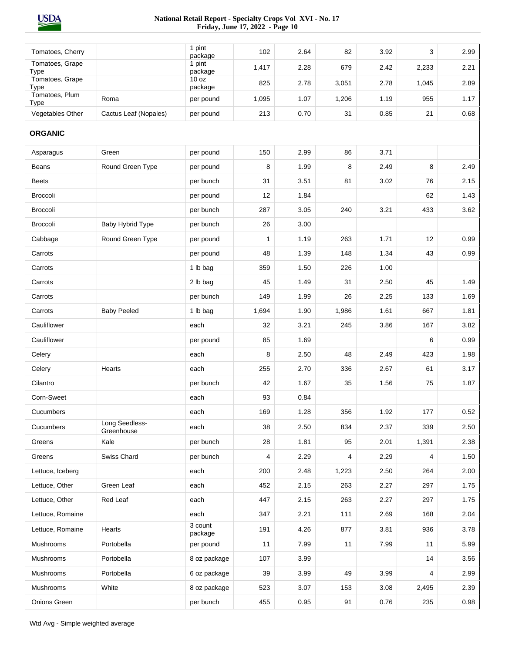| Tomatoes, Cherry        |                              | 1 pint<br>package           | 102          | 2.64 | 82    | 3.92 | 3     | 2.99 |
|-------------------------|------------------------------|-----------------------------|--------------|------|-------|------|-------|------|
| Tomatoes, Grape<br>Type |                              | 1 pint<br>package           | 1,417        | 2.28 | 679   | 2.42 | 2,233 | 2.21 |
| Tomatoes, Grape<br>Type |                              | 10 <sub>oz</sub><br>package | 825          | 2.78 | 3,051 | 2.78 | 1,045 | 2.89 |
| Tomatoes, Plum<br>Type  | Roma                         | per pound                   | 1,095        | 1.07 | 1,206 | 1.19 | 955   | 1.17 |
| Vegetables Other        | Cactus Leaf (Nopales)        | per pound                   | 213          | 0.70 | 31    | 0.85 | 21    | 0.68 |
| <b>ORGANIC</b>          |                              |                             |              |      |       |      |       |      |
| Asparagus               | Green                        | per pound                   | 150          | 2.99 | 86    | 3.71 |       |      |
| Beans                   | Round Green Type             | per pound                   | 8            | 1.99 | 8     | 2.49 | 8     | 2.49 |
| <b>Beets</b>            |                              | per bunch                   | 31           | 3.51 | 81    | 3.02 | 76    | 2.15 |
| <b>Broccoli</b>         |                              | per pound                   | 12           | 1.84 |       |      | 62    | 1.43 |
| <b>Broccoli</b>         |                              | per bunch                   | 287          | 3.05 | 240   | 3.21 | 433   | 3.62 |
| Broccoli                | Baby Hybrid Type             | per bunch                   | 26           | 3.00 |       |      |       |      |
| Cabbage                 | Round Green Type             | per pound                   | $\mathbf{1}$ | 1.19 | 263   | 1.71 | 12    | 0.99 |
| Carrots                 |                              | per pound                   | 48           | 1.39 | 148   | 1.34 | 43    | 0.99 |
| Carrots                 |                              | 1 lb bag                    | 359          | 1.50 | 226   | 1.00 |       |      |
| Carrots                 |                              | 2 lb bag                    | 45           | 1.49 | 31    | 2.50 | 45    | 1.49 |
| Carrots                 |                              | per bunch                   | 149          | 1.99 | 26    | 2.25 | 133   | 1.69 |
| Carrots                 | <b>Baby Peeled</b>           | 1 lb bag                    | 1,694        | 1.90 | 1,986 | 1.61 | 667   | 1.81 |
| Cauliflower             |                              | each                        | 32           | 3.21 | 245   | 3.86 | 167   | 3.82 |
| Cauliflower             |                              | per pound                   | 85           | 1.69 |       |      | 6     | 0.99 |
| Celery                  |                              | each                        | 8            | 2.50 | 48    | 2.49 | 423   | 1.98 |
| Celery                  | Hearts                       | each                        | 255          | 2.70 | 336   | 2.67 | 61    | 3.17 |
| Cilantro                |                              | per bunch                   | 42           | 1.67 | 35    | 1.56 | 75    | 1.87 |
| Corn-Sweet              |                              | each                        | 93           | 0.84 |       |      |       |      |
| Cucumbers               |                              | each                        | 169          | 1.28 | 356   | 1.92 | 177   | 0.52 |
| Cucumbers               | Long Seedless-<br>Greenhouse | each                        | 38           | 2.50 | 834   | 2.37 | 339   | 2.50 |
| Greens                  | Kale                         | per bunch                   | 28           | 1.81 | 95    | 2.01 | 1,391 | 2.38 |
| Greens                  | Swiss Chard                  | per bunch                   | 4            | 2.29 | 4     | 2.29 | 4     | 1.50 |
| Lettuce, Iceberg        |                              | each                        | 200          | 2.48 | 1,223 | 2.50 | 264   | 2.00 |
| Lettuce, Other          | Green Leaf                   | each                        | 452          | 2.15 | 263   | 2.27 | 297   | 1.75 |
| Lettuce, Other          | Red Leaf                     | each                        | 447          | 2.15 | 263   | 2.27 | 297   | 1.75 |
| Lettuce, Romaine        |                              | each                        | 347          | 2.21 | 111   | 2.69 | 168   | 2.04 |
| Lettuce, Romaine        | Hearts                       | 3 count<br>package          | 191          | 4.26 | 877   | 3.81 | 936   | 3.78 |
| Mushrooms               | Portobella                   | per pound                   | 11           | 7.99 | 11    | 7.99 | 11    | 5.99 |
| Mushrooms               | Portobella                   | 8 oz package                | 107          | 3.99 |       |      | 14    | 3.56 |
| Mushrooms               | Portobella                   | 6 oz package                | 39           | 3.99 | 49    | 3.99 | 4     | 2.99 |
| Mushrooms               | White                        | 8 oz package                | 523          | 3.07 | 153   | 3.08 | 2,495 | 2.39 |
| Onions Green            |                              | per bunch                   | 455          | 0.95 | 91    | 0.76 | 235   | 0.98 |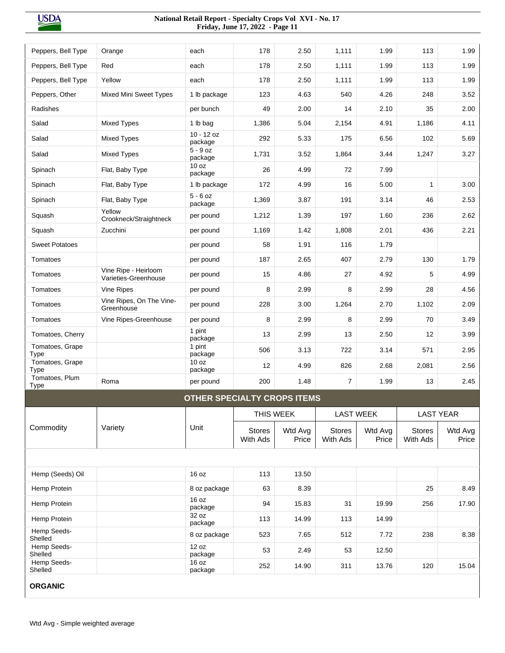| Peppers, Bell Type                | Orange                                       | each                               | 178                       | 2.50             | 1,111                     | 1.99             | 113                       | 1.99             |
|-----------------------------------|----------------------------------------------|------------------------------------|---------------------------|------------------|---------------------------|------------------|---------------------------|------------------|
| Peppers, Bell Type                | Red                                          | each                               | 178                       | 2.50             | 1,111                     | 1.99             | 113                       | 1.99             |
| Peppers, Bell Type                | Yellow                                       | each                               | 178                       | 2.50             | 1,111                     | 1.99             | 113                       | 1.99             |
| Peppers, Other                    | <b>Mixed Mini Sweet Types</b>                | 1 lb package                       | 123                       | 4.63             | 540                       | 4.26             | 248                       | 3.52             |
| Radishes                          |                                              | per bunch                          | 49                        | 2.00             | 14                        | 2.10             | 35                        | 2.00             |
| Salad                             | <b>Mixed Types</b>                           | 1 lb bag                           | 1,386                     | 5.04             | 2,154                     | 4.91             | 1,186                     | 4.11             |
| Salad                             | <b>Mixed Types</b>                           | $10 - 12$ oz<br>package            | 292                       | 5.33             | 175                       | 6.56             | 102                       | 5.69             |
| Salad                             | <b>Mixed Types</b>                           | $5 - 9$ oz<br>package              | 1,731                     | 3.52             | 1,864                     | 3.44             | 1,247                     | 3.27             |
| Spinach                           | Flat, Baby Type                              | 10 oz<br>package                   | 26                        | 4.99             | 72                        | 7.99             |                           |                  |
| Spinach                           | Flat, Baby Type                              | 1 lb package                       | 172                       | 4.99             | 16                        | 5.00             | $\mathbf{1}$              | 3.00             |
| Spinach                           | Flat, Baby Type                              | $5 - 6$ oz<br>package              | 1,369                     | 3.87             | 191                       | 3.14             | 46                        | 2.53             |
| Squash                            | Yellow<br>Crookneck/Straightneck             | per pound                          | 1,212                     | 1.39             | 197                       | 1.60             | 236                       | 2.62             |
| Squash                            | Zucchini                                     | per pound                          | 1,169                     | 1.42             | 1,808                     | 2.01             | 436                       | 2.21             |
| <b>Sweet Potatoes</b>             |                                              | per pound                          | 58                        | 1.91             | 116                       | 1.79             |                           |                  |
| Tomatoes                          |                                              | per pound                          | 187                       | 2.65             | 407                       | 2.79             | 130                       | 1.79             |
| Tomatoes                          | Vine Ripe - Heirloom<br>Varieties-Greenhouse | per pound                          | 15                        | 4.86             | 27                        | 4.92             | 5                         | 4.99             |
| Tomatoes                          | Vine Ripes                                   | per pound                          | 8                         | 2.99             | 8                         | 2.99             | 28                        | 4.56             |
| Tomatoes                          | Vine Ripes, On The Vine-<br>Greenhouse       | per pound                          | 228                       | 3.00             | 1,264                     | 2.70             | 1,102                     | 2.09             |
| Tomatoes                          | Vine Ripes-Greenhouse                        | per pound                          | 8                         | 2.99             | 8                         | 2.99             | 70                        | 3.49             |
| Tomatoes, Cherry                  |                                              | 1 pint<br>package                  | 13                        | 2.99             | 13                        | 2.50             | 12                        | 3.99             |
| Tomatoes, Grape<br>Type           |                                              | 1 pint<br>package                  | 506                       | 3.13             | 722                       | 3.14             | 571                       | 2.95             |
| Tomatoes, Grape<br>Type           |                                              | 10 oz<br>package                   | 12                        | 4.99             | 826                       | 2.68             | 2,081                     | 2.56             |
| Tomatoes, Plum<br><b>Type</b>     | Roma                                         | per pound                          | 200                       | 1.48             | $\overline{7}$            | 1.99             | 13                        | 2.45             |
|                                   |                                              | <b>OTHER SPECIALTY CROPS ITEMS</b> |                           |                  |                           |                  |                           |                  |
|                                   |                                              |                                    |                           | THIS WEEK        |                           | <b>LAST WEEK</b> | <b>LAST YEAR</b>          |                  |
| Commodity                         | Variety                                      | Unit                               | <b>Stores</b><br>With Ads | Wtd Avg<br>Price | <b>Stores</b><br>With Ads | Wtd Avg<br>Price | <b>Stores</b><br>With Ads | Wtd Avg<br>Price |
|                                   |                                              |                                    |                           |                  |                           |                  |                           |                  |
| Hemp (Seeds) Oil                  |                                              | 16 oz                              | 113                       | 13.50            |                           |                  |                           |                  |
| Hemp Protein                      |                                              | 8 oz package                       | 63                        | 8.39             |                           |                  | 25                        | 8.49             |
| Hemp Protein                      |                                              | 16 oz<br>package                   | 94                        | 15.83            | 31                        | 19.99            | 256                       | 17.90            |
| Hemp Protein                      |                                              | 32 oz<br>package                   | 113                       | 14.99            | 113                       | 14.99            |                           |                  |
| Hemp Seeds-<br>Shelled            |                                              | 8 oz package                       | 523                       | 7.65             | 512                       | 7.72             | 238                       | 8.38             |
|                                   |                                              | 12 oz                              |                           | 2.49             | 53                        | 12.50            |                           |                  |
| Hemp Seeds-                       |                                              |                                    | 53                        |                  |                           |                  |                           |                  |
| Shelled<br>Hemp Seeds-<br>Shelled |                                              | package<br>16 oz<br>package        | 252                       | 14.90            | 311                       | 13.76            | 120                       | 15.04            |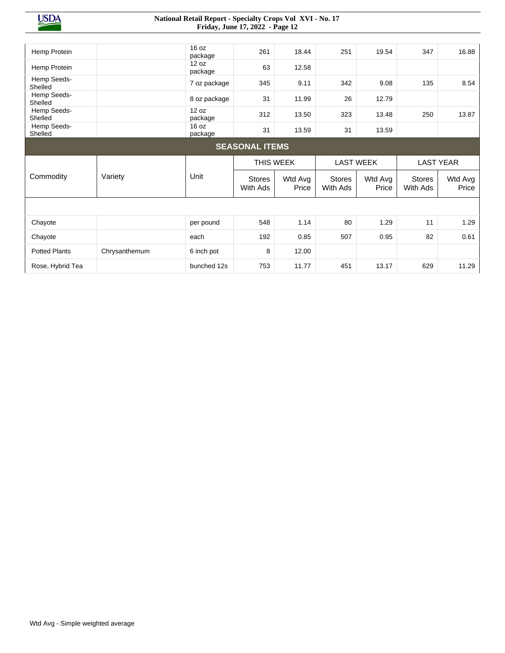| Hemp Protein           |               | 16 oz<br>package | 261                       | 18.44            | 251                       | 19.54            | 347                       | 16.88            |
|------------------------|---------------|------------------|---------------------------|------------------|---------------------------|------------------|---------------------------|------------------|
| Hemp Protein           |               | 12 oz<br>package | 63                        | 12.58            |                           |                  |                           |                  |
| Hemp Seeds-<br>Shelled |               | 7 oz package     | 345                       | 9.11             | 342                       | 9.08             | 135                       | 8.54             |
| Hemp Seeds-<br>Shelled |               | 8 oz package     | 31                        | 11.99            | 26                        | 12.79            |                           |                  |
| Hemp Seeds-<br>Shelled |               | 12 oz<br>package | 312                       | 13.50            | 323                       | 13.48            | 250                       | 13.87            |
| Hemp Seeds-<br>Shelled |               | 16 oz<br>package | 31                        | 13.59            | 31                        | 13.59            |                           |                  |
|                        |               |                  | <b>SEASONAL ITEMS</b>     |                  |                           |                  |                           |                  |
|                        |               |                  |                           |                  |                           |                  |                           |                  |
|                        |               |                  | THIS WEEK                 |                  |                           | <b>LAST WEEK</b> |                           | <b>LAST YEAR</b> |
| Commodity              | Variety       | Unit             | <b>Stores</b><br>With Ads | Wtd Avg<br>Price | <b>Stores</b><br>With Ads | Wtd Avg<br>Price | <b>Stores</b><br>With Ads | Wtd Avg<br>Price |
|                        |               |                  |                           |                  |                           |                  |                           |                  |
| Chayote                |               | per pound        | 548                       | 1.14             | 80                        | 1.29             | 11                        | 1.29             |
| Chayote                |               | each             | 192                       | 0.85             | 507                       | 0.95             | 82                        | 0.61             |
| <b>Potted Plants</b>   | Chrysanthemum | 6 inch pot       | 8                         | 12.00            |                           |                  |                           |                  |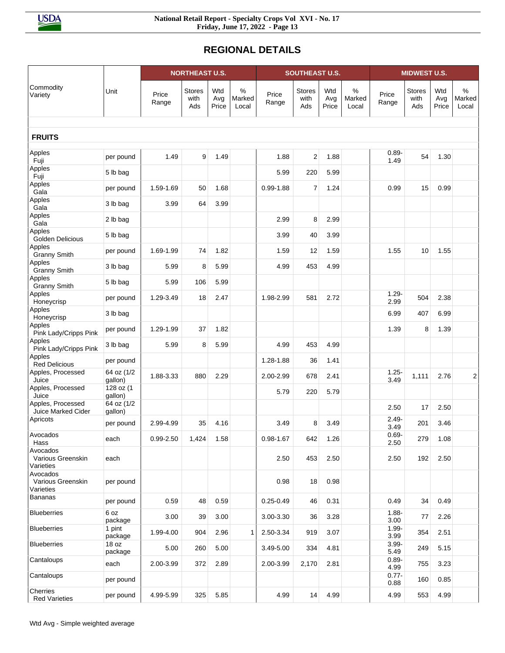# **REGIONAL DETAILS**

|                                            | <b>NORTHEAST U.S.</b> |                |                              |                     | <b>SOUTHEAST U.S.</b> |                |                              |                     | <b>MIDWEST U.S.</b>     |                  |                              |                     |                      |
|--------------------------------------------|-----------------------|----------------|------------------------------|---------------------|-----------------------|----------------|------------------------------|---------------------|-------------------------|------------------|------------------------------|---------------------|----------------------|
| Commodity<br>Variety                       | Unit                  | Price<br>Range | <b>Stores</b><br>with<br>Ads | Wtd<br>Avg<br>Price | %<br>Marked<br>Local  | Price<br>Range | <b>Stores</b><br>with<br>Ads | Wtd<br>Avg<br>Price | $\%$<br>Marked<br>Local | Price<br>Range   | <b>Stores</b><br>with<br>Ads | Wtd<br>Avg<br>Price | %<br>Marked<br>Local |
| <b>FRUITS</b>                              |                       |                |                              |                     |                       |                |                              |                     |                         |                  |                              |                     |                      |
| Apples                                     | per pound             | 1.49           | 9                            | 1.49                |                       | 1.88           | $\overline{2}$               | 1.88                |                         | $0.89 -$         | 54                           | 1.30                |                      |
| Fuji<br>Apples                             | 5 lb bag              |                |                              |                     |                       | 5.99           | 220                          | 5.99                |                         | 1.49             |                              |                     |                      |
| Fuji<br>Apples                             |                       |                |                              |                     |                       |                |                              |                     |                         |                  |                              |                     |                      |
| Gala<br>Apples                             | per pound             | 1.59-1.69      | 50                           | 1.68                |                       | $0.99 - 1.88$  | $\overline{7}$               | 1.24                |                         | 0.99             | 15                           | 0.99                |                      |
| Gala                                       | 3 lb bag              | 3.99           | 64                           | 3.99                |                       |                |                              |                     |                         |                  |                              |                     |                      |
| Apples<br>Gala                             | 2 lb bag              |                |                              |                     |                       | 2.99           | 8                            | 2.99                |                         |                  |                              |                     |                      |
| Apples<br>Golden Delicious                 | 5 lb bag              |                |                              |                     |                       | 3.99           | 40                           | 3.99                |                         |                  |                              |                     |                      |
| Apples<br><b>Granny Smith</b>              | per pound             | 1.69-1.99      | 74                           | 1.82                |                       | 1.59           | 12                           | 1.59                |                         | 1.55             | 10                           | 1.55                |                      |
| Apples<br><b>Granny Smith</b>              | 3 lb bag              | 5.99           | 8                            | 5.99                |                       | 4.99           | 453                          | 4.99                |                         |                  |                              |                     |                      |
| Apples<br><b>Granny Smith</b>              | 5 lb bag              | 5.99           | 106                          | 5.99                |                       |                |                              |                     |                         |                  |                              |                     |                      |
| Apples<br>Honeycrisp                       | per pound             | 1.29-3.49      | 18                           | 2.47                |                       | 1.98-2.99      | 581                          | 2.72                |                         | $1.29 -$<br>2.99 | 504                          | 2.38                |                      |
| Apples<br>Honeycrisp                       | 3 lb bag              |                |                              |                     |                       |                |                              |                     |                         | 6.99             | 407                          | 6.99                |                      |
| Apples<br>Pink Lady/Cripps Pink            | per pound             | 1.29-1.99      | 37                           | 1.82                |                       |                |                              |                     |                         | 1.39             | 8                            | 1.39                |                      |
| Apples<br>Pink Lady/Cripps Pink            | 3 lb bag              | 5.99           | 8                            | 5.99                |                       | 4.99           | 453                          | 4.99                |                         |                  |                              |                     |                      |
| Apples<br><b>Red Delicious</b>             | per pound             |                |                              |                     |                       | 1.28-1.88      | 36                           | 1.41                |                         |                  |                              |                     |                      |
| Apples, Processed<br>Juice                 | 64 oz (1/2<br>gallon) | 1.88-3.33      | 880                          | 2.29                |                       | 2.00-2.99      | 678                          | 2.41                |                         | $1.25 -$<br>3.49 | 1,111                        | 2.76                | 2                    |
| Apples, Processed<br>Juice                 | 128 oz (1<br>gallon)  |                |                              |                     |                       | 5.79           | 220                          | 5.79                |                         |                  |                              |                     |                      |
| Apples, Processed<br>Juice Marked Cider    | 64 oz (1/2<br>gallon) |                |                              |                     |                       |                |                              |                     |                         | 2.50             | 17                           | 2.50                |                      |
| Apricots                                   | per pound             | 2.99-4.99      | 35                           | 4.16                |                       | 3.49           | 8                            | 3.49                |                         | $2.49 -$<br>3.49 | 201                          | 3.46                |                      |
| Avocados<br>Hass                           | each                  | $0.99 - 2.50$  | 1,424                        | 1.58                |                       | $0.98 - 1.67$  | 642                          | 1.26                |                         | $0.69 -$<br>2.50 | 279                          | 1.08                |                      |
| Avocados<br>Various Greenskin<br>Varieties | each                  |                |                              |                     |                       | 2.50           | 453                          | 2.50                |                         | 2.50             | 192                          | 2.50                |                      |
| Avocados<br>Various Greenskin<br>Varieties | per pound             |                |                              |                     |                       | 0.98           | 18                           | 0.98                |                         |                  |                              |                     |                      |
| Bananas                                    | per pound             | 0.59           | 48                           | 0.59                |                       | $0.25 - 0.49$  | 46                           | 0.31                |                         | 0.49             | 34                           | 0.49                |                      |
| <b>Blueberries</b>                         | 6 oz<br>package       | 3.00           | 39                           | 3.00                |                       | 3.00-3.30      | 36                           | 3.28                |                         | $1.88 -$<br>3.00 | 77                           | 2.26                |                      |
| <b>Blueberries</b>                         | 1 pint<br>package     | 1.99-4.00      | 904                          | 2.96                | $\mathbf{1}$          | 2.50-3.34      | 919                          | 3.07                |                         | $1.99 -$<br>3.99 | 354                          | 2.51                |                      |
| <b>Blueberries</b>                         | 18 oz<br>package      | 5.00           | 260                          | 5.00                |                       | 3.49-5.00      | 334                          | 4.81                |                         | $3.99 -$<br>5.49 | 249                          | 5.15                |                      |
| Cantaloups                                 | each                  | 2.00-3.99      | 372                          | 2.89                |                       | 2.00-3.99      | 2,170                        | 2.81                |                         | $0.89 -$<br>4.99 | 755                          | 3.23                |                      |
| Cantaloups                                 | per pound             |                |                              |                     |                       |                |                              |                     |                         | $0.77 -$<br>0.88 | 160                          | 0.85                |                      |
| Cherries<br><b>Red Varieties</b>           | per pound             | 4.99-5.99      | 325                          | 5.85                |                       | 4.99           | 14                           | 4.99                |                         | 4.99             | 553                          | 4.99                |                      |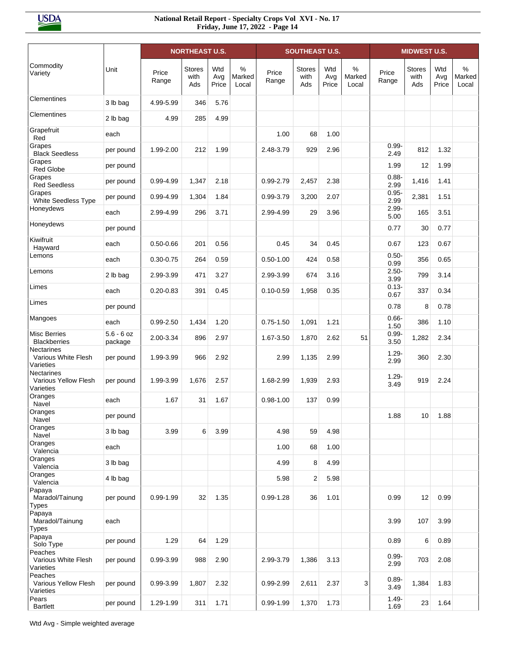|                                                        |                         |                | <b>NORTHEAST U.S.</b>        |                     |                      |                | <b>SOUTHEAST U.S.</b>        |                     |                      |                  | <b>MIDWEST U.S.</b>          |                     |                      |
|--------------------------------------------------------|-------------------------|----------------|------------------------------|---------------------|----------------------|----------------|------------------------------|---------------------|----------------------|------------------|------------------------------|---------------------|----------------------|
| Commodity<br>Variety                                   | Unit                    | Price<br>Range | <b>Stores</b><br>with<br>Ads | Wtd<br>Avg<br>Price | %<br>Marked<br>Local | Price<br>Range | <b>Stores</b><br>with<br>Ads | Wtd<br>Avg<br>Price | %<br>Marked<br>Local | Price<br>Range   | <b>Stores</b><br>with<br>Ads | Wtd<br>Avg<br>Price | %<br>Marked<br>Local |
| Clementines                                            | 3 lb bag                | 4.99-5.99      | 346                          | 5.76                |                      |                |                              |                     |                      |                  |                              |                     |                      |
| Clementines                                            | 2 lb bag                | 4.99           | 285                          | 4.99                |                      |                |                              |                     |                      |                  |                              |                     |                      |
| Grapefruit<br>Red                                      | each                    |                |                              |                     |                      | 1.00           | 68                           | 1.00                |                      |                  |                              |                     |                      |
| Grapes<br><b>Black Seedless</b>                        | per pound               | 1.99-2.00      | 212                          | 1.99                |                      | 2.48-3.79      | 929                          | 2.96                |                      | $0.99 -$<br>2.49 | 812                          | 1.32                |                      |
| Grapes<br><b>Red Globe</b>                             | per pound               |                |                              |                     |                      |                |                              |                     |                      | 1.99             | 12                           | 1.99                |                      |
| Grapes<br><b>Red Seedless</b>                          | per pound               | 0.99-4.99      | 1,347                        | 2.18                |                      | 0.99-2.79      | 2,457                        | 2.38                |                      | $0.88 -$<br>2.99 | 1,416                        | 1.41                |                      |
| Grapes<br>White Seedless Type                          | per pound               | 0.99-4.99      | 1,304                        | 1.84                |                      | 0.99-3.79      | 3,200                        | 2.07                |                      | $0.95 -$<br>2.99 | 2,381                        | 1.51                |                      |
| Honeydews                                              | each                    | 2.99-4.99      | 296                          | 3.71                |                      | 2.99-4.99      | 29                           | 3.96                |                      | $2.99 -$<br>5.00 | 165                          | 3.51                |                      |
| Honeydews                                              | per pound               |                |                              |                     |                      |                |                              |                     |                      | 0.77             | 30                           | 0.77                |                      |
| Kiwifruit<br>Hayward                                   | each                    | $0.50 - 0.66$  | 201                          | 0.56                |                      | 0.45           | 34                           | 0.45                |                      | 0.67             | 123                          | 0.67                |                      |
| Lemons                                                 | each                    | $0.30 - 0.75$  | 264                          | 0.59                |                      | $0.50 - 1.00$  | 424                          | 0.58                |                      | $0.50 -$<br>0.99 | 356                          | 0.65                |                      |
| Lemons                                                 | 2 lb bag                | 2.99-3.99      | 471                          | 3.27                |                      | 2.99-3.99      | 674                          | 3.16                |                      | $2.50 -$<br>3.99 | 799                          | 3.14                |                      |
| Limes                                                  | each                    | $0.20 - 0.83$  | 391                          | 0.45                |                      | $0.10 - 0.59$  | 1,958                        | 0.35                |                      | $0.13 -$<br>0.67 | 337                          | 0.34                |                      |
| Limes                                                  | per pound               |                |                              |                     |                      |                |                              |                     |                      | 0.78             | 8                            | 0.78                |                      |
| Mangoes                                                | each                    | $0.99 - 2.50$  | 1,434                        | 1.20                |                      | $0.75 - 1.50$  | 1,091                        | 1.21                |                      | $0.66 -$<br>1.50 | 386                          | 1.10                |                      |
| Misc Berries<br><b>Blackberries</b>                    | $5.6 - 6$ oz<br>package | 2.00-3.34      | 896                          | 2.97                |                      | 1.67-3.50      | 1,870                        | 2.62                | 51                   | $0.99 -$<br>3.50 | 1,282                        | 2.34                |                      |
| <b>Nectarines</b><br>Various White Flesh<br>Varieties  | per pound               | 1.99-3.99      | 966                          | 2.92                |                      | 2.99           | 1,135                        | 2.99                |                      | $1.29 -$<br>2.99 | 360                          | 2.30                |                      |
| <b>Nectarines</b><br>Various Yellow Flesh<br>Varieties | per pound               | 1.99-3.99      | 1,676                        | 2.57                |                      | 1.68-2.99      | 1,939                        | 2.93                |                      | $1.29 -$<br>3.49 | 919                          | 2.24                |                      |
| Oranges<br>Navel                                       | each                    | 1.67           | 31                           | 1.67                |                      | $0.98 - 1.00$  | 137                          | 0.99                |                      |                  |                              |                     |                      |
| Oranges<br>Navel                                       | per pound               |                |                              |                     |                      |                |                              |                     |                      | 1.88             | 10                           | 1.88                |                      |
| Oranges<br>Navel                                       | 3 lb bag                | 3.99           | 6                            | 3.99                |                      | 4.98           | 59                           | 4.98                |                      |                  |                              |                     |                      |
| Oranges<br>Valencia                                    | each                    |                |                              |                     |                      | 1.00           | 68                           | 1.00                |                      |                  |                              |                     |                      |
| Oranges<br>Valencia                                    | 3 lb bag                |                |                              |                     |                      | 4.99           | 8                            | 4.99                |                      |                  |                              |                     |                      |
| Oranges<br>Valencia                                    | 4 lb bag                |                |                              |                     |                      | 5.98           | $\overline{2}$               | 5.98                |                      |                  |                              |                     |                      |
| Papaya<br>Maradol/Tainung<br><b>Types</b>              | per pound               | $0.99 - 1.99$  | 32                           | 1.35                |                      | $0.99 - 1.28$  | 36                           | 1.01                |                      | 0.99             | 12                           | 0.99                |                      |
| Papaya<br>Maradol/Tainung<br><b>Types</b>              | each                    |                |                              |                     |                      |                |                              |                     |                      | 3.99             | 107                          | 3.99                |                      |
| Papaya<br>Solo Type                                    | per pound               | 1.29           | 64                           | 1.29                |                      |                |                              |                     |                      | 0.89             | 6                            | 0.89                |                      |
| Peaches<br>Various White Flesh<br>Varieties            | per pound               | 0.99-3.99      | 988                          | 2.90                |                      | 2.99-3.79      | 1,386                        | 3.13                |                      | $0.99 -$<br>2.99 | 703                          | 2.08                |                      |
| Peaches<br>Various Yellow Flesh<br>Varieties           | per pound               | 0.99-3.99      | 1,807                        | 2.32                |                      | $0.99 - 2.99$  | 2,611                        | 2.37                | 3                    | $0.89 -$<br>3.49 | 1,384                        | 1.83                |                      |
| Pears<br><b>Bartlett</b>                               | per pound               | 1.29-1.99      | 311                          | 1.71                |                      | $0.99 - 1.99$  | 1,370                        | 1.73                |                      | $1.49 -$<br>1.69 | 23                           | 1.64                |                      |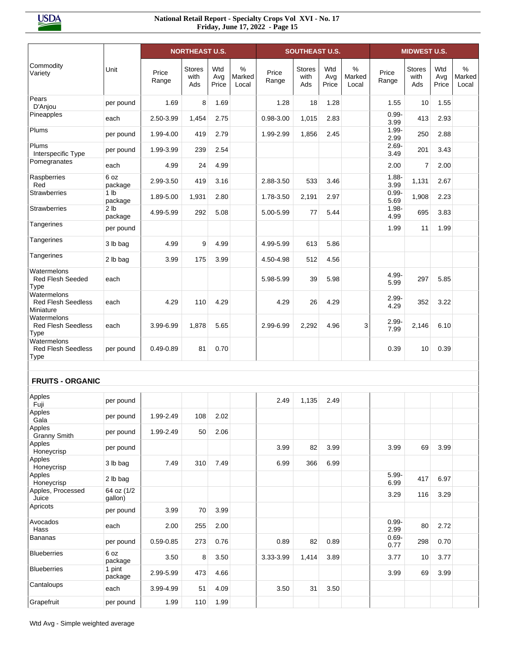|                                                         |                            |                | <b>NORTHEAST U.S.</b>        |                     |                         |                | <b>SOUTHEAST U.S.</b>        |                     |                      |                  | <b>MIDWEST U.S.</b>          |                     |                         |
|---------------------------------------------------------|----------------------------|----------------|------------------------------|---------------------|-------------------------|----------------|------------------------------|---------------------|----------------------|------------------|------------------------------|---------------------|-------------------------|
| Commodity<br>Variety                                    | Unit                       | Price<br>Range | <b>Stores</b><br>with<br>Ads | Wtd<br>Avg<br>Price | $\%$<br>Marked<br>Local | Price<br>Range | <b>Stores</b><br>with<br>Ads | Wtd<br>Avg<br>Price | %<br>Marked<br>Local | Price<br>Range   | <b>Stores</b><br>with<br>Ads | Wtd<br>Avg<br>Price | $\%$<br>Marked<br>Local |
| Pears<br>D'Anjou                                        | per pound                  | 1.69           | 8                            | 1.69                |                         | 1.28           | 18                           | 1.28                |                      | 1.55             | 10                           | 1.55                |                         |
| Pineapples                                              | each                       | 2.50-3.99      | 1,454                        | 2.75                |                         | 0.98-3.00      | 1,015                        | 2.83                |                      | $0.99 -$<br>3.99 | 413                          | 2.93                |                         |
| Plums                                                   | per pound                  | 1.99-4.00      | 419                          | 2.79                |                         | 1.99-2.99      | 1,856                        | 2.45                |                      | $1.99 -$<br>2.99 | 250                          | 2.88                |                         |
| Plums<br>Interspecific Type                             | per pound                  | 1.99-3.99      | 239                          | 2.54                |                         |                |                              |                     |                      | $2.69 -$<br>3.49 | 201                          | 3.43                |                         |
| Pomegranates                                            | each                       | 4.99           | 24                           | 4.99                |                         |                |                              |                     |                      | 2.00             | 7                            | 2.00                |                         |
| Raspberries<br>Red                                      | 6 oz<br>package            | 2.99-3.50      | 419                          | 3.16                |                         | 2.88-3.50      | 533                          | 3.46                |                      | $1.88 -$<br>3.99 | 1,131                        | 2.67                |                         |
| Strawberries                                            | 1 <sub>lb</sub><br>package | 1.89-5.00      | 1,931                        | 2.80                |                         | 1.78-3.50      | 2,191                        | 2.97                |                      | $0.99 -$<br>5.69 | 1,908                        | 2.23                |                         |
| <b>Strawberries</b>                                     | 2 <sub>lb</sub><br>package | 4.99-5.99      | 292                          | 5.08                |                         | 5.00-5.99      | 77                           | 5.44                |                      | $1.98 -$<br>4.99 | 695                          | 3.83                |                         |
| Tangerines                                              | per pound                  |                |                              |                     |                         |                |                              |                     |                      | 1.99             | 11                           | 1.99                |                         |
| Tangerines                                              | 3 lb bag                   | 4.99           | 9                            | 4.99                |                         | 4.99-5.99      | 613                          | 5.86                |                      |                  |                              |                     |                         |
| Tangerines                                              | 2 lb bag                   | 3.99           | 175                          | 3.99                |                         | 4.50-4.98      | 512                          | 4.56                |                      |                  |                              |                     |                         |
| Watermelons<br><b>Red Flesh Seeded</b><br>Type          | each                       |                |                              |                     |                         | 5.98-5.99      | 39                           | 5.98                |                      | 4.99-<br>5.99    | 297                          | 5.85                |                         |
| Watermelons<br><b>Red Flesh Seedless</b><br>Miniature   | each                       | 4.29           | 110                          | 4.29                |                         | 4.29           | 26                           | 4.29                |                      | $2.99 -$<br>4.29 | 352                          | 3.22                |                         |
| Watermelons<br><b>Red Flesh Seedless</b><br>Type        | each                       | 3.99-6.99      | 1,878                        | 5.65                |                         | 2.99-6.99      | 2,292                        | 4.96                | 3                    | $2.99 -$<br>7.99 | 2,146                        | 6.10                |                         |
| Watermelons<br><b>Red Flesh Seedless</b><br><b>Type</b> | per pound                  | $0.49 - 0.89$  | 81                           | 0.70                |                         |                |                              |                     |                      | 0.39             | 10                           | 0.39                |                         |
| <b>FRUITS - ORGANIC</b>                                 |                            |                |                              |                     |                         |                |                              |                     |                      |                  |                              |                     |                         |
| Apples                                                  | per pound                  |                |                              |                     |                         | 2.49           | 1,135                        | 2.49                |                      |                  |                              |                     |                         |
| Fuji<br>Apples                                          | per pound                  | 1.99-2.49      | 108                          | 2.02                |                         |                |                              |                     |                      |                  |                              |                     |                         |
| Gala<br>Apples                                          | per pound                  | 1.99-2.49      | 50                           | 2.06                |                         |                |                              |                     |                      |                  |                              |                     |                         |
| Granny Smith<br>Apples                                  | per pound                  |                |                              |                     |                         | 3.99           | 82                           | 3.99                |                      | 3.99             | 69                           | 3.99                |                         |
| Honeycrisp<br>Apples                                    | 3 lb bag                   | 7.49           | 310                          | 7.49                |                         | 6.99           | 366                          | 6.99                |                      |                  |                              |                     |                         |
| Honeycrisp<br>Apples                                    | 2 lb bag                   |                |                              |                     |                         |                |                              |                     |                      | $5.99 -$         | 417                          | 6.97                |                         |
| Honeycrisp<br>Apples, Processed                         | 64 oz (1/2                 |                |                              |                     |                         |                |                              |                     |                      | 6.99<br>3.29     | 116                          | 3.29                |                         |
| Juice<br>Apricots                                       | gallon)                    | 3.99           |                              | 3.99                |                         |                |                              |                     |                      |                  |                              |                     |                         |
| Avocados                                                | per pound                  |                | 70                           | 2.00                |                         |                |                              |                     |                      | $0.99 -$         | 80                           |                     |                         |
| Hass<br><b>Bananas</b>                                  | each                       | 2.00           | 255                          |                     |                         |                |                              |                     |                      | 2.99<br>$0.69 -$ |                              | 2.72                |                         |
| <b>Blueberries</b>                                      | per pound<br>6 oz          | 0.59-0.85      | 273                          | 0.76                |                         | 0.89           | 82                           | 0.89                |                      | 0.77             | 298                          | 0.70                |                         |
| <b>Blueberries</b>                                      | package<br>1 pint          | 3.50           | 8                            | 3.50                |                         | 3.33-3.99      | 1,414                        | 3.89                |                      | 3.77             | 10                           | 3.77                |                         |
| Cantaloups                                              | package                    | 2.99-5.99      | 473                          | 4.66                |                         |                |                              |                     |                      | 3.99             | 69                           | 3.99                |                         |
|                                                         | each                       | 3.99-4.99      | 51                           | 4.09                |                         | 3.50           | 31                           | 3.50                |                      |                  |                              |                     |                         |
| Grapefruit                                              | per pound                  | 1.99           | 110                          | 1.99                |                         |                |                              |                     |                      |                  |                              |                     |                         |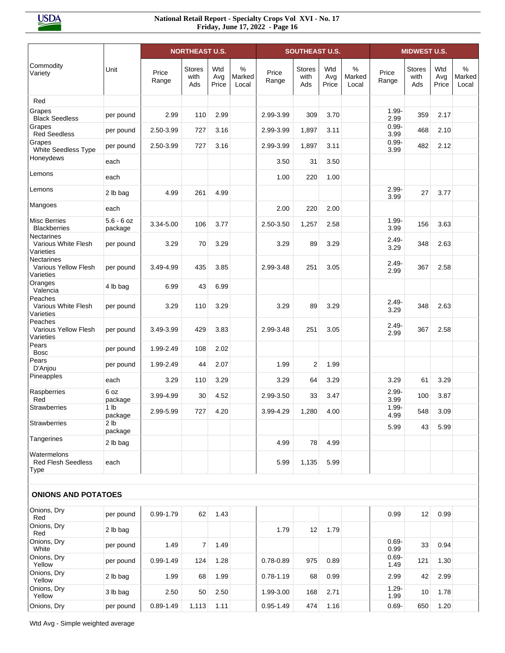|                                                     |                            |                | <b>NORTHEAST U.S.</b>        |                     |                         |                | <b>SOUTHEAST U.S.</b>        |                     |                      |                  | <b>MIDWEST U.S.</b>          |                     |                         |
|-----------------------------------------------------|----------------------------|----------------|------------------------------|---------------------|-------------------------|----------------|------------------------------|---------------------|----------------------|------------------|------------------------------|---------------------|-------------------------|
| Commodity<br>Variety                                | Unit                       | Price<br>Range | <b>Stores</b><br>with<br>Ads | Wtd<br>Avg<br>Price | $\%$<br>Marked<br>Local | Price<br>Range | <b>Stores</b><br>with<br>Ads | Wtd<br>Avg<br>Price | %<br>Marked<br>Local | Price<br>Range   | <b>Stores</b><br>with<br>Ads | Wtd<br>Avg<br>Price | $\%$<br>Marked<br>Local |
| Red                                                 |                            |                |                              |                     |                         |                |                              |                     |                      |                  |                              |                     |                         |
| Grapes<br><b>Black Seedless</b>                     | per pound                  | 2.99           | 110                          | 2.99                |                         | 2.99-3.99      | 309                          | 3.70                |                      | $1.99 -$<br>2.99 | 359                          | 2.17                |                         |
| Grapes<br><b>Red Seedless</b>                       | per pound                  | 2.50-3.99      | 727                          | 3.16                |                         | 2.99-3.99      | 1,897                        | 3.11                |                      | $0.99 -$<br>3.99 | 468                          | 2.10                |                         |
| Grapes<br>White Seedless Type                       | per pound                  | 2.50-3.99      | 727                          | 3.16                |                         | 2.99-3.99      | 1,897                        | 3.11                |                      | $0.99 -$<br>3.99 | 482                          | 2.12                |                         |
| Honeydews                                           | each                       |                |                              |                     |                         | 3.50           | 31                           | 3.50                |                      |                  |                              |                     |                         |
| Lemons                                              | each                       |                |                              |                     |                         | 1.00           | 220                          | 1.00                |                      |                  |                              |                     |                         |
| Lemons                                              | 2 lb bag                   | 4.99           | 261                          | 4.99                |                         |                |                              |                     |                      | $2.99 -$<br>3.99 | 27                           | 3.77                |                         |
| Mangoes                                             | each                       |                |                              |                     |                         | 2.00           | 220                          | 2.00                |                      |                  |                              |                     |                         |
| <b>Misc Berries</b><br><b>Blackberries</b>          | $5.6 - 6$ oz<br>package    | 3.34-5.00      | 106                          | 3.77                |                         | 2.50-3.50      | 1,257                        | 2.58                |                      | $1.99 -$<br>3.99 | 156                          | 3.63                |                         |
| Nectarines<br>Various White Flesh<br>Varieties      | per pound                  | 3.29           | 70                           | 3.29                |                         | 3.29           | 89                           | 3.29                |                      | $2.49 -$<br>3.29 | 348                          | 2.63                |                         |
| Nectarines<br>Various Yellow Flesh<br>Varieties     | per pound                  | 3.49-4.99      | 435                          | 3.85                |                         | 2.99-3.48      | 251                          | 3.05                |                      | $2.49 -$<br>2.99 | 367                          | 2.58                |                         |
| Oranges<br>Valencia                                 | 4 lb bag                   | 6.99           | 43                           | 6.99                |                         |                |                              |                     |                      |                  |                              |                     |                         |
| Peaches<br>Various White Flesh<br>Varieties         | per pound                  | 3.29           | 110                          | 3.29                |                         | 3.29           | 89                           | 3.29                |                      | $2.49 -$<br>3.29 | 348                          | 2.63                |                         |
| Peaches<br><b>Various Yellow Flesh</b><br>Varieties | per pound                  | 3.49-3.99      | 429                          | 3.83                |                         | 2.99-3.48      | 251                          | 3.05                |                      | $2.49 -$<br>2.99 | 367                          | 2.58                |                         |
| Pears<br><b>Bosc</b>                                | per pound                  | 1.99-2.49      | 108                          | 2.02                |                         |                |                              |                     |                      |                  |                              |                     |                         |
| Pears<br>D'Anjou                                    | per pound                  | 1.99-2.49      | 44                           | 2.07                |                         | 1.99           | $\overline{2}$               | 1.99                |                      |                  |                              |                     |                         |
| Pineapples                                          | each                       | 3.29           | 110                          | 3.29                |                         | 3.29           | 64                           | 3.29                |                      | 3.29             | 61                           | 3.29                |                         |
| Raspberries<br>Red                                  | 6 oz<br>package            | 3.99-4.99      | 30                           | 4.52                |                         | 2.99-3.50      | 33                           | 3.47                |                      | $2.99 -$<br>3.99 | 100                          | 3.87                |                         |
| Strawberries                                        | 1 lb<br>package            | 2.99-5.99      | 727                          | 4.20                |                         | 3.99-4.29      | 1,280                        | 4.00                |                      | $1.99 -$<br>4.99 | 548                          | 3.09                |                         |
| Strawberries                                        | 2 <sub>lb</sub><br>package |                |                              |                     |                         |                |                              |                     |                      | 5.99             | 43                           | 5.99                |                         |
| Tangerines                                          | 2 lb bag                   |                |                              |                     |                         | 4.99           | 78                           | 4.99                |                      |                  |                              |                     |                         |
| Watermelons<br><b>Red Flesh Seedless</b><br>Type    | each                       |                |                              |                     |                         | 5.99           | 1,135                        | 5.99                |                      |                  |                              |                     |                         |
| <b>ONIONS AND POTATOES</b>                          |                            |                |                              |                     |                         |                |                              |                     |                      |                  |                              |                     |                         |
| Onions, Dry<br>Red                                  | per pound                  | 0.99-1.79      | 62                           | 1.43                |                         |                |                              |                     |                      | 0.99             | 12                           | 0.99                |                         |
| Onions, Dry<br>Red                                  | 2 lb bag                   |                |                              |                     |                         | 1.79           | 12                           | 1.79                |                      |                  |                              |                     |                         |
| Onions, Dry<br>White                                | per pound                  | 1.49           | $\overline{7}$               | 1.49                |                         |                |                              |                     |                      | $0.69 -$<br>0.99 | 33                           | 0.94                |                         |
| Onions, Dry<br>Yellow                               | per pound                  | $0.99 - 1.49$  | 124                          | 1.28                |                         | $0.78 - 0.89$  | 975                          | 0.89                |                      | $0.69 -$<br>1.49 | 121                          | 1.30                |                         |
| Onions, Dry<br>Yellow                               | 2 lb bag                   | 1.99           | 68                           | 1.99                |                         | $0.78 - 1.19$  | 68                           | 0.99                |                      | 2.99             | 42                           | 2.99                |                         |
| Onions, Dry<br>Yellow                               | 3 lb bag                   | 2.50           | 50                           | 2.50                |                         | 1.99-3.00      | 168                          | 2.71                |                      | $1.29 -$<br>1.99 | 10                           | 1.78                |                         |
| Onions, Dry                                         | per pound                  | $0.89 - 1.49$  | 1,113                        | 1.11                |                         | $0.95 - 1.49$  | 474                          | 1.16                |                      | $0.69 -$         | 650                          | 1.20                |                         |

Wtd Avg - Simple weighted average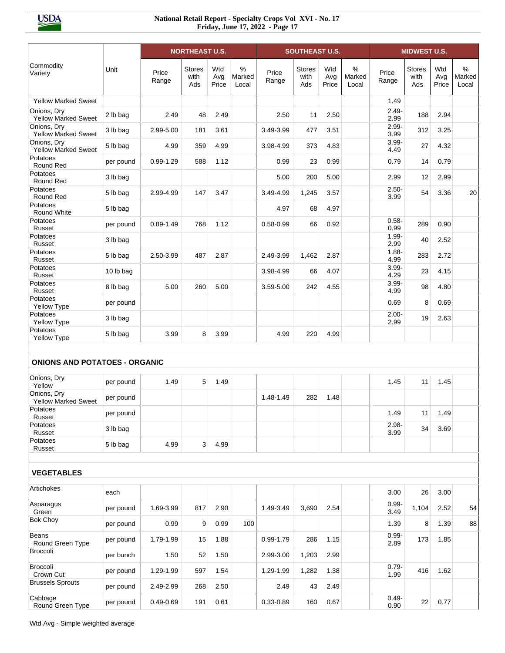|                                           |           |                | <b>NORTHEAST U.S.</b>        |                     |                         |                | <b>SOUTHEAST U.S.</b>        |                     |                      |                  | <b>MIDWEST U.S.</b>          |                     |                      |
|-------------------------------------------|-----------|----------------|------------------------------|---------------------|-------------------------|----------------|------------------------------|---------------------|----------------------|------------------|------------------------------|---------------------|----------------------|
| Commodity<br>Variety                      | Unit      | Price<br>Range | <b>Stores</b><br>with<br>Ads | Wtd<br>Avg<br>Price | $\%$<br>Marked<br>Local | Price<br>Range | <b>Stores</b><br>with<br>Ads | Wtd<br>Avg<br>Price | %<br>Marked<br>Local | Price<br>Range   | <b>Stores</b><br>with<br>Ads | Wtd<br>Avg<br>Price | %<br>Marked<br>Local |
| <b>Yellow Marked Sweet</b>                |           |                |                              |                     |                         |                |                              |                     |                      | 1.49             |                              |                     |                      |
| Onions, Dry<br><b>Yellow Marked Sweet</b> | 2 lb bag  | 2.49           | 48                           | 2.49                |                         | 2.50           | 11                           | 2.50                |                      | $2.49 -$<br>2.99 | 188                          | 2.94                |                      |
| Onions, Dry<br><b>Yellow Marked Sweet</b> | 3 lb bag  | 2.99-5.00      | 181                          | 3.61                |                         | 3.49-3.99      | 477                          | 3.51                |                      | $2.99 -$<br>3.99 | 312                          | 3.25                |                      |
| Onions, Dry<br><b>Yellow Marked Sweet</b> | 5 lb bag  | 4.99           | 359                          | 4.99                |                         | 3.98-4.99      | 373                          | 4.83                |                      | $3.99 -$<br>4.49 | 27                           | 4.32                |                      |
| Potatoes<br>Round Red                     | per pound | $0.99 - 1.29$  | 588                          | 1.12                |                         | 0.99           | 23                           | 0.99                |                      | 0.79             | 14                           | 0.79                |                      |
| Potatoes<br>Round Red                     | 3 lb bag  |                |                              |                     |                         | 5.00           | 200                          | 5.00                |                      | 2.99             | 12                           | 2.99                |                      |
| Potatoes<br>Round Red                     | 5 lb bag  | 2.99-4.99      | 147                          | 3.47                |                         | 3.49-4.99      | 1,245                        | 3.57                |                      | $2.50 -$<br>3.99 | 54                           | 3.36                | 20                   |
| Potatoes<br>Round White                   | 5 lb bag  |                |                              |                     |                         | 4.97           | 68                           | 4.97                |                      |                  |                              |                     |                      |
| Potatoes<br>Russet                        | per pound | $0.89 - 1.49$  | 768                          | 1.12                |                         | $0.58 - 0.99$  | 66                           | 0.92                |                      | $0.58 -$<br>0.99 | 289                          | 0.90                |                      |
| Potatoes<br>Russet                        | 3 lb bag  |                |                              |                     |                         |                |                              |                     |                      | $1.99 -$<br>2.99 | 40                           | 2.52                |                      |
| Potatoes<br>Russet                        | 5 lb bag  | 2.50-3.99      | 487                          | 2.87                |                         | 2.49-3.99      | 1,462                        | 2.87                |                      | $1.88 -$<br>4.99 | 283                          | 2.72                |                      |
| Potatoes<br>Russet                        | 10 lb bag |                |                              |                     |                         | 3.98-4.99      | 66                           | 4.07                |                      | $3.99 -$<br>4.29 | 23                           | 4.15                |                      |
| Potatoes<br>Russet                        | 8 lb bag  | 5.00           | 260                          | 5.00                |                         | 3.59-5.00      | 242                          | 4.55                |                      | $3.99 -$<br>4.99 | 98                           | 4.80                |                      |
| Potatoes<br>Yellow Type                   | per pound |                |                              |                     |                         |                |                              |                     |                      | 0.69             | 8                            | 0.69                |                      |
| Potatoes<br>Yellow Type                   | 3 lb bag  |                |                              |                     |                         |                |                              |                     |                      | $2.00 -$<br>2.99 | 19                           | 2.63                |                      |
| Potatoes<br>Yellow Type                   | 5 lb bag  | 3.99           | 8                            | 3.99                |                         | 4.99           | 220                          | 4.99                |                      |                  |                              |                     |                      |
| <b>ONIONS AND POTATOES - ORGANIC</b>      |           |                |                              |                     |                         |                |                              |                     |                      |                  |                              |                     |                      |
| Onions, Dry<br>Yellow                     | per pound | 1.49           | 5                            | 1.49                |                         |                |                              |                     |                      | 1.45             | 11                           | 1.45                |                      |
| Onions, Dry<br><b>Yellow Marked Sweet</b> | per pound |                |                              |                     |                         | 1.48-1.49      | 282                          | 1.48                |                      |                  |                              |                     |                      |
| Potatoes<br>Russet                        | per pound |                |                              |                     |                         |                |                              |                     |                      | 1.49             | 11                           | 1.49                |                      |
| Potatoes<br>Russet                        | 3 lb bag  |                |                              |                     |                         |                |                              |                     |                      | $2.98 -$<br>3.99 | 34                           | 3.69                |                      |
| Potatoes<br>Russet                        | 5 lb bag  | 4.99           | 3 <sup>1</sup>               | 4.99                |                         |                |                              |                     |                      |                  |                              |                     |                      |
|                                           |           |                |                              |                     |                         |                |                              |                     |                      |                  |                              |                     |                      |
| <b>VEGETABLES</b>                         |           |                |                              |                     |                         |                |                              |                     |                      |                  |                              |                     |                      |
| Artichokes                                | each      |                |                              |                     |                         |                |                              |                     |                      | 3.00             | 26                           | 3.00                |                      |
| Asparagus<br>Green                        | per pound | 1.69-3.99      | 817                          | 2.90                |                         | 1.49-3.49      | 3,690                        | 2.54                |                      | $0.99 -$<br>3.49 | 1,104                        | 2.52                | 54                   |
| <b>Bok Choy</b>                           | per pound | 0.99           | 9                            | 0.99                | 100                     |                |                              |                     |                      | 1.39             | 8                            | 1.39                | 88                   |
| Beans<br>Round Green Type                 | per pound | 1.79-1.99      | 15                           | 1.88                |                         | 0.99-1.79      | 286                          | 1.15                |                      | $0.99 -$<br>2.89 | 173                          | 1.85                |                      |
| Broccoli                                  | per bunch | 1.50           | 52                           | 1.50                |                         | 2.99-3.00      | 1,203                        | 2.99                |                      |                  |                              |                     |                      |
| Broccoli<br>Crown Cut                     | per pound | 1.29-1.99      | 597                          | 1.54                |                         | 1.29-1.99      | 1,282                        | 1.38                |                      | $0.79 -$<br>1.99 | 416                          | 1.62                |                      |
| <b>Brussels Sprouts</b>                   | per pound | 2.49-2.99      | 268                          | 2.50                |                         | 2.49           | 43                           | 2.49                |                      |                  |                              |                     |                      |
| Cabbage<br>Round Green Type               | per pound | 0.49-0.69      | 191                          | 0.61                |                         | 0.33-0.89      | 160                          | 0.67                |                      | $0.49 -$<br>0.90 | 22                           | 0.77                |                      |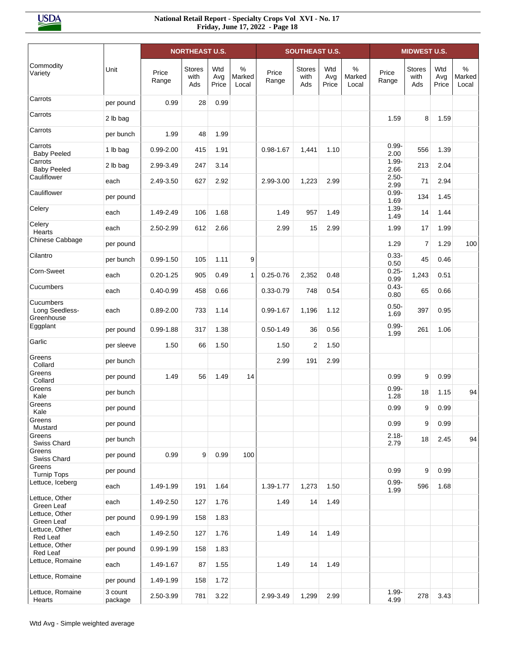|                                           |                    |                | <b>NORTHEAST U.S.</b>        |                     |                         |                | <b>SOUTHEAST U.S.</b>        |                     |                      |                  | <b>MIDWEST U.S.</b>          |                     |                         |
|-------------------------------------------|--------------------|----------------|------------------------------|---------------------|-------------------------|----------------|------------------------------|---------------------|----------------------|------------------|------------------------------|---------------------|-------------------------|
| Commodity<br>Variety                      | Unit               | Price<br>Range | <b>Stores</b><br>with<br>Ads | Wtd<br>Avg<br>Price | $\%$<br>Marked<br>Local | Price<br>Range | <b>Stores</b><br>with<br>Ads | Wtd<br>Avg<br>Price | %<br>Marked<br>Local | Price<br>Range   | <b>Stores</b><br>with<br>Ads | Wtd<br>Avg<br>Price | $\%$<br>Marked<br>Local |
| Carrots                                   | per pound          | 0.99           | 28                           | 0.99                |                         |                |                              |                     |                      |                  |                              |                     |                         |
| Carrots                                   | 2 lb bag           |                |                              |                     |                         |                |                              |                     |                      | 1.59             | 8                            | 1.59                |                         |
| Carrots                                   | per bunch          | 1.99           | 48                           | 1.99                |                         |                |                              |                     |                      |                  |                              |                     |                         |
| Carrots<br><b>Baby Peeled</b>             | 1 lb bag           | $0.99 - 2.00$  | 415                          | 1.91                |                         | $0.98 - 1.67$  | 1,441                        | 1.10                |                      | $0.99 -$<br>2.00 | 556                          | 1.39                |                         |
| Carrots<br><b>Baby Peeled</b>             | 2 lb bag           | 2.99-3.49      | 247                          | 3.14                |                         |                |                              |                     |                      | $1.99 -$<br>2.66 | 213                          | 2.04                |                         |
| Cauliflower                               | each               | 2.49-3.50      | 627                          | 2.92                |                         | 2.99-3.00      | 1,223                        | 2.99                |                      | $2.50 -$<br>2.99 | 71                           | 2.94                |                         |
| Cauliflower                               | per pound          |                |                              |                     |                         |                |                              |                     |                      | $0.99 -$<br>1.69 | 134                          | 1.45                |                         |
| Celery                                    | each               | 1.49-2.49      | 106                          | 1.68                |                         | 1.49           | 957                          | 1.49                |                      | $1.39 -$<br>1.49 | 14                           | 1.44                |                         |
| Celery<br>Hearts                          | each               | 2.50-2.99      | 612                          | 2.66                |                         | 2.99           | 15                           | 2.99                |                      | 1.99             | 17                           | 1.99                |                         |
| Chinese Cabbage                           | per pound          |                |                              |                     |                         |                |                              |                     |                      | 1.29             | 7                            | 1.29                | 100                     |
| Cilantro                                  | per bunch          | $0.99 - 1.50$  | 105                          | 1.11                | 9                       |                |                              |                     |                      | $0.33 -$<br>0.50 | 45                           | 0.46                |                         |
| Corn-Sweet                                | each               | $0.20 - 1.25$  | 905                          | 0.49                | $\mathbf{1}$            | $0.25 - 0.76$  | 2,352                        | 0.48                |                      | $0.25 -$<br>0.99 | 1,243                        | 0.51                |                         |
| Cucumbers                                 | each               | $0.40 - 0.99$  | 458                          | 0.66                |                         | $0.33 - 0.79$  | 748                          | 0.54                |                      | $0.43 -$<br>0.80 | 65                           | 0.66                |                         |
| Cucumbers<br>Long Seedless-<br>Greenhouse | each               | $0.89 - 2.00$  | 733                          | 1.14                |                         | $0.99 - 1.67$  | 1,196                        | 1.12                |                      | $0.50 -$<br>1.69 | 397                          | 0.95                |                         |
| Eggplant                                  | per pound          | $0.99 - 1.88$  | 317                          | 1.38                |                         | $0.50 - 1.49$  | 36                           | 0.56                |                      | $0.99 -$<br>1.99 | 261                          | 1.06                |                         |
| Garlic                                    | per sleeve         | 1.50           | 66                           | 1.50                |                         | 1.50           | 2                            | 1.50                |                      |                  |                              |                     |                         |
| Greens<br>Collard                         | per bunch          |                |                              |                     |                         | 2.99           | 191                          | 2.99                |                      |                  |                              |                     |                         |
| Greens<br>Collard                         | per pound          | 1.49           | 56                           | 1.49                | 14                      |                |                              |                     |                      | 0.99             | 9                            | 0.99                |                         |
| Greens<br>Kale                            | per bunch          |                |                              |                     |                         |                |                              |                     |                      | $0.99 -$<br>1.28 | 18                           | 1.15                | 94                      |
| Greens<br>Kale                            | per pound          |                |                              |                     |                         |                |                              |                     |                      | 0.99             | 9                            | 0.99                |                         |
| Greens<br>Mustard                         | per pound          |                |                              |                     |                         |                |                              |                     |                      | 0.99             | 9                            | 0.99                |                         |
| Greens<br>Swiss Chard                     | per bunch          |                |                              |                     |                         |                |                              |                     |                      | $2.18 -$<br>2.79 | 18                           | 2.45                | 94                      |
| Greens<br>Swiss Chard                     | per pound          | 0.99           | 9                            | 0.99                | 100                     |                |                              |                     |                      |                  |                              |                     |                         |
| Greens<br><b>Turnip Tops</b>              | per pound          |                |                              |                     |                         |                |                              |                     |                      | 0.99             | 9                            | 0.99                |                         |
| Lettuce, Iceberg                          | each               | 1.49-1.99      | 191                          | 1.64                |                         | 1.39-1.77      | 1,273                        | 1.50                |                      | $0.99 -$<br>1.99 | 596                          | 1.68                |                         |
| Lettuce, Other<br>Green Leaf              | each               | 1.49-2.50      | 127                          | 1.76                |                         | 1.49           | 14                           | 1.49                |                      |                  |                              |                     |                         |
| Lettuce, Other<br>Green Leaf              | per pound          | 0.99-1.99      | 158                          | 1.83                |                         |                |                              |                     |                      |                  |                              |                     |                         |
| Lettuce, Other<br>Red Leaf                | each               | 1.49-2.50      | 127                          | 1.76                |                         | 1.49           | 14                           | 1.49                |                      |                  |                              |                     |                         |
| Lettuce, Other<br>Red Leaf                | per pound          | 0.99-1.99      | 158                          | 1.83                |                         |                |                              |                     |                      |                  |                              |                     |                         |
| Lettuce, Romaine                          | each               | 1.49-1.67      | 87                           | 1.55                |                         | 1.49           | 14                           | 1.49                |                      |                  |                              |                     |                         |
| Lettuce, Romaine                          | per pound          | 1.49-1.99      | 158                          | 1.72                |                         |                |                              |                     |                      |                  |                              |                     |                         |
| Lettuce, Romaine<br>Hearts                | 3 count<br>package | 2.50-3.99      | 781                          | 3.22                |                         | 2.99-3.49      | 1,299                        | 2.99                |                      | $1.99 -$<br>4.99 | 278                          | 3.43                |                         |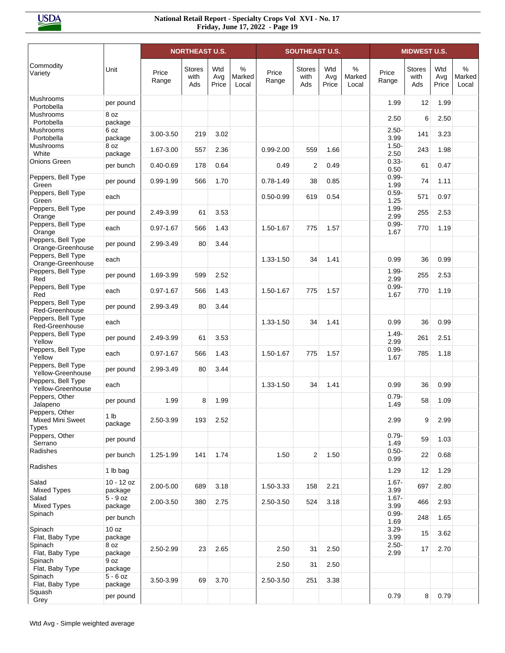|                                                    |                       |                | <b>NORTHEAST U.S.</b>        |                     |                      |                | <b>SOUTHEAST U.S.</b>        |                     |                      |                  | <b>MIDWEST U.S.</b>          |                     |                         |
|----------------------------------------------------|-----------------------|----------------|------------------------------|---------------------|----------------------|----------------|------------------------------|---------------------|----------------------|------------------|------------------------------|---------------------|-------------------------|
| Commodity<br>Variety                               | Unit                  | Price<br>Range | <b>Stores</b><br>with<br>Ads | Wtd<br>Avg<br>Price | %<br>Marked<br>Local | Price<br>Range | <b>Stores</b><br>with<br>Ads | Wtd<br>Avg<br>Price | %<br>Marked<br>Local | Price<br>Range   | <b>Stores</b><br>with<br>Ads | Wtd<br>Avg<br>Price | $\%$<br>Marked<br>Local |
| <b>Mushrooms</b><br>Portobella                     | per pound             |                |                              |                     |                      |                |                              |                     |                      | 1.99             | 12                           | 1.99                |                         |
| <b>Mushrooms</b><br>Portobella                     | 8 oz<br>package       |                |                              |                     |                      |                |                              |                     |                      | 2.50             | 6                            | 2.50                |                         |
| <b>Mushrooms</b><br>Portobella                     | 6 oz<br>package       | 3.00-3.50      | 219                          | 3.02                |                      |                |                              |                     |                      | $2.50 -$<br>3.99 | 141                          | 3.23                |                         |
| <b>Mushrooms</b><br>White                          | 8 oz<br>package       | 1.67-3.00      | 557                          | 2.36                |                      | $0.99 - 2.00$  | 559                          | 1.66                |                      | $1.50 -$<br>2.50 | 243                          | 1.98                |                         |
| <b>Onions Green</b>                                | per bunch             | $0.40 - 0.69$  | 178                          | 0.64                |                      | 0.49           | $\overline{2}$               | 0.49                |                      | $0.33 -$<br>0.50 | 61                           | 0.47                |                         |
| Peppers, Bell Type<br>Green                        | per pound             | $0.99 - 1.99$  | 566                          | 1.70                |                      | $0.78 - 1.49$  | 38                           | 0.85                |                      | $0.99 -$<br>1.99 | 74                           | 1.11                |                         |
| Peppers, Bell Type<br>Green                        | each                  |                |                              |                     |                      | $0.50 - 0.99$  | 619                          | 0.54                |                      | $0.59 -$<br>1.25 | 571                          | 0.97                |                         |
| Peppers, Bell Type<br>Orange                       | per pound             | 2.49-3.99      | 61                           | 3.53                |                      |                |                              |                     |                      | $1.99 -$<br>2.99 | 255                          | 2.53                |                         |
| Peppers, Bell Type<br>Orange                       | each                  | $0.97 - 1.67$  | 566                          | 1.43                |                      | 1.50-1.67      | 775                          | 1.57                |                      | $0.99 -$<br>1.67 | 770                          | 1.19                |                         |
| Peppers, Bell Type<br>Orange-Greenhouse            | per pound             | 2.99-3.49      | 80                           | 3.44                |                      |                |                              |                     |                      |                  |                              |                     |                         |
| Peppers, Bell Type<br>Orange-Greenhouse            | each                  |                |                              |                     |                      | 1.33-1.50      | 34                           | 1.41                |                      | 0.99             | 36                           | 0.99                |                         |
| Peppers, Bell Type<br>Red                          | per pound             | 1.69-3.99      | 599                          | 2.52                |                      |                |                              |                     |                      | $1.99 -$<br>2.99 | 255                          | 2.53                |                         |
| Peppers, Bell Type<br>Red                          | each                  | $0.97 - 1.67$  | 566                          | 1.43                |                      | 1.50-1.67      | 775                          | 1.57                |                      | $0.99 -$<br>1.67 | 770                          | 1.19                |                         |
| Peppers, Bell Type<br>Red-Greenhouse               | per pound             | 2.99-3.49      | 80                           | 3.44                |                      |                |                              |                     |                      |                  |                              |                     |                         |
| Peppers, Bell Type<br>Red-Greenhouse               | each                  |                |                              |                     |                      | 1.33-1.50      | 34                           | 1.41                |                      | 0.99             | 36                           | 0.99                |                         |
| Peppers, Bell Type<br>Yellow                       | per pound             | 2.49-3.99      | 61                           | 3.53                |                      |                |                              |                     |                      | $1.49 -$<br>2.99 | 261                          | 2.51                |                         |
| Peppers, Bell Type<br>Yellow                       | each                  | $0.97 - 1.67$  | 566                          | 1.43                |                      | 1.50-1.67      | 775                          | 1.57                |                      | $0.99 -$<br>1.67 | 785                          | 1.18                |                         |
| Peppers, Bell Type<br>Yellow-Greenhouse            | per pound             | 2.99-3.49      | 80                           | 3.44                |                      |                |                              |                     |                      |                  |                              |                     |                         |
| Peppers, Bell Type<br>Yellow-Greenhouse            | each                  |                |                              |                     |                      | 1.33-1.50      | 34                           | 1.41                |                      | 0.99             | 36                           | 0.99                |                         |
| Peppers, Other<br>Jalapeno                         | per pound             | 1.99           | 8                            | 1.99                |                      |                |                              |                     |                      | $0.79 -$<br>1.49 | 58                           | 1.09                |                         |
| Peppers, Other<br>Mixed Mini Sweet<br><b>Types</b> | 1 lb<br>package       | 2.50-3.99      | 193                          | 2.52                |                      |                |                              |                     |                      | 2.99             | 9                            | 2.99                |                         |
| Peppers, Other<br>Serrano                          | per pound             |                |                              |                     |                      |                |                              |                     |                      | $0.79 -$<br>1.49 | 59                           | 1.03                |                         |
| Radishes                                           | per bunch             | 1.25-1.99      | 141                          | 1.74                |                      | 1.50           | $\overline{2}$               | 1.50                |                      | $0.50 -$<br>0.99 | 22                           | 0.68                |                         |
| Radishes                                           | 1 lb bag              |                |                              |                     |                      |                |                              |                     |                      | 1.29             | 12                           | 1.29                |                         |
| Salad<br><b>Mixed Types</b>                        | 10 - 12 oz<br>package | 2.00-5.00      | 689                          | 3.18                |                      | 1.50-3.33      | 158                          | 2.21                |                      | $1.67 -$<br>3.99 | 697                          | 2.80                |                         |
| Salad<br><b>Mixed Types</b>                        | $5 - 9$ oz<br>package | 2.00-3.50      | 380                          | 2.75                |                      | 2.50-3.50      | 524                          | 3.18                |                      | $1.67 -$<br>3.99 | 466                          | 2.93                |                         |
| Spinach                                            | per bunch             |                |                              |                     |                      |                |                              |                     |                      | $0.99 -$<br>1.69 | 248                          | 1.65                |                         |
| Spinach<br>Flat, Baby Type                         | 10 oz<br>package      |                |                              |                     |                      |                |                              |                     |                      | $3.29 -$<br>3.99 | 15                           | 3.62                |                         |
| Spinach<br>Flat, Baby Type                         | 8 oz<br>package       | 2.50-2.99      | 23                           | 2.65                |                      | 2.50           | 31                           | 2.50                |                      | $2.50 -$<br>2.99 | 17                           | 2.70                |                         |
| Spinach<br>Flat, Baby Type                         | 9 oz<br>package       |                |                              |                     |                      | 2.50           | 31                           | 2.50                |                      |                  |                              |                     |                         |
| Spinach<br>Flat, Baby Type                         | $5 - 6$ oz<br>package | 3.50-3.99      | 69                           | 3.70                |                      | 2.50-3.50      | 251                          | 3.38                |                      |                  |                              |                     |                         |
| Squash<br>Grey                                     | per pound             |                |                              |                     |                      |                |                              |                     |                      | 0.79             | 8                            | 0.79                |                         |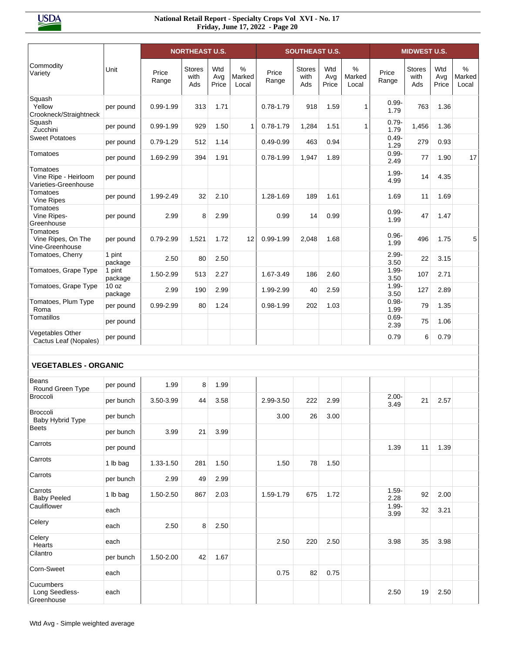|                                                          |                             |                | <b>NORTHEAST U.S.</b>        |                     |                         |                | <b>SOUTHEAST U.S.</b>        |                     |                         |                  | <b>MIDWEST U.S.</b>          |                     |                                  |
|----------------------------------------------------------|-----------------------------|----------------|------------------------------|---------------------|-------------------------|----------------|------------------------------|---------------------|-------------------------|------------------|------------------------------|---------------------|----------------------------------|
| Commodity<br>Variety                                     | Unit                        | Price<br>Range | <b>Stores</b><br>with<br>Ads | Wtd<br>Avg<br>Price | $\%$<br>Marked<br>Local | Price<br>Range | <b>Stores</b><br>with<br>Ads | Wtd<br>Avg<br>Price | $\%$<br>Marked<br>Local | Price<br>Range   | <b>Stores</b><br>with<br>Ads | Wtd<br>Avg<br>Price | $\frac{0}{0}$<br>Marked<br>Local |
| Squash<br>Yellow<br>Crookneck/Straightneck               | per pound                   | $0.99 - 1.99$  | 313                          | 1.71                |                         | $0.78 - 1.79$  | 918                          | 1.59                | $\mathbf{1}$            | $0.99 -$<br>1.79 | 763                          | 1.36                |                                  |
| Squash<br>Zucchini                                       | per pound                   | $0.99 - 1.99$  | 929                          | 1.50                | 1                       | $0.78 - 1.79$  | 1,284                        | 1.51                | $\mathbf{1}$            | $0.79 -$<br>1.79 | 1,456                        | 1.36                |                                  |
| <b>Sweet Potatoes</b>                                    | per pound                   | $0.79 - 1.29$  | 512                          | 1.14                |                         | $0.49 - 0.99$  | 463                          | 0.94                |                         | $0.49 -$<br>1.29 | 279                          | 0.93                |                                  |
| Tomatoes                                                 | per pound                   | 1.69-2.99      | 394                          | 1.91                |                         | $0.78 - 1.99$  | 1,947                        | 1.89                |                         | $0.99 -$<br>2.49 | 77                           | 1.90                | 17                               |
| Tomatoes<br>Vine Ripe - Heirloom<br>Varieties-Greenhouse | per pound                   |                |                              |                     |                         |                |                              |                     |                         | $1.99 -$<br>4.99 | 14                           | 4.35                |                                  |
| Tomatoes<br>Vine Ripes                                   | per pound                   | 1.99-2.49      | 32                           | 2.10                |                         | 1.28-1.69      | 189                          | 1.61                |                         | 1.69             | 11                           | 1.69                |                                  |
| Tomatoes<br>Vine Ripes-<br>Greenhouse                    | per pound                   | 2.99           | 8                            | 2.99                |                         | 0.99           | 14                           | 0.99                |                         | $0.99 -$<br>1.99 | 47                           | 1.47                |                                  |
| Tomatoes<br>Vine Ripes, On The<br>Vine-Greenhouse        | per pound                   | 0.79-2.99      | 1,521                        | 1.72                | 12                      | $0.99 - 1.99$  | 2,048                        | 1.68                |                         | $0.96 -$<br>1.99 | 496                          | 1.75                | 5                                |
| Tomatoes, Cherry                                         | 1 pint<br>package           | 2.50           | 80                           | 2.50                |                         |                |                              |                     |                         | $2.99 -$<br>3.50 | 22                           | 3.15                |                                  |
| Tomatoes, Grape Type                                     | 1 pint<br>package           | 1.50-2.99      | 513                          | 2.27                |                         | 1.67-3.49      | 186                          | 2.60                |                         | $1.99 -$<br>3.50 | 107                          | 2.71                |                                  |
| Tomatoes, Grape Type                                     | 10 <sub>oz</sub><br>package | 2.99           | 190                          | 2.99                |                         | 1.99-2.99      | 40                           | 2.59                |                         | $1.99 -$<br>3.50 | 127                          | 2.89                |                                  |
| Tomatoes, Plum Type<br>Roma                              | per pound                   | 0.99-2.99      | 80                           | 1.24                |                         | $0.98 - 1.99$  | 202                          | 1.03                |                         | $0.98 -$<br>1.99 | 79                           | 1.35                |                                  |
| Tomatillos                                               | per pound                   |                |                              |                     |                         |                |                              |                     |                         | $0.69 -$<br>2.39 | 75                           | 1.06                |                                  |
| Vegetables Other<br>Cactus Leaf (Nopales)                | per pound                   |                |                              |                     |                         |                |                              |                     |                         | 0.79             | 6                            | 0.79                |                                  |
|                                                          |                             |                |                              |                     |                         |                |                              |                     |                         |                  |                              |                     |                                  |
| <b>VEGETABLES - ORGANIC</b>                              |                             |                |                              |                     |                         |                |                              |                     |                         |                  |                              |                     |                                  |
| Beans<br>Round Green Type                                | per pound                   | 1.99           | 8                            | 1.99                |                         |                |                              |                     |                         |                  |                              |                     |                                  |
| <b>Broccoli</b>                                          | per bunch                   | 3.50-3.99      | 44                           | 3.58                |                         | 2.99-3.50      | 222                          | 2.99                |                         | $2.00 -$<br>3.49 | 21                           | 2.57                |                                  |
| Broccoli<br>Baby Hybrid Type                             | per bunch                   |                |                              |                     |                         | 3.00           | 26                           | 3.00                |                         |                  |                              |                     |                                  |
| <b>Beets</b>                                             | per bunch                   | 3.99           | 21                           | 3.99                |                         |                |                              |                     |                         |                  |                              |                     |                                  |
| Carrots                                                  | per pound                   |                |                              |                     |                         |                |                              |                     |                         | 1.39             | 11                           | 1.39                |                                  |
| Carrots                                                  | 1 lb bag                    | 1.33-1.50      | 281                          | 1.50                |                         | 1.50           | 78                           | 1.50                |                         |                  |                              |                     |                                  |
| Carrots                                                  | per bunch                   | 2.99           | 49                           | 2.99                |                         |                |                              |                     |                         |                  |                              |                     |                                  |
| Carrots<br><b>Baby Peeled</b>                            | 1 lb bag                    | 1.50-2.50      | 867                          | 2.03                |                         | 1.59-1.79      | 675                          | 1.72                |                         | $1.59 -$<br>2.28 | 92                           | 2.00                |                                  |
| Cauliflower                                              | each                        |                |                              |                     |                         |                |                              |                     |                         | $1.99 -$<br>3.99 | 32                           | 3.21                |                                  |
| Celery                                                   | each                        | 2.50           | 8                            | 2.50                |                         |                |                              |                     |                         |                  |                              |                     |                                  |
| Celery<br>Hearts                                         | each                        |                |                              |                     |                         | 2.50           | 220                          | 2.50                |                         | 3.98             | 35                           | 3.98                |                                  |
| Cilantro                                                 | per bunch                   | 1.50-2.00      | 42                           | 1.67                |                         |                |                              |                     |                         |                  |                              |                     |                                  |
| Corn-Sweet                                               | each                        |                |                              |                     |                         | 0.75           | 82                           | 0.75                |                         |                  |                              |                     |                                  |
| Cucumbers<br>Long Seedless-<br>Greenhouse                | each                        |                |                              |                     |                         |                |                              |                     |                         | 2.50             | 19                           | 2.50                |                                  |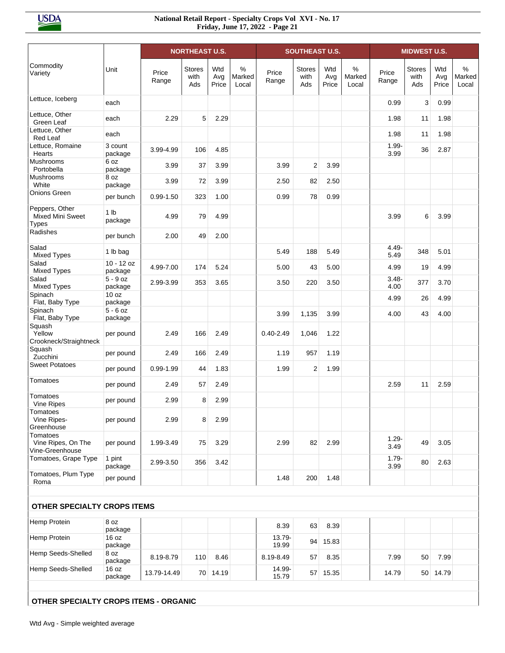|                                                           |                            |                | <b>NORTHEAST U.S.</b>        |                     |                      |                 | <b>SOUTHEAST U.S.</b>        |                     |                      |                  | <b>MIDWEST U.S.</b>   |                     |                                  |
|-----------------------------------------------------------|----------------------------|----------------|------------------------------|---------------------|----------------------|-----------------|------------------------------|---------------------|----------------------|------------------|-----------------------|---------------------|----------------------------------|
| Commodity<br>Variety                                      | Unit                       | Price<br>Range | <b>Stores</b><br>with<br>Ads | Wtd<br>Avg<br>Price | %<br>Marked<br>Local | Price<br>Range  | <b>Stores</b><br>with<br>Ads | Wtd<br>Avg<br>Price | %<br>Marked<br>Local | Price<br>Range   | Stores<br>with<br>Ads | Wtd<br>Avg<br>Price | $\frac{0}{0}$<br>Marked<br>Local |
| Lettuce, Iceberg                                          | each                       |                |                              |                     |                      |                 |                              |                     |                      | 0.99             | 3                     | 0.99                |                                  |
| Lettuce, Other<br>Green Leaf                              | each                       | 2.29           | 5                            | 2.29                |                      |                 |                              |                     |                      | 1.98             | 11                    | 1.98                |                                  |
| Lettuce, Other<br>Red Leaf                                | each                       |                |                              |                     |                      |                 |                              |                     |                      | 1.98             | 11                    | 1.98                |                                  |
| Lettuce, Romaine<br>Hearts                                | 3 count<br>package         | 3.99-4.99      | 106                          | 4.85                |                      |                 |                              |                     |                      | $1.99 -$<br>3.99 | 36                    | 2.87                |                                  |
| Mushrooms<br>Portobella                                   | 6 oz<br>package            | 3.99           | 37                           | 3.99                |                      | 3.99            | 2                            | 3.99                |                      |                  |                       |                     |                                  |
| Mushrooms<br>White                                        | 8 oz<br>package            | 3.99           | 72                           | 3.99                |                      | 2.50            | 82                           | 2.50                |                      |                  |                       |                     |                                  |
| Onions Green                                              | per bunch                  | $0.99 - 1.50$  | 323                          | 1.00                |                      | 0.99            | 78                           | 0.99                |                      |                  |                       |                     |                                  |
| Peppers, Other<br><b>Mixed Mini Sweet</b><br><b>Types</b> | 1 <sub>lb</sub><br>package | 4.99           | 79                           | 4.99                |                      |                 |                              |                     |                      | 3.99             | 6                     | 3.99                |                                  |
| Radishes                                                  | per bunch                  | 2.00           | 49                           | 2.00                |                      |                 |                              |                     |                      |                  |                       |                     |                                  |
| Salad<br><b>Mixed Types</b>                               | 1 lb bag                   |                |                              |                     |                      | 5.49            | 188                          | 5.49                |                      | 4.49<br>5.49     | 348                   | 5.01                |                                  |
| Salad<br><b>Mixed Types</b>                               | $10 - 12$ oz<br>package    | 4.99-7.00      | 174                          | 5.24                |                      | 5.00            | 43                           | 5.00                |                      | 4.99             | 19                    | 4.99                |                                  |
| Salad<br><b>Mixed Types</b>                               | $5 - 9$ oz<br>package      | 2.99-3.99      | 353                          | 3.65                |                      | 3.50            | 220                          | 3.50                |                      | $3.48 -$<br>4.00 | 377                   | 3.70                |                                  |
| Spinach<br>Flat, Baby Type                                | 10 oz<br>package           |                |                              |                     |                      |                 |                              |                     |                      | 4.99             | 26                    | 4.99                |                                  |
| Spinach<br>Flat, Baby Type                                | $5 - 6$ oz<br>package      |                |                              |                     |                      | 3.99            | 1,135                        | 3.99                |                      | 4.00             | 43                    | 4.00                |                                  |
| Squash<br>Yellow<br>Crookneck/Straightneck                | per pound                  | 2.49           | 166                          | 2.49                |                      | $0.40 - 2.49$   | 1,046                        | 1.22                |                      |                  |                       |                     |                                  |
| Squash<br>Zucchini                                        | per pound                  | 2.49           | 166                          | 2.49                |                      | 1.19            | 957                          | 1.19                |                      |                  |                       |                     |                                  |
| <b>Sweet Potatoes</b>                                     | per pound                  | $0.99 - 1.99$  | 44                           | 1.83                |                      | 1.99            | 2                            | 1.99                |                      |                  |                       |                     |                                  |
| Tomatoes                                                  | per pound                  | 2.49           | 57                           | 2.49                |                      |                 |                              |                     |                      | 2.59             | 11                    | 2.59                |                                  |
| Tomatoes<br><b>Vine Ripes</b>                             | per pound                  | 2.99           | 8                            | 2.99                |                      |                 |                              |                     |                      |                  |                       |                     |                                  |
| Tomatoes<br>Vine Ripes-<br>Greenhouse                     | per pound                  | 2.99           | 8                            | 2.99                |                      |                 |                              |                     |                      |                  |                       |                     |                                  |
| Tomatoes<br>Vine Ripes, On The<br>Vine-Greenhouse         | per pound                  | 1.99-3.49      | 75                           | 3.29                |                      | 2.99            | 82                           | 2.99                |                      | $1.29 -$<br>3.49 | 49                    | 3.05                |                                  |
| Tomatoes, Grape Type                                      | 1 pint<br>package          | 2.99-3.50      | 356                          | 3.42                |                      |                 |                              |                     |                      | $1.79 -$<br>3.99 | 80                    | 2.63                |                                  |
| Tomatoes, Plum Type<br>Roma                               | per pound                  |                |                              |                     |                      | 1.48            | 200                          | 1.48                |                      |                  |                       |                     |                                  |
| OTHER SPECIALTY CROPS ITEMS                               |                            |                |                              |                     |                      |                 |                              |                     |                      |                  |                       |                     |                                  |
| Hemp Protein                                              | 8 oz<br>package            |                |                              |                     |                      | 8.39            | 63                           | 8.39                |                      |                  |                       |                     |                                  |
| Hemp Protein                                              | 16 oz<br>package           |                |                              |                     |                      | 13.79-<br>19.99 |                              | 94 15.83            |                      |                  |                       |                     |                                  |
| Hemp Seeds-Shelled                                        | 8 oz<br>package            | 8.19-8.79      | 110                          | 8.46                |                      | 8.19-8.49       | 57                           | 8.35                |                      | 7.99             | 50                    | 7.99                |                                  |
| Hemp Seeds-Shelled                                        | 16 oz<br>package           | 13.79-14.49    |                              | 70 14.19            |                      | 14.99-<br>15.79 |                              | 57 15.35            |                      | 14.79            |                       | 50 14.79            |                                  |
| OTHER SPECIALTY CROPS ITEMS - ORGANIC                     |                            |                |                              |                     |                      |                 |                              |                     |                      |                  |                       |                     |                                  |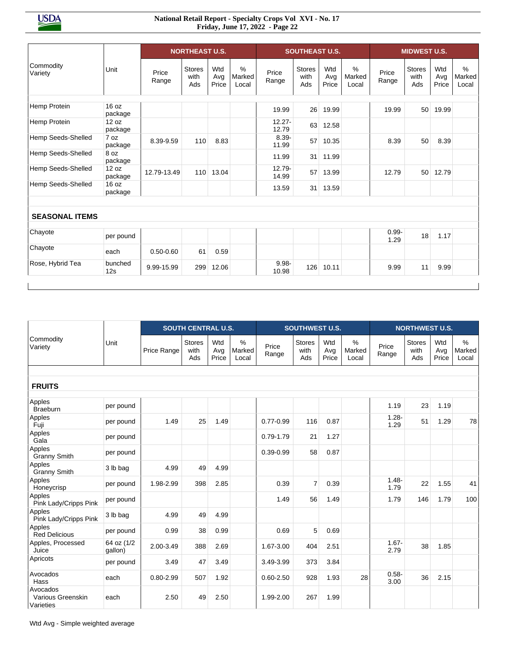|                       |                  |                | <b>NORTHEAST U.S.</b>        |                     |                         |                    | <b>SOUTHEAST U.S.</b>        |                     |                      |                  | <b>MIDWEST U.S.</b>          |                     |                                  |
|-----------------------|------------------|----------------|------------------------------|---------------------|-------------------------|--------------------|------------------------------|---------------------|----------------------|------------------|------------------------------|---------------------|----------------------------------|
| Commodity<br>Variety  | Unit             | Price<br>Range | <b>Stores</b><br>with<br>Ads | Wtd<br>Avg<br>Price | $\%$<br>Marked<br>Local | Price<br>Range     | <b>Stores</b><br>with<br>Ads | Wtd<br>Avg<br>Price | %<br>Marked<br>Local | Price<br>Range   | <b>Stores</b><br>with<br>Ads | Wtd<br>Avg<br>Price | $\frac{9}{6}$<br>Marked<br>Local |
|                       | 16 oz            |                |                              |                     |                         |                    |                              |                     |                      |                  |                              |                     |                                  |
| Hemp Protein          | package          |                |                              |                     |                         | 19.99              | 26                           | 19.99               |                      | 19.99            | 50                           | 19.99               |                                  |
| Hemp Protein          | 12 oz<br>package |                |                              |                     |                         | $12.27 -$<br>12.79 | 63                           | 12.58               |                      |                  |                              |                     |                                  |
| Hemp Seeds-Shelled    | 7 oz<br>package  | 8.39-9.59      | 110                          | 8.83                |                         | $8.39 -$<br>11.99  | 57                           | 10.35               |                      | 8.39             | 50                           | 8.39                |                                  |
| Hemp Seeds-Shelled    | 8 oz<br>package  |                |                              |                     |                         | 11.99              | 31                           | 11.99               |                      |                  |                              |                     |                                  |
| Hemp Seeds-Shelled    | 12 oz<br>package | 12.79-13.49    | 110                          | 13.04               |                         | $12.79 -$<br>14.99 | 57                           | 13.99               |                      | 12.79            | 50                           | 12.79               |                                  |
| Hemp Seeds-Shelled    | 16 oz<br>package |                |                              |                     |                         | 13.59              | 31                           | 13.59               |                      |                  |                              |                     |                                  |
|                       |                  |                |                              |                     |                         |                    |                              |                     |                      |                  |                              |                     |                                  |
| <b>SEASONAL ITEMS</b> |                  |                |                              |                     |                         |                    |                              |                     |                      |                  |                              |                     |                                  |
| Chayote               | per pound        |                |                              |                     |                         |                    |                              |                     |                      | $0.99 -$<br>1.29 | 18                           | 1.17                |                                  |
| Chayote               | each             | $0.50 - 0.60$  | 61                           | 0.59                |                         |                    |                              |                     |                      |                  |                              |                     |                                  |
| Rose, Hybrid Tea      | bunched<br>12s   | 9.99-15.99     | 299                          | 12.06               |                         | $9.98 -$<br>10.98  | 126                          | 10.11               |                      | 9.99             | 11                           | 9.99                |                                  |

|                                            |                       |             | <b>SOUTH CENTRAL U.S.</b>    |                     |                         |                | <b>SOUTHWEST U.S.</b>        |                     |                         |                  | <b>NORTHWEST U.S.</b>        |                     |                         |
|--------------------------------------------|-----------------------|-------------|------------------------------|---------------------|-------------------------|----------------|------------------------------|---------------------|-------------------------|------------------|------------------------------|---------------------|-------------------------|
| Commodity<br>Variety                       | Unit                  | Price Range | <b>Stores</b><br>with<br>Ads | Wtd<br>Avg<br>Price | $\%$<br>Marked<br>Local | Price<br>Range | <b>Stores</b><br>with<br>Ads | Wtd<br>Avg<br>Price | $\%$<br>Marked<br>Local | Price<br>Range   | <b>Stores</b><br>with<br>Ads | Wtd<br>Avg<br>Price | $\%$<br>Marked<br>Local |
| <b>FRUITS</b>                              |                       |             |                              |                     |                         |                |                              |                     |                         |                  |                              |                     |                         |
| Apples<br><b>Braeburn</b>                  | per pound             |             |                              |                     |                         |                |                              |                     |                         | 1.19             | 23                           | 1.19                |                         |
| Apples<br>Fuji                             | per pound             | 1.49        | 25                           | 1.49                |                         | $0.77 - 0.99$  | 116                          | 0.87                |                         | $1.28 -$<br>1.29 | 51                           | 1.29                | 78                      |
| Apples<br>Gala                             | per pound             |             |                              |                     |                         | $0.79 - 1.79$  | 21                           | 1.27                |                         |                  |                              |                     |                         |
| Apples<br><b>Granny Smith</b>              | per pound             |             |                              |                     |                         | $0.39 - 0.99$  | 58                           | 0.87                |                         |                  |                              |                     |                         |
| Apples<br><b>Granny Smith</b>              | 3 lb bag              | 4.99        | 49                           | 4.99                |                         |                |                              |                     |                         |                  |                              |                     |                         |
| Apples<br>Honeycrisp                       | per pound             | 1.98-2.99   | 398                          | 2.85                |                         | 0.39           | $\overline{7}$               | 0.39                |                         | $1.48 -$<br>1.79 | 22                           | 1.55                | 41                      |
| Apples<br>Pink Lady/Cripps Pink            | per pound             |             |                              |                     |                         | 1.49           | 56                           | 1.49                |                         | 1.79             | 146                          | 1.79                | 100                     |
| Apples<br>Pink Lady/Cripps Pink            | 3 lb bag              | 4.99        | 49                           | 4.99                |                         |                |                              |                     |                         |                  |                              |                     |                         |
| Apples<br><b>Red Delicious</b>             | per pound             | 0.99        | 38                           | 0.99                |                         | 0.69           | 5                            | 0.69                |                         |                  |                              |                     |                         |
| Apples, Processed<br>Juice                 | 64 oz (1/2<br>qallon) | 2.00-3.49   | 388                          | 2.69                |                         | 1.67-3.00      | 404                          | 2.51                |                         | $1.67 -$<br>2.79 | 38                           | 1.85                |                         |
| Apricots                                   | per pound             | 3.49        | 47                           | 3.49                |                         | 3.49-3.99      | 373                          | 3.84                |                         |                  |                              |                     |                         |
| Avocados<br>Hass                           | each                  | 0.80-2.99   | 507                          | 1.92                |                         | $0.60 - 2.50$  | 928                          | 1.93                | 28                      | $0.58 -$<br>3.00 | 36                           | 2.15                |                         |
| Avocados<br>Various Greenskin<br>Varieties | each                  | 2.50        | 49                           | 2.50                |                         | 1.99-2.00      | 267                          | 1.99                |                         |                  |                              |                     |                         |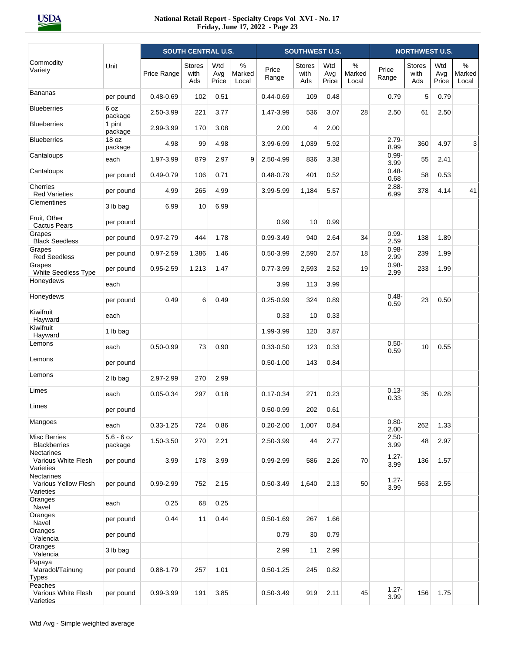|                                                 |                         |               | <b>SOUTH CENTRAL U.S.</b>    |                     |                         |                | <b>SOUTHWEST U.S.</b>        |                     |                         |                  | <b>NORTHWEST U.S.</b>        |                     |                         |
|-------------------------------------------------|-------------------------|---------------|------------------------------|---------------------|-------------------------|----------------|------------------------------|---------------------|-------------------------|------------------|------------------------------|---------------------|-------------------------|
| Commodity<br>Variety                            | Unit                    | Price Range   | <b>Stores</b><br>with<br>Ads | Wtd<br>Avg<br>Price | $\%$<br>Marked<br>Local | Price<br>Range | <b>Stores</b><br>with<br>Ads | Wtd<br>Avg<br>Price | $\%$<br>Marked<br>Local | Price<br>Range   | <b>Stores</b><br>with<br>Ads | Wtd<br>Avg<br>Price | $\%$<br>Marked<br>Local |
| <b>Bananas</b>                                  | per pound               | $0.48 - 0.69$ | 102                          | 0.51                |                         | $0.44 - 0.69$  | 109                          | 0.48                |                         | 0.79             | 5                            | 0.79                |                         |
| <b>Blueberries</b>                              | 6 oz<br>package         | 2.50-3.99     | 221                          | 3.77                |                         | 1.47-3.99      | 536                          | 3.07                | 28                      | 2.50             | 61                           | 2.50                |                         |
| <b>Blueberries</b>                              | 1 pint<br>package       | 2.99-3.99     | 170                          | 3.08                |                         | 2.00           | $\overline{4}$               | 2.00                |                         |                  |                              |                     |                         |
| <b>Blueberries</b>                              | 18 oz<br>package        | 4.98          | 99                           | 4.98                |                         | 3.99-6.99      | 1,039                        | 5.92                |                         | $2.79 -$<br>8.99 | 360                          | 4.97                | 3                       |
| Cantaloups                                      | each                    | 1.97-3.99     | 879                          | 2.97                | 9                       | 2.50-4.99      | 836                          | 3.38                |                         | $0.99 -$<br>3.99 | 55                           | 2.41                |                         |
| Cantaloups                                      | per pound               | $0.49 - 0.79$ | 106                          | 0.71                |                         | $0.48 - 0.79$  | 401                          | 0.52                |                         | $0.48 -$<br>0.68 | 58                           | 0.53                |                         |
| Cherries<br><b>Red Varieties</b>                | per pound               | 4.99          | 265                          | 4.99                |                         | 3.99-5.99      | 1,184                        | 5.57                |                         | $2.88 -$<br>6.99 | 378                          | 4.14                | 41                      |
| Clementines                                     | 3 lb bag                | 6.99          | 10                           | 6.99                |                         |                |                              |                     |                         |                  |                              |                     |                         |
| Fruit, Other<br><b>Cactus Pears</b>             | per pound               |               |                              |                     |                         | 0.99           | 10                           | 0.99                |                         |                  |                              |                     |                         |
| Grapes<br><b>Black Seedless</b>                 | per pound               | $0.97 - 2.79$ | 444                          | 1.78                |                         | 0.99-3.49      | 940                          | 2.64                | 34                      | $0.99 -$<br>2.59 | 138                          | 1.89                |                         |
| Grapes<br><b>Red Seedless</b>                   | per pound               | $0.97 - 2.59$ | 1,386                        | 1.46                |                         | $0.50 - 3.99$  | 2,590                        | 2.57                | 18                      | $0.98 -$<br>2.99 | 239                          | 1.99                |                         |
| Grapes<br><b>White Seedless Type</b>            | per pound               | $0.95 - 2.59$ | 1,213                        | 1.47                |                         | $0.77 - 3.99$  | 2,593                        | 2.52                | 19                      | $0.98 -$<br>2.99 | 233                          | 1.99                |                         |
| Honeydews                                       | each                    |               |                              |                     |                         | 3.99           | 113                          | 3.99                |                         |                  |                              |                     |                         |
| Honeydews                                       | per pound               | 0.49          | 6                            | 0.49                |                         | $0.25 - 0.99$  | 324                          | 0.89                |                         | $0.48 -$<br>0.59 | 23                           | 0.50                |                         |
| Kiwifruit<br>Hayward                            | each                    |               |                              |                     |                         | 0.33           | 10                           | 0.33                |                         |                  |                              |                     |                         |
| Kiwifruit<br>Hayward                            | 1 lb bag                |               |                              |                     |                         | 1.99-3.99      | 120                          | 3.87                |                         |                  |                              |                     |                         |
| Lemons                                          | each                    | $0.50 - 0.99$ | 73                           | 0.90                |                         | $0.33 - 0.50$  | 123                          | 0.33                |                         | $0.50 -$<br>0.59 | 10                           | 0.55                |                         |
| Lemons                                          | per pound               |               |                              |                     |                         | $0.50 - 1.00$  | 143                          | 0.84                |                         |                  |                              |                     |                         |
| Lemons                                          | 2 lb bag                | 2.97-2.99     | 270                          | 2.99                |                         |                |                              |                     |                         |                  |                              |                     |                         |
| Limes                                           | each                    | $0.05 - 0.34$ | 297                          | 0.18                |                         | $0.17 - 0.34$  | 271                          | 0.23                |                         | $0.13 -$<br>0.33 | 35                           | 0.28                |                         |
| Limes                                           | per pound               |               |                              |                     |                         | $0.50 - 0.99$  | 202                          | 0.61                |                         |                  |                              |                     |                         |
| Mangoes                                         | each                    | $0.33 - 1.25$ | 724                          | 0.86                |                         | $0.20 - 2.00$  | 1,007                        | 0.84                |                         | $0.80 -$<br>2.00 | 262                          | 1.33                |                         |
| <b>Misc Berries</b><br><b>Blackberries</b>      | $5.6 - 6$ oz<br>package | 1.50-3.50     | 270                          | 2.21                |                         | 2.50-3.99      | 44                           | 2.77                |                         | $2.50 -$<br>3.99 | 48                           | 2.97                |                         |
| Nectarines<br>Various White Flesh<br>Varieties  | per pound               | 3.99          | 178                          | 3.99                |                         | 0.99-2.99      | 586                          | 2.26                | 70                      | $1.27 -$<br>3.99 | 136                          | 1.57                |                         |
| Nectarines<br>Various Yellow Flesh<br>Varieties | per pound               | 0.99-2.99     | 752                          | 2.15                |                         | $0.50 - 3.49$  | 1,640                        | 2.13                | 50                      | $1.27 -$<br>3.99 | 563                          | 2.55                |                         |
| Oranges<br>Navel                                | each                    | 0.25          | 68                           | 0.25                |                         |                |                              |                     |                         |                  |                              |                     |                         |
| Oranges<br>Navel                                | per pound               | 0.44          | 11                           | 0.44                |                         | $0.50 - 1.69$  | 267                          | 1.66                |                         |                  |                              |                     |                         |
| Oranges<br>Valencia                             | per pound               |               |                              |                     |                         | 0.79           | 30                           | 0.79                |                         |                  |                              |                     |                         |
| Oranges<br>Valencia                             | 3 lb bag                |               |                              |                     |                         | 2.99           | 11                           | 2.99                |                         |                  |                              |                     |                         |
| Papaya<br>Maradol/Tainung<br><b>Types</b>       | per pound               | $0.88 - 1.79$ | 257                          | 1.01                |                         | $0.50 - 1.25$  | 245                          | 0.82                |                         |                  |                              |                     |                         |
| Peaches<br>Various White Flesh<br>Varieties     | per pound               | 0.99-3.99     | 191                          | 3.85                |                         | $0.50 - 3.49$  | 919                          | 2.11                | 45                      | $1.27 -$<br>3.99 | 156                          | 1.75                |                         |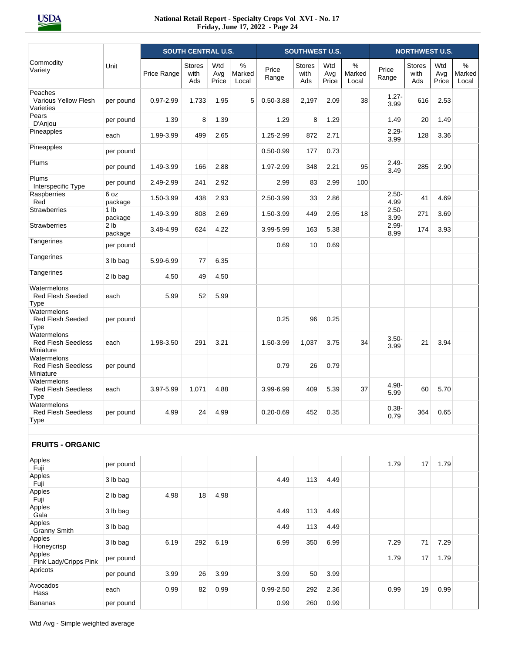|                                                         |                            |               | <b>SOUTH CENTRAL U.S.</b>    |                     |                         |                | <b>SOUTHWEST U.S.</b>        |                     |                         |                  | <b>NORTHWEST U.S.</b>        |                     |                         |
|---------------------------------------------------------|----------------------------|---------------|------------------------------|---------------------|-------------------------|----------------|------------------------------|---------------------|-------------------------|------------------|------------------------------|---------------------|-------------------------|
| Commodity<br>Variety                                    | Unit                       | Price Range   | <b>Stores</b><br>with<br>Ads | Wtd<br>Avg<br>Price | $\%$<br>Marked<br>Local | Price<br>Range | <b>Stores</b><br>with<br>Ads | Wtd<br>Avg<br>Price | $\%$<br>Marked<br>Local | Price<br>Range   | <b>Stores</b><br>with<br>Ads | Wtd<br>Avg<br>Price | $\%$<br>Marked<br>Local |
| Peaches<br>Various Yellow Flesh<br>Varieties            | per pound                  | $0.97 - 2.99$ | 1,733                        | 1.95                | 5                       | $0.50 - 3.88$  | 2,197                        | 2.09                | 38                      | $1.27 -$<br>3.99 | 616                          | 2.53                |                         |
| Pears<br>D'Anjou                                        | per pound                  | 1.39          | 8                            | 1.39                |                         | 1.29           | 8                            | 1.29                |                         | 1.49             | 20                           | 1.49                |                         |
| Pineapples                                              | each                       | 1.99-3.99     | 499                          | 2.65                |                         | 1.25-2.99      | 872                          | 2.71                |                         | $2.29 -$<br>3.99 | 128                          | 3.36                |                         |
| Pineapples                                              | per pound                  |               |                              |                     |                         | $0.50 - 0.99$  | 177                          | 0.73                |                         |                  |                              |                     |                         |
| Plums                                                   | per pound                  | 1.49-3.99     | 166                          | 2.88                |                         | 1.97-2.99      | 348                          | 2.21                | 95                      | $2.49 -$<br>3.49 | 285                          | 2.90                |                         |
| Plums<br>Interspecific Type                             | per pound                  | 2.49-2.99     | 241                          | 2.92                |                         | 2.99           | 83                           | 2.99                | 100                     |                  |                              |                     |                         |
| Raspberries<br>Red                                      | 6 oz<br>package            | 1.50-3.99     | 438                          | 2.93                |                         | 2.50-3.99      | 33                           | 2.86                |                         | $2.50 -$<br>4.99 | 41                           | 4.69                |                         |
| <b>Strawberries</b>                                     | 1 <sub>lb</sub><br>package | 1.49-3.99     | 808                          | 2.69                |                         | 1.50-3.99      | 449                          | 2.95                | 18                      | $2.50 -$<br>3.99 | 271                          | 3.69                |                         |
| <b>Strawberries</b>                                     | 2 <sub>1b</sub><br>package | 3.48-4.99     | 624                          | 4.22                |                         | 3.99-5.99      | 163                          | 5.38                |                         | $2.99 -$<br>8.99 | 174                          | 3.93                |                         |
| Tangerines                                              | per pound                  |               |                              |                     |                         | 0.69           | 10                           | 0.69                |                         |                  |                              |                     |                         |
| Tangerines                                              | 3 lb bag                   | 5.99-6.99     | 77                           | 6.35                |                         |                |                              |                     |                         |                  |                              |                     |                         |
| Tangerines                                              | 2 lb bag                   | 4.50          | 49                           | 4.50                |                         |                |                              |                     |                         |                  |                              |                     |                         |
| Watermelons<br><b>Red Flesh Seeded</b><br>Type          | each                       | 5.99          | 52                           | 5.99                |                         |                |                              |                     |                         |                  |                              |                     |                         |
| Watermelons<br><b>Red Flesh Seeded</b><br>Type          | per pound                  |               |                              |                     |                         | 0.25           | 96                           | 0.25                |                         |                  |                              |                     |                         |
| Watermelons<br><b>Red Flesh Seedless</b><br>Miniature   | each                       | 1.98-3.50     | 291                          | 3.21                |                         | 1.50-3.99      | 1,037                        | 3.75                | 34                      | $3.50 -$<br>3.99 | 21                           | 3.94                |                         |
| Watermelons<br><b>Red Flesh Seedless</b><br>Miniature   | per pound                  |               |                              |                     |                         | 0.79           | 26                           | 0.79                |                         |                  |                              |                     |                         |
| Watermelons<br><b>Red Flesh Seedless</b><br><b>Type</b> | each                       | 3.97-5.99     | 1,071                        | 4.88                |                         | 3.99-6.99      | 409                          | 5.39                | 37                      | 4.98-<br>5.99    | 60                           | 5.70                |                         |
| Watermelons<br>Red Flesh Seedless<br>Type               | per pound                  | 4.99          | 24                           | 4.99                |                         | $0.20 - 0.69$  | 452                          | 0.35                |                         | $0.38 -$<br>0.79 | 364                          | 0.65                |                         |
|                                                         |                            |               |                              |                     |                         |                |                              |                     |                         |                  |                              |                     |                         |
| <b>FRUITS - ORGANIC</b>                                 |                            |               |                              |                     |                         |                |                              |                     |                         |                  |                              |                     |                         |
| Apples<br>Fuji                                          | per pound                  |               |                              |                     |                         |                |                              |                     |                         | 1.79             | 17                           | 1.79                |                         |
| Apples<br>Fuji                                          | 3 lb bag                   |               |                              |                     |                         | 4.49           | 113                          | 4.49                |                         |                  |                              |                     |                         |
| Apples<br>Fuji                                          | 2 lb bag                   | 4.98          | 18                           | 4.98                |                         |                |                              |                     |                         |                  |                              |                     |                         |
| Apples<br>Gala                                          | 3 lb bag                   |               |                              |                     |                         | 4.49           | 113                          | 4.49                |                         |                  |                              |                     |                         |
| Apples<br>Granny Smith                                  | 3 lb bag                   |               |                              |                     |                         | 4.49           | 113                          | 4.49                |                         |                  |                              |                     |                         |
| Apples<br>Honeycrisp                                    | 3 lb bag                   | 6.19          | 292                          | 6.19                |                         | 6.99           | 350                          | 6.99                |                         | 7.29             | 71                           | 7.29                |                         |
| Apples<br>Pink Lady/Cripps Pink                         | per pound                  |               |                              |                     |                         |                |                              |                     |                         | 1.79             | 17                           | 1.79                |                         |
| Apricots                                                | per pound                  | 3.99          | 26                           | 3.99                |                         | 3.99           | 50                           | 3.99                |                         |                  |                              |                     |                         |
| Avocados<br>Hass                                        | each                       | 0.99          | 82                           | 0.99                |                         | $0.99 - 2.50$  | 292                          | 2.36                |                         | 0.99             | 19                           | 0.99                |                         |
| <b>Bananas</b>                                          | per pound                  |               |                              |                     |                         | 0.99           | 260                          | 0.99                |                         |                  |                              |                     |                         |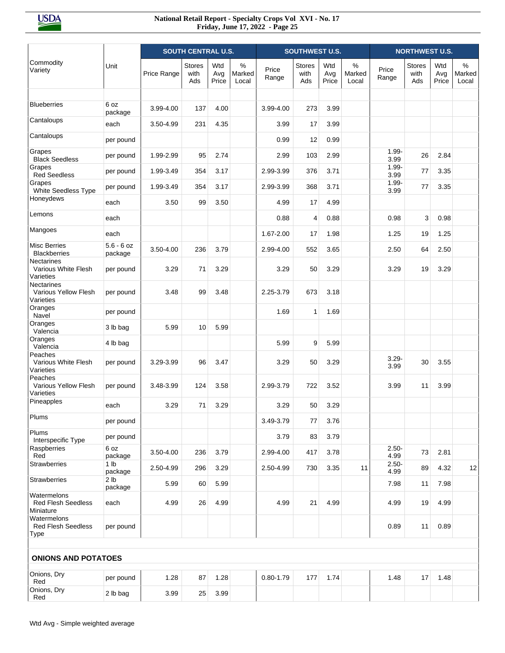|                                                               |                            |             | <b>SOUTH CENTRAL U.S.</b>    |                     |                                  |                | <b>SOUTHWEST U.S.</b>        |                     |                         |                  | <b>NORTHWEST U.S.</b>        |                     |                      |
|---------------------------------------------------------------|----------------------------|-------------|------------------------------|---------------------|----------------------------------|----------------|------------------------------|---------------------|-------------------------|------------------|------------------------------|---------------------|----------------------|
| Commodity<br>Variety                                          | Unit                       | Price Range | <b>Stores</b><br>with<br>Ads | Wtd<br>Avg<br>Price | $\frac{0}{0}$<br>Marked<br>Local | Price<br>Range | <b>Stores</b><br>with<br>Ads | Wtd<br>Avg<br>Price | $\%$<br>Marked<br>Local | Price<br>Range   | <b>Stores</b><br>with<br>Ads | Wtd<br>Avg<br>Price | %<br>Marked<br>Local |
| <b>Blueberries</b>                                            | 6 oz<br>package            | 3.99-4.00   | 137                          | 4.00                |                                  | 3.99-4.00      | 273                          | 3.99                |                         |                  |                              |                     |                      |
| Cantaloups                                                    | each                       | 3.50-4.99   | 231                          | 4.35                |                                  | 3.99           | 17                           | 3.99                |                         |                  |                              |                     |                      |
| Cantaloups                                                    | per pound                  |             |                              |                     |                                  | 0.99           | 12                           | 0.99                |                         |                  |                              |                     |                      |
| Grapes<br><b>Black Seedless</b>                               | per pound                  | 1.99-2.99   | 95                           | 2.74                |                                  | 2.99           | 103                          | 2.99                |                         | $1.99 -$<br>3.99 | 26                           | 2.84                |                      |
| Grapes<br><b>Red Seedless</b>                                 | per pound                  | 1.99-3.49   | 354                          | 3.17                |                                  | 2.99-3.99      | 376                          | 3.71                |                         | $1.99 -$<br>3.99 | 77                           | 3.35                |                      |
| Grapes<br>White Seedless Type                                 | per pound                  | 1.99-3.49   | 354                          | 3.17                |                                  | 2.99-3.99      | 368                          | 3.71                |                         | $1.99 -$<br>3.99 | 77                           | 3.35                |                      |
| Honeydews                                                     | each                       | 3.50        | 99                           | 3.50                |                                  | 4.99           | 17                           | 4.99                |                         |                  |                              |                     |                      |
| Lemons                                                        | each                       |             |                              |                     |                                  | 0.88           | $\overline{4}$               | 0.88                |                         | 0.98             | 3                            | 0.98                |                      |
| Mangoes                                                       | each                       |             |                              |                     |                                  | 1.67-2.00      | 17                           | 1.98                |                         | 1.25             | 19                           | 1.25                |                      |
| <b>Misc Berries</b><br><b>Blackberries</b>                    | $5.6 - 6$ oz<br>package    | 3.50-4.00   | 236                          | 3.79                |                                  | 2.99-4.00      | 552                          | 3.65                |                         | 2.50             | 64                           | 2.50                |                      |
| <b>Nectarines</b><br>Various White Flesh<br>Varieties         | per pound                  | 3.29        | 71                           | 3.29                |                                  | 3.29           | 50                           | 3.29                |                         | 3.29             | 19                           | 3.29                |                      |
| <b>Nectarines</b><br><b>Various Yellow Flesh</b><br>Varieties | per pound                  | 3.48        | 99                           | 3.48                |                                  | 2.25-3.79      | 673                          | 3.18                |                         |                  |                              |                     |                      |
| Oranges<br>Navel                                              | per pound                  |             |                              |                     |                                  | 1.69           | $\mathbf{1}$                 | 1.69                |                         |                  |                              |                     |                      |
| Oranges<br>Valencia                                           | 3 lb bag                   | 5.99        | 10                           | 5.99                |                                  |                |                              |                     |                         |                  |                              |                     |                      |
| Oranges<br>Valencia                                           | 4 lb bag                   |             |                              |                     |                                  | 5.99           | 9                            | 5.99                |                         |                  |                              |                     |                      |
| Peaches<br>Various White Flesh<br>Varieties                   | per pound                  | 3.29-3.99   | 96                           | 3.47                |                                  | 3.29           | 50                           | 3.29                |                         | $3.29 -$<br>3.99 | 30                           | 3.55                |                      |
| Peaches<br>Various Yellow Flesh<br>Varieties                  | per pound                  | 3.48-3.99   | 124                          | 3.58                |                                  | 2.99-3.79      | 722                          | 3.52                |                         | 3.99             | 11                           | 3.99                |                      |
| Pineapples                                                    | each                       | 3.29        | 71                           | 3.29                |                                  | 3.29           | 50                           | 3.29                |                         |                  |                              |                     |                      |
| Plums                                                         | per pound                  |             |                              |                     |                                  | 3.49-3.79      | 77                           | 3.76                |                         |                  |                              |                     |                      |
| Plums<br>Interspecific Type                                   | per pound                  |             |                              |                     |                                  | 3.79           | 83                           | 3.79                |                         |                  |                              |                     |                      |
| Raspberries<br>Red                                            | 6 oz<br>package            | 3.50-4.00   | 236                          | 3.79                |                                  | 2.99-4.00      | 417                          | 3.78                |                         | $2.50 -$<br>4.99 | 73                           | 2.81                |                      |
| <b>Strawberries</b>                                           | 1 <sub>lb</sub><br>package | 2.50-4.99   | 296                          | 3.29                |                                  | 2.50-4.99      | 730                          | 3.35                | 11                      | $2.50 -$<br>4.99 | 89                           | 4.32                | 12                   |
| Strawberries                                                  | 2 <sub>lb</sub><br>package | 5.99        | 60                           | 5.99                |                                  |                |                              |                     |                         | 7.98             | 11                           | 7.98                |                      |
| Watermelons<br><b>Red Flesh Seedless</b><br>Miniature         | each                       | 4.99        | 26                           | 4.99                |                                  | 4.99           | 21                           | 4.99                |                         | 4.99             | 19                           | 4.99                |                      |
| Watermelons<br><b>Red Flesh Seedless</b><br><b>Type</b>       | per pound                  |             |                              |                     |                                  |                |                              |                     |                         | 0.89             | 11                           | 0.89                |                      |
| <b>ONIONS AND POTATOES</b>                                    |                            |             |                              |                     |                                  |                |                              |                     |                         |                  |                              |                     |                      |
| Onions, Dry<br>Red                                            | per pound                  | 1.28        | 87                           | 1.28                |                                  | $0.80 - 1.79$  | 177                          | 1.74                |                         | 1.48             | 17                           | 1.48                |                      |
| Onions, Dry<br>Red                                            | 2 lb bag                   | 3.99        | 25                           | 3.99                |                                  |                |                              |                     |                         |                  |                              |                     |                      |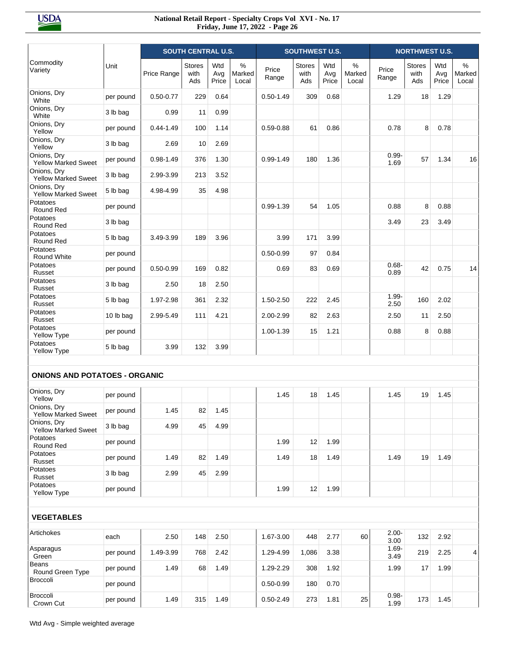|                                           |           |               | <b>SOUTH CENTRAL U.S.</b>    |                     |                                  |                | <b>SOUTHWEST U.S.</b>        |                     |                      |                  | <b>NORTHWEST U.S.</b> |                     |                      |
|-------------------------------------------|-----------|---------------|------------------------------|---------------------|----------------------------------|----------------|------------------------------|---------------------|----------------------|------------------|-----------------------|---------------------|----------------------|
| Commodity<br>Variety                      | Unit      | Price Range   | <b>Stores</b><br>with<br>Ads | Wtd<br>Avg<br>Price | $\frac{0}{0}$<br>Marked<br>Local | Price<br>Range | <b>Stores</b><br>with<br>Ads | Wtd<br>Avg<br>Price | %<br>Marked<br>Local | Price<br>Range   | Stores<br>with<br>Ads | Wtd<br>Avg<br>Price | %<br>Marked<br>Local |
| Onions, Dry<br>White                      | per pound | $0.50 - 0.77$ | 229                          | 0.64                |                                  | $0.50 - 1.49$  | 309                          | 0.68                |                      | 1.29             | 18                    | 1.29                |                      |
| Onions, Dry<br>White                      | 3 lb bag  | 0.99          | 11                           | 0.99                |                                  |                |                              |                     |                      |                  |                       |                     |                      |
| Onions, Dry<br>Yellow                     | per pound | $0.44 - 1.49$ | 100                          | 1.14                |                                  | $0.59 - 0.88$  | 61                           | 0.86                |                      | 0.78             | 8                     | 0.78                |                      |
| Onions, Dry<br>Yellow                     | 3 lb bag  | 2.69          | 10                           | 2.69                |                                  |                |                              |                     |                      |                  |                       |                     |                      |
| Onions, Dry<br><b>Yellow Marked Sweet</b> | per pound | $0.98 - 1.49$ | 376                          | 1.30                |                                  | $0.99 - 1.49$  | 180                          | 1.36                |                      | $0.99 -$<br>1.69 | 57                    | 1.34                | 16                   |
| Onions, Dry<br>Yellow Marked Sweet        | 3 lb bag  | 2.99-3.99     | 213                          | 3.52                |                                  |                |                              |                     |                      |                  |                       |                     |                      |
| Onions, Dry<br><b>Yellow Marked Sweet</b> | 5 lb bag  | 4.98-4.99     | 35                           | 4.98                |                                  |                |                              |                     |                      |                  |                       |                     |                      |
| Potatoes<br>Round Red                     | per pound |               |                              |                     |                                  | $0.99 - 1.39$  | 54                           | 1.05                |                      | 0.88             | 8                     | 0.88                |                      |
| Potatoes<br>Round Red                     | 3 lb bag  |               |                              |                     |                                  |                |                              |                     |                      | 3.49             | 23                    | 3.49                |                      |
| Potatoes<br>Round Red                     | 5 lb bag  | 3.49-3.99     | 189                          | 3.96                |                                  | 3.99           | 171                          | 3.99                |                      |                  |                       |                     |                      |
| Potatoes<br><b>Round White</b>            | per pound |               |                              |                     |                                  | $0.50 - 0.99$  | 97                           | 0.84                |                      |                  |                       |                     |                      |
| Potatoes<br>Russet                        | per pound | $0.50 - 0.99$ | 169                          | 0.82                |                                  | 0.69           | 83                           | 0.69                |                      | $0.68 -$<br>0.89 | 42                    | 0.75                | 14                   |
| Potatoes<br>Russet                        | 3 lb bag  | 2.50          | 18                           | 2.50                |                                  |                |                              |                     |                      |                  |                       |                     |                      |
| Potatoes<br>Russet                        | 5 lb bag  | 1.97-2.98     | 361                          | 2.32                |                                  | 1.50-2.50      | 222                          | 2.45                |                      | $1.99 -$<br>2.50 | 160                   | 2.02                |                      |
| Potatoes<br>Russet                        | 10 lb bag | 2.99-5.49     | 111                          | 4.21                |                                  | 2.00-2.99      | 82                           | 2.63                |                      | 2.50             | 11                    | 2.50                |                      |
| Potatoes<br>Yellow Type                   | per pound |               |                              |                     |                                  | 1.00-1.39      | 15                           | 1.21                |                      | 0.88             | 8                     | 0.88                |                      |
| Potatoes<br>Yellow Type                   | 5 lb bag  | 3.99          | 132                          | 3.99                |                                  |                |                              |                     |                      |                  |                       |                     |                      |
|                                           |           |               |                              |                     |                                  |                |                              |                     |                      |                  |                       |                     |                      |
| <b>ONIONS AND POTATOES - ORGANIC</b>      |           |               |                              |                     |                                  |                |                              |                     |                      |                  |                       |                     |                      |
| Onions, Dry<br>Yellow                     | per pound |               |                              |                     |                                  | 1.45           | 18                           | 1.45                |                      | 1.45             | 19                    | 1.45                |                      |
| Onions, Dry<br><b>Yellow Marked Sweet</b> | per pound | 1.45          | 82                           | 1.45                |                                  |                |                              |                     |                      |                  |                       |                     |                      |
| Onions, Dry<br><b>Yellow Marked Sweet</b> | 3 lb bag  | 4.99          | 45                           | 4.99                |                                  |                |                              |                     |                      |                  |                       |                     |                      |
| Potatoes<br>Round Red                     | per pound |               |                              |                     |                                  | 1.99           | 12                           | 1.99                |                      |                  |                       |                     |                      |
| Potatoes<br>Russet                        | per pound | 1.49          | 82                           | 1.49                |                                  | 1.49           | 18                           | 1.49                |                      | 1.49             | 19                    | 1.49                |                      |
| Potatoes<br>Russet                        | 3 lb bag  | 2.99          | 45                           | 2.99                |                                  |                |                              |                     |                      |                  |                       |                     |                      |
| Potatoes<br>Yellow Type                   | per pound |               |                              |                     |                                  | 1.99           | 12                           | 1.99                |                      |                  |                       |                     |                      |
|                                           |           |               |                              |                     |                                  |                |                              |                     |                      |                  |                       |                     |                      |
| <b>VEGETABLES</b>                         |           |               |                              |                     |                                  |                |                              |                     |                      |                  |                       |                     |                      |
| Artichokes                                | each      | 2.50          | 148                          | 2.50                |                                  | 1.67-3.00      | 448                          | 2.77                | 60                   | $2.00 -$<br>3.00 | 132                   | 2.92                |                      |
| Asparagus<br>Green                        | per pound | 1.49-3.99     | 768                          | 2.42                |                                  | 1.29-4.99      | 1,086                        | 3.38                |                      | $1.69 -$<br>3.49 | 219                   | 2.25                | 4                    |
| Beans<br>Round Green Type                 | per pound | 1.49          | 68                           | 1.49                |                                  | 1.29-2.29      | 308                          | 1.92                |                      | 1.99             | 17                    | 1.99                |                      |
| Broccoli                                  | per pound |               |                              |                     |                                  | $0.50 - 0.99$  | 180                          | 0.70                |                      |                  |                       |                     |                      |
| Broccoli<br>Crown Cut                     | per pound | 1.49          | 315                          | 1.49                |                                  | $0.50 - 2.49$  | 273                          | 1.81                | 25                   | $0.98 -$<br>1.99 | 173                   | 1.45                |                      |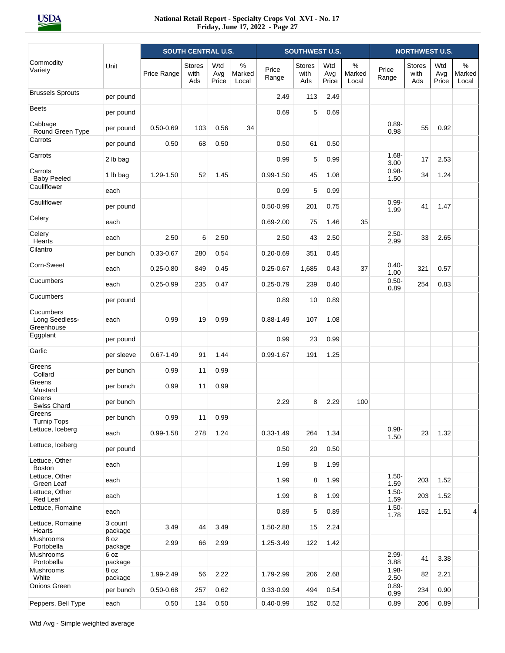|                                           |                    | <b>SOUTH CENTRAL U.S.</b> |                              |                     |                         | <b>SOUTHWEST U.S.</b> |                       |                     | <b>NORTHWEST U.S.</b>   |                  |                              |                     |                         |
|-------------------------------------------|--------------------|---------------------------|------------------------------|---------------------|-------------------------|-----------------------|-----------------------|---------------------|-------------------------|------------------|------------------------------|---------------------|-------------------------|
| Commodity<br>Variety                      | Unit               | Price Range               | <b>Stores</b><br>with<br>Ads | Wtd<br>Avg<br>Price | $\%$<br>Marked<br>Local | Price<br>Range        | Stores<br>with<br>Ads | Wtd<br>Avg<br>Price | $\%$<br>Marked<br>Local | Price<br>Range   | <b>Stores</b><br>with<br>Ads | Wtd<br>Avg<br>Price | $\%$<br>Marked<br>Local |
| <b>Brussels Sprouts</b>                   | per pound          |                           |                              |                     |                         | 2.49                  | 113                   | 2.49                |                         |                  |                              |                     |                         |
| <b>Beets</b>                              | per pound          |                           |                              |                     |                         | 0.69                  | 5                     | 0.69                |                         |                  |                              |                     |                         |
| Cabbage<br>Round Green Type               | per pound          | $0.50 - 0.69$             | 103                          | 0.56                | 34                      |                       |                       |                     |                         | $0.89 -$<br>0.98 | 55                           | 0.92                |                         |
| Carrots                                   | per pound          | 0.50                      | 68                           | 0.50                |                         | 0.50                  | 61                    | 0.50                |                         |                  |                              |                     |                         |
| Carrots                                   | 2 lb bag           |                           |                              |                     |                         | 0.99                  | 5                     | 0.99                |                         | $1.68 -$<br>3.00 | 17                           | 2.53                |                         |
| Carrots<br><b>Baby Peeled</b>             | 1 lb bag           | 1.29-1.50                 | 52                           | 1.45                |                         | $0.99 - 1.50$         | 45                    | 1.08                |                         | $0.98 -$<br>1.50 | 34                           | 1.24                |                         |
| Cauliflower                               | each               |                           |                              |                     |                         | 0.99                  | 5                     | 0.99                |                         |                  |                              |                     |                         |
| Cauliflower                               | per pound          |                           |                              |                     |                         | $0.50 - 0.99$         | 201                   | 0.75                |                         | $0.99 -$<br>1.99 | 41                           | 1.47                |                         |
| Celery                                    | each               |                           |                              |                     |                         | $0.69 - 2.00$         | 75                    | 1.46                | 35                      |                  |                              |                     |                         |
| Celery<br>Hearts                          | each               | 2.50                      | 6                            | 2.50                |                         | 2.50                  | 43                    | 2.50                |                         | $2.50 -$<br>2.99 | 33                           | 2.65                |                         |
| Cilantro                                  | per bunch          | $0.33 - 0.67$             | 280                          | 0.54                |                         | $0.20 - 0.69$         | 351                   | 0.45                |                         |                  |                              |                     |                         |
| Corn-Sweet                                | each               | $0.25 - 0.80$             | 849                          | 0.45                |                         | $0.25 - 0.67$         | 1,685                 | 0.43                | 37                      | $0.40 -$<br>1.00 | 321                          | 0.57                |                         |
| Cucumbers                                 | each               | $0.25 - 0.99$             | 235                          | 0.47                |                         | $0.25 - 0.79$         | 239                   | 0.40                |                         | $0.50 -$<br>0.89 | 254                          | 0.83                |                         |
| Cucumbers                                 | per pound          |                           |                              |                     |                         | 0.89                  | 10                    | 0.89                |                         |                  |                              |                     |                         |
| Cucumbers<br>Long Seedless-<br>Greenhouse | each               | 0.99                      | 19                           | 0.99                |                         | $0.88 - 1.49$         | 107                   | 1.08                |                         |                  |                              |                     |                         |
| Eggplant                                  | per pound          |                           |                              |                     |                         | 0.99                  | 23                    | 0.99                |                         |                  |                              |                     |                         |
| Garlic                                    | per sleeve         | $0.67 - 1.49$             | 91                           | 1.44                |                         | $0.99 - 1.67$         | 191                   | 1.25                |                         |                  |                              |                     |                         |
| Greens<br>Collard                         | per bunch          | 0.99                      | 11                           | 0.99                |                         |                       |                       |                     |                         |                  |                              |                     |                         |
| Greens<br>Mustard                         | per bunch          | 0.99                      | 11                           | 0.99                |                         |                       |                       |                     |                         |                  |                              |                     |                         |
| Greens<br>Swiss Chard                     | per bunch          |                           |                              |                     |                         | 2.29                  | 8                     | 2.29                | 100                     |                  |                              |                     |                         |
| Greens<br><b>Turnip Tops</b>              | per bunch          | 0.99                      | 11                           | 0.99                |                         |                       |                       |                     |                         |                  |                              |                     |                         |
| Lettuce, Iceberg                          | each               | $0.99 - 1.58$             | 278                          | 1.24                |                         | $0.33 - 1.49$         | 264                   | 1.34                |                         | $0.98 -$<br>1.50 | 23                           | 1.32                |                         |
| Lettuce, Iceberg                          | per pound          |                           |                              |                     |                         | 0.50                  | 20                    | 0.50                |                         |                  |                              |                     |                         |
| Lettuce, Other<br>Boston                  | each               |                           |                              |                     |                         | 1.99                  | 8                     | 1.99                |                         |                  |                              |                     |                         |
| Lettuce, Other<br>Green Leaf              | each               |                           |                              |                     |                         | 1.99                  | 8                     | 1.99                |                         | $1.50 -$<br>1.59 | 203                          | 1.52                |                         |
| Lettuce, Other<br>Red Leaf                | each               |                           |                              |                     |                         | 1.99                  | 8                     | 1.99                |                         | $1.50 -$<br>1.59 | 203                          | 1.52                |                         |
| Lettuce, Romaine                          | each               |                           |                              |                     |                         | 0.89                  | 5                     | 0.89                |                         | $1.50 -$<br>1.78 | 152                          | 1.51                | 4                       |
| Lettuce, Romaine<br>Hearts                | 3 count<br>package | 3.49                      | 44                           | 3.49                |                         | 1.50-2.88             | 15                    | 2.24                |                         |                  |                              |                     |                         |
| Mushrooms<br>Portobella                   | 8 oz<br>package    | 2.99                      | 66                           | 2.99                |                         | 1.25-3.49             | 122                   | 1.42                |                         |                  |                              |                     |                         |
| Mushrooms<br>Portobella                   | 6 oz<br>package    |                           |                              |                     |                         |                       |                       |                     |                         | $2.99 -$<br>3.88 | 41                           | 3.38                |                         |
| Mushrooms<br>White                        | 8 oz<br>package    | 1.99-2.49                 | 56                           | 2.22                |                         | 1.79-2.99             | 206                   | 2.68                |                         | $1.98 -$<br>2.50 | 82                           | 2.21                |                         |
| Onions Green                              | per bunch          | $0.50 - 0.68$             | 257                          | 0.62                |                         | $0.33 - 0.99$         | 494                   | 0.54                |                         | $0.89 -$<br>0.99 | 234                          | 0.90                |                         |
| Peppers, Bell Type                        | each               | 0.50                      | 134                          | 0.50                |                         | $0.40 - 0.99$         | 152                   | 0.52                |                         | 0.89             | 206                          | 0.89                |                         |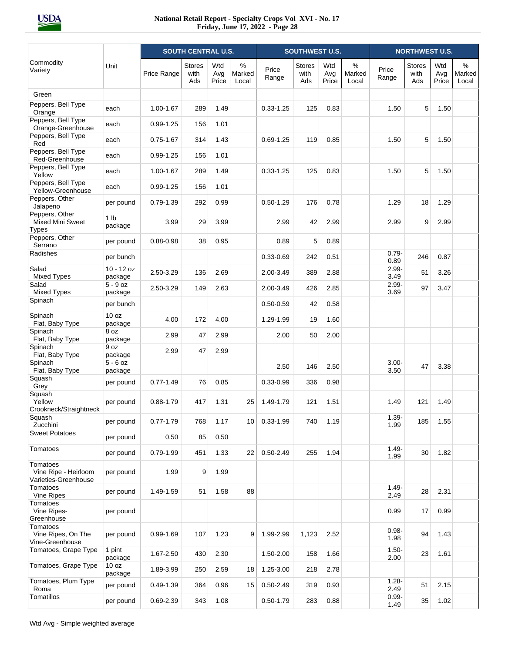|                                                          |                             |               | <b>SOUTH CENTRAL U.S.</b>    |                     |                      |                | <b>SOUTHWEST U.S.</b> |                     |                      |                  | <b>NORTHWEST U.S.</b>        |                     |                         |
|----------------------------------------------------------|-----------------------------|---------------|------------------------------|---------------------|----------------------|----------------|-----------------------|---------------------|----------------------|------------------|------------------------------|---------------------|-------------------------|
| Commodity<br>Variety                                     | Unit                        | Price Range   | <b>Stores</b><br>with<br>Ads | Wtd<br>Avg<br>Price | %<br>Marked<br>Local | Price<br>Range | Stores<br>with<br>Ads | Wtd<br>Avg<br>Price | %<br>Marked<br>Local | Price<br>Range   | <b>Stores</b><br>with<br>Ads | Wtd<br>Avg<br>Price | $\%$<br>Marked<br>Local |
| Green                                                    |                             |               |                              |                     |                      |                |                       |                     |                      |                  |                              |                     |                         |
| Peppers, Bell Type<br>Orange                             | each                        | 1.00-1.67     | 289                          | 1.49                |                      | $0.33 - 1.25$  | 125                   | 0.83                |                      | 1.50             | 5                            | 1.50                |                         |
| Peppers, Bell Type<br>Orange-Greenhouse                  | each                        | $0.99 - 1.25$ | 156                          | 1.01                |                      |                |                       |                     |                      |                  |                              |                     |                         |
| Peppers, Bell Type<br>Red                                | each                        | $0.75 - 1.67$ | 314                          | 1.43                |                      | $0.69 - 1.25$  | 119                   | 0.85                |                      | 1.50             | 5                            | 1.50                |                         |
| Peppers, Bell Type<br>Red-Greenhouse                     | each                        | $0.99 - 1.25$ | 156                          | 1.01                |                      |                |                       |                     |                      |                  |                              |                     |                         |
| Peppers, Bell Type<br>Yellow                             | each                        | 1.00-1.67     | 289                          | 1.49                |                      | $0.33 - 1.25$  | 125                   | 0.83                |                      | 1.50             | 5                            | 1.50                |                         |
| Peppers, Bell Type<br>Yellow-Greenhouse                  | each                        | $0.99 - 1.25$ | 156                          | 1.01                |                      |                |                       |                     |                      |                  |                              |                     |                         |
| Peppers, Other<br>Jalapeno                               | per pound                   | $0.79 - 1.39$ | 292                          | 0.99                |                      | $0.50 - 1.29$  | 176                   | 0.78                |                      | 1.29             | 18                           | 1.29                |                         |
| Peppers, Other<br>Mixed Mini Sweet<br><b>Types</b>       | 1 <sub>lb</sub><br>package  | 3.99          | 29                           | 3.99                |                      | 2.99           | 42                    | 2.99                |                      | 2.99             | 9                            | 2.99                |                         |
| Peppers, Other<br>Serrano                                | per pound                   | $0.88 - 0.98$ | 38                           | 0.95                |                      | 0.89           | 5                     | 0.89                |                      |                  |                              |                     |                         |
| Radishes                                                 | per bunch                   |               |                              |                     |                      | $0.33 - 0.69$  | 242                   | 0.51                |                      | $0.79 -$<br>0.89 | 246                          | 0.87                |                         |
| Salad<br><b>Mixed Types</b>                              | $10 - 12$ oz<br>package     | 2.50-3.29     | 136                          | 2.69                |                      | 2.00-3.49      | 389                   | 2.88                |                      | $2.99 -$<br>3.49 | 51                           | 3.26                |                         |
| Salad<br><b>Mixed Types</b>                              | $5 - 9$ oz<br>package       | 2.50-3.29     | 149                          | 2.63                |                      | 2.00-3.49      | 426                   | 2.85                |                      | $2.99 -$<br>3.69 | 97                           | 3.47                |                         |
| Spinach                                                  | per bunch                   |               |                              |                     |                      | $0.50 - 0.59$  | 42                    | 0.58                |                      |                  |                              |                     |                         |
| Spinach<br>Flat, Baby Type                               | 10 <sub>oz</sub><br>package | 4.00          | 172                          | 4.00                |                      | 1.29-1.99      | 19                    | 1.60                |                      |                  |                              |                     |                         |
| Spinach<br>Flat, Baby Type                               | 8 oz<br>package             | 2.99          | 47                           | 2.99                |                      | 2.00           | 50                    | 2.00                |                      |                  |                              |                     |                         |
| Spinach<br>Flat, Baby Type                               | 9 oz<br>package             | 2.99          | 47                           | 2.99                |                      |                |                       |                     |                      |                  |                              |                     |                         |
| Spinach<br>Flat, Baby Type                               | $5 - 6$ oz<br>package       |               |                              |                     |                      | 2.50           | 146                   | 2.50                |                      | $3.00 -$<br>3.50 | 47                           | 3.38                |                         |
| Squash<br>Grey                                           | per pound                   | $0.77 - 1.49$ | 76                           | 0.85                |                      | $0.33 - 0.99$  | 336                   | 0.98                |                      |                  |                              |                     |                         |
| Squash<br>Yellow<br>Crookneck/Straightneck               | per pound                   | $0.88 - 1.79$ | 417                          | 1.31                | 25                   | 1.49-1.79      | 121                   | 1.51                |                      | 1.49             | 121                          | 1.49                |                         |
| Squash<br>Zucchini                                       | per pound                   | $0.77 - 1.79$ | 768                          | 1.17                | 10                   | $0.33 - 1.99$  | 740                   | 1.19                |                      | $1.39 -$<br>1.99 | 185                          | 1.55                |                         |
| <b>Sweet Potatoes</b>                                    | per pound                   | 0.50          | 85                           | 0.50                |                      |                |                       |                     |                      |                  |                              |                     |                         |
| Tomatoes                                                 | per pound                   | 0.79-1.99     | 451                          | 1.33                | 22                   | $0.50 - 2.49$  | 255                   | 1.94                |                      | $1.49 -$<br>1.99 | 30                           | 1.82                |                         |
| Tomatoes<br>Vine Ripe - Heirloom<br>Varieties-Greenhouse | per pound                   | 1.99          | 9                            | 1.99                |                      |                |                       |                     |                      |                  |                              |                     |                         |
| Tomatoes<br>Vine Ripes                                   | per pound                   | 1.49-1.59     | 51                           | 1.58                | 88                   |                |                       |                     |                      | $1.49 -$<br>2.49 | 28                           | 2.31                |                         |
| Tomatoes<br>Vine Ripes-<br>Greenhouse                    | per pound                   |               |                              |                     |                      |                |                       |                     |                      | 0.99             | 17                           | 0.99                |                         |
| Tomatoes<br>Vine Ripes, On The<br>Vine-Greenhouse        | per pound                   | 0.99-1.69     | 107                          | 1.23                | 9                    | 1.99-2.99      | 1,123                 | 2.52                |                      | $0.98 -$<br>1.98 | 94                           | 1.43                |                         |
| Tomatoes, Grape Type                                     | 1 pint<br>package           | 1.67-2.50     | 430                          | 2.30                |                      | 1.50-2.00      | 158                   | 1.66                |                      | $1.50 -$<br>2.00 | 23                           | 1.61                |                         |
| Tomatoes, Grape Type                                     | 10 oz<br>package            | 1.89-3.99     | 250                          | 2.59                | 18                   | 1.25-3.00      | 218                   | 2.78                |                      |                  |                              |                     |                         |
| Tomatoes, Plum Type<br>Roma                              | per pound                   | $0.49 - 1.39$ | 364                          | 0.96                | 15                   | $0.50 - 2.49$  | 319                   | 0.93                |                      | $1.28 -$<br>2.49 | 51                           | 2.15                |                         |
| Tomatillos                                               | per pound                   | 0.69-2.39     | 343                          | 1.08                |                      | $0.50 - 1.79$  | 283                   | 0.88                |                      | $0.99 -$<br>1.49 | 35                           | 1.02                |                         |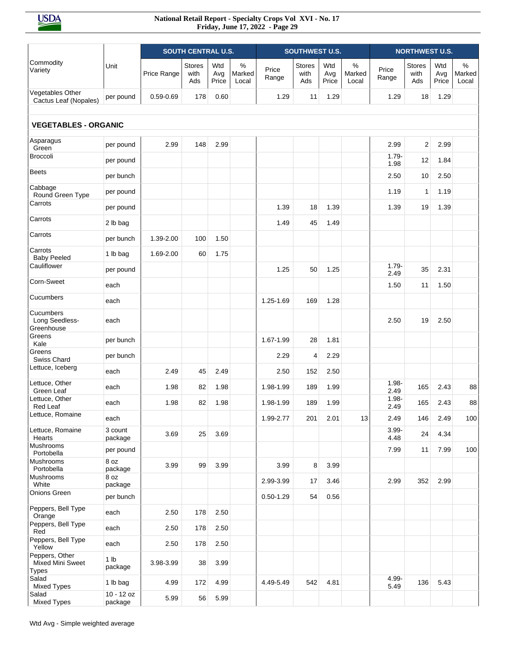|                                                    |                            |               | <b>SOUTH CENTRAL U.S.</b>    |                     |                      |                | <b>SOUTHWEST U.S.</b>        |                     |                      |                  | <b>NORTHWEST U.S.</b>        |                     |                      |
|----------------------------------------------------|----------------------------|---------------|------------------------------|---------------------|----------------------|----------------|------------------------------|---------------------|----------------------|------------------|------------------------------|---------------------|----------------------|
| Commodity<br>Variety                               | Unit                       | Price Range   | <b>Stores</b><br>with<br>Ads | Wtd<br>Avg<br>Price | %<br>Marked<br>Local | Price<br>Range | <b>Stores</b><br>with<br>Ads | Wtd<br>Avg<br>Price | %<br>Marked<br>Local | Price<br>Range   | <b>Stores</b><br>with<br>Ads | Wtd<br>Avg<br>Price | %<br>Marked<br>Local |
| Vegetables Other<br>Cactus Leaf (Nopales)          | per pound                  | $0.59 - 0.69$ | 178                          | 0.60                |                      | 1.29           | 11                           | 1.29                |                      | 1.29             | 18                           | 1.29                |                      |
| <b>VEGETABLES - ORGANIC</b>                        |                            |               |                              |                     |                      |                |                              |                     |                      |                  |                              |                     |                      |
| Asparagus<br>Green                                 | per pound                  | 2.99          | 148                          | 2.99                |                      |                |                              |                     |                      | 2.99             | 2                            | 2.99                |                      |
| <b>Broccoli</b>                                    | per pound                  |               |                              |                     |                      |                |                              |                     |                      | $1.79 -$<br>1.98 | 12                           | 1.84                |                      |
| <b>Beets</b>                                       | per bunch                  |               |                              |                     |                      |                |                              |                     |                      | 2.50             | 10                           | 2.50                |                      |
| Cabbage<br>Round Green Type                        | per pound                  |               |                              |                     |                      |                |                              |                     |                      | 1.19             | $\mathbf{1}$                 | 1.19                |                      |
| Carrots                                            | per pound                  |               |                              |                     |                      | 1.39           | 18                           | 1.39                |                      | 1.39             | 19                           | 1.39                |                      |
| Carrots                                            | 2 lb bag                   |               |                              |                     |                      | 1.49           | 45                           | 1.49                |                      |                  |                              |                     |                      |
| Carrots                                            | per bunch                  | 1.39-2.00     | 100                          | 1.50                |                      |                |                              |                     |                      |                  |                              |                     |                      |
| Carrots<br><b>Baby Peeled</b>                      | 1 lb bag                   | 1.69-2.00     | 60                           | 1.75                |                      |                |                              |                     |                      |                  |                              |                     |                      |
| Cauliflower                                        | per pound                  |               |                              |                     |                      | 1.25           | 50                           | 1.25                |                      | $1.79 -$<br>2.49 | 35                           | 2.31                |                      |
| Corn-Sweet                                         | each                       |               |                              |                     |                      |                |                              |                     |                      | 1.50             | 11                           | 1.50                |                      |
| Cucumbers                                          | each                       |               |                              |                     |                      | 1.25-1.69      | 169                          | 1.28                |                      |                  |                              |                     |                      |
| Cucumbers<br>Long Seedless-<br>Greenhouse          | each                       |               |                              |                     |                      |                |                              |                     |                      | 2.50             | 19                           | 2.50                |                      |
| Greens<br>Kale                                     | per bunch                  |               |                              |                     |                      | 1.67-1.99      | 28                           | 1.81                |                      |                  |                              |                     |                      |
| Greens<br>Swiss Chard                              | per bunch                  |               |                              |                     |                      | 2.29           | $\overline{4}$               | 2.29                |                      |                  |                              |                     |                      |
| Lettuce, Iceberg                                   | each                       | 2.49          | 45                           | 2.49                |                      | 2.50           | 152                          | 2.50                |                      |                  |                              |                     |                      |
| Lettuce, Other<br>Green Leaf                       | each                       | 1.98          | 82                           | 1.98                |                      | 1.98-1.99      | 189                          | 1.99                |                      | $1.98 -$<br>2.49 | 165                          | 2.43                | 88                   |
| Lettuce, Other<br>Red Leaf                         | each                       | 1.98          | 82                           | 1.98                |                      | 1.98-1.99      | 189                          | 1.99                |                      | $1.98 -$<br>2.49 | 165                          | 2.43                | 88                   |
| Lettuce, Romaine                                   | each                       |               |                              |                     |                      | 1.99-2.77      | 201                          | 2.01                | 13                   | 2.49             | 146                          | 2.49                | 100                  |
| Lettuce, Romaine<br>Hearts                         | 3 count<br>package         | 3.69          | 25                           | 3.69                |                      |                |                              |                     |                      | $3.99 -$<br>4.48 | 24                           | 4.34                |                      |
| Mushrooms<br>Portobella                            | per pound                  |               |                              |                     |                      |                |                              |                     |                      | 7.99             | 11                           | 7.99                | 100                  |
| Mushrooms<br>Portobella                            | 8 oz<br>package            | 3.99          | 99                           | 3.99                |                      | 3.99           | 8                            | 3.99                |                      |                  |                              |                     |                      |
| Mushrooms<br>White                                 | 8 oz<br>package            |               |                              |                     |                      | 2.99-3.99      | 17                           | 3.46                |                      | 2.99             | 352                          | 2.99                |                      |
| Onions Green                                       | per bunch                  |               |                              |                     |                      | $0.50 - 1.29$  | 54                           | 0.56                |                      |                  |                              |                     |                      |
| Peppers, Bell Type<br>Orange                       | each                       | 2.50          | 178                          | 2.50                |                      |                |                              |                     |                      |                  |                              |                     |                      |
| Peppers, Bell Type<br>Red                          | each                       | 2.50          | 178                          | 2.50                |                      |                |                              |                     |                      |                  |                              |                     |                      |
| Peppers, Bell Type<br>Yellow                       | each                       | 2.50          | 178                          | 2.50                |                      |                |                              |                     |                      |                  |                              |                     |                      |
| Peppers, Other<br>Mixed Mini Sweet<br><b>Types</b> | 1 <sub>lb</sub><br>package | 3.98-3.99     | 38                           | 3.99                |                      |                |                              |                     |                      |                  |                              |                     |                      |
| Salad<br>Mixed Types                               | 1 lb bag                   | 4.99          | 172                          | 4.99                |                      | 4.49-5.49      | 542                          | 4.81                |                      | 4.99-<br>5.49    | 136                          | 5.43                |                      |
| Salad<br><b>Mixed Types</b>                        | 10 - 12 oz<br>package      | 5.99          | 56                           | 5.99                |                      |                |                              |                     |                      |                  |                              |                     |                      |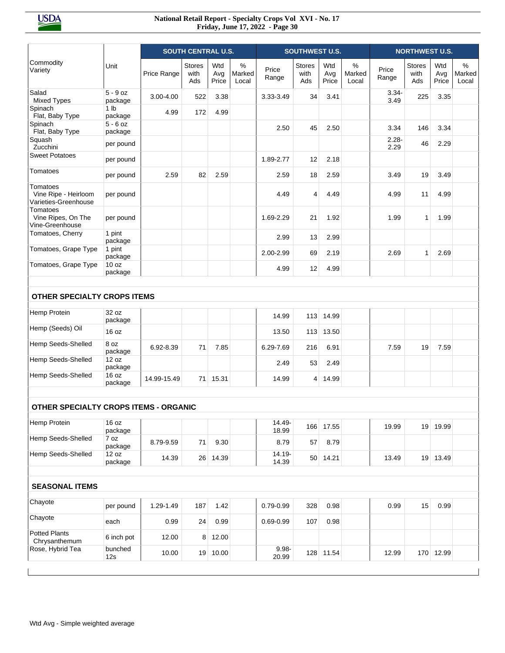|                                                          |                             | <b>SOUTH CENTRAL U.S.</b> |                              |                     |                         |                    | <b>SOUTHWEST U.S.</b>        |                     |                      |                  |                              | <b>NORTHWEST U.S.</b> |                             |  |  |  |
|----------------------------------------------------------|-----------------------------|---------------------------|------------------------------|---------------------|-------------------------|--------------------|------------------------------|---------------------|----------------------|------------------|------------------------------|-----------------------|-----------------------------|--|--|--|
| Commodity<br>Variety                                     | Unit                        | Price Range               | <b>Stores</b><br>with<br>Ads | Wtd<br>Avg<br>Price | $\%$<br>Marked<br>Local | Price<br>Range     | <b>Stores</b><br>with<br>Ads | Wtd<br>Avg<br>Price | %<br>Marked<br>Local | Price<br>Range   | <b>Stores</b><br>with<br>Ads | Wtd<br>Avg<br>Price   | %<br><b>Marked</b><br>Local |  |  |  |
| Salad<br><b>Mixed Types</b>                              | $5 - 9$ oz<br>package       | 3.00-4.00                 | 522                          | 3.38                |                         | 3.33-3.49          | 34                           | 3.41                |                      | $3.34 -$<br>3.49 | 225                          | 3.35                  |                             |  |  |  |
| Spinach<br>Flat, Baby Type                               | 1 <sub>lb</sub><br>package  | 4.99                      | 172                          | 4.99                |                         |                    |                              |                     |                      |                  |                              |                       |                             |  |  |  |
| Spinach<br>Flat, Baby Type                               | $5 - 6$ oz<br>package       |                           |                              |                     |                         | 2.50               | 45                           | 2.50                |                      | 3.34             | 146                          | 3.34                  |                             |  |  |  |
| Squash<br>Zucchini                                       | per pound                   |                           |                              |                     |                         |                    |                              |                     |                      | $2.28 -$<br>2.29 | 46                           | 2.29                  |                             |  |  |  |
| <b>Sweet Potatoes</b>                                    | per pound                   |                           |                              |                     |                         | 1.89-2.77          | 12                           | 2.18                |                      |                  |                              |                       |                             |  |  |  |
| Tomatoes                                                 | per pound                   | 2.59                      | 82                           | 2.59                |                         | 2.59               | 18                           | 2.59                |                      | 3.49             | 19                           | 3.49                  |                             |  |  |  |
| Tomatoes<br>Vine Ripe - Heirloom<br>Varieties-Greenhouse | per pound                   |                           |                              |                     |                         | 4.49               | 4                            | 4.49                |                      | 4.99             | 11                           | 4.99                  |                             |  |  |  |
| Tomatoes<br>Vine Ripes, On The<br>Vine-Greenhouse        | per pound                   |                           |                              |                     |                         | 1.69-2.29          | 21                           | 1.92                |                      | 1.99             | $\mathbf{1}$                 | 1.99                  |                             |  |  |  |
| Tomatoes, Cherry                                         | 1 pint<br>package           |                           |                              |                     |                         | 2.99               | 13                           | 2.99                |                      |                  |                              |                       |                             |  |  |  |
| Tomatoes, Grape Type                                     | 1 pint<br>package           |                           |                              |                     |                         | 2.00-2.99          | 69                           | 2.19                |                      | 2.69             | $\mathbf{1}$                 | 2.69                  |                             |  |  |  |
| Tomatoes, Grape Type                                     | 10 <sub>oz</sub><br>package |                           |                              |                     |                         | 4.99               | 12                           | 4.99                |                      |                  |                              |                       |                             |  |  |  |
| <b>OTHER SPECIALTY CROPS ITEMS</b><br>Hemp Protein       | 32 oz                       |                           |                              |                     |                         | 14.99              | 113                          | 14.99               |                      |                  |                              |                       |                             |  |  |  |
| Hemp (Seeds) Oil                                         | package<br>16 oz            |                           |                              |                     |                         | 13.50              | 113                          | 13.50               |                      |                  |                              |                       |                             |  |  |  |
| Hemp Seeds-Shelled                                       | 8 oz                        | 6.92-8.39                 | 71                           | 7.85                |                         | 6.29-7.69          | 216                          | 6.91                |                      | 7.59             | 19                           | 7.59                  |                             |  |  |  |
| Hemp Seeds-Shelled                                       | package<br>12 oz<br>package |                           |                              |                     |                         | 2.49               | 53                           | 2.49                |                      |                  |                              |                       |                             |  |  |  |
| Hemp Seeds-Shelled                                       | 16 oz<br>package            | 14.99-15.49               | 71                           | 15.31               |                         | 14.99              | 4                            | 14.99               |                      |                  |                              |                       |                             |  |  |  |
|                                                          |                             |                           |                              |                     |                         |                    |                              |                     |                      |                  |                              |                       |                             |  |  |  |
| <b>OTHER SPECIALTY CROPS ITEMS - ORGANIC</b>             | 16 oz                       |                           |                              |                     |                         | 14.49-             |                              |                     |                      |                  |                              |                       |                             |  |  |  |
| Hemp Protein                                             | package                     |                           |                              |                     |                         | 18.99              | 166                          | 17.55               |                      | 19.99            | 19                           | 19.99                 |                             |  |  |  |
| Hemp Seeds-Shelled                                       | 7 oz<br>package             | 8.79-9.59                 | 71                           | 9.30                |                         | 8.79               | 57                           | 8.79                |                      |                  |                              |                       |                             |  |  |  |
| Hemp Seeds-Shelled                                       | 12 oz<br>package            | 14.39                     | 26 <sup>2</sup>              | 14.39               |                         | $14.19 -$<br>14.39 | 50 <sup>°</sup>              | 14.21               |                      | 13.49            | 19                           | 13.49                 |                             |  |  |  |
| <b>SEASONAL ITEMS</b>                                    |                             |                           |                              |                     |                         |                    |                              |                     |                      |                  |                              |                       |                             |  |  |  |
| Chayote                                                  | per pound                   | 1.29-1.49                 | 187                          | 1.42                |                         | $0.79 - 0.99$      | 328                          | 0.98                |                      | 0.99             | 15                           | 0.99                  |                             |  |  |  |
| Chayote                                                  | each                        | 0.99                      | 24                           | 0.99                |                         | $0.69 - 0.99$      | 107                          | 0.98                |                      |                  |                              |                       |                             |  |  |  |
| <b>Potted Plants</b><br>Chrysanthemum                    | 6 inch pot                  | 12.00                     | 8                            | 12.00               |                         |                    |                              |                     |                      |                  |                              |                       |                             |  |  |  |
| Rose, Hybrid Tea                                         | bunched<br>12s              | 10.00                     | 19 <sup>1</sup>              | 10.00               |                         | $9.98 -$<br>20.99  |                              | 128 11.54           |                      | 12.99            |                              | 170 12.99             |                             |  |  |  |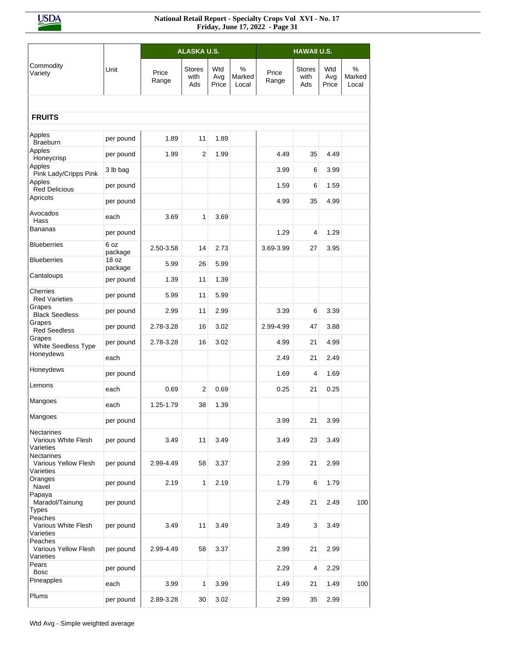|                                                        |                  |                | <b>ALASKA U.S.</b>           |            |                      | <b>HAWAII U.S.</b> |                              |            |                      |  |  |
|--------------------------------------------------------|------------------|----------------|------------------------------|------------|----------------------|--------------------|------------------------------|------------|----------------------|--|--|
| Commodity<br>Variety                                   | Unit             | Price<br>Range | <b>Stores</b><br>with<br>Ads | Wtd<br>Avg | %<br>Marked<br>Local | Price<br>Range     | <b>Stores</b><br>with<br>Ads | Wtd<br>Avg | %<br>Marked<br>Local |  |  |
|                                                        |                  |                |                              | Price      |                      |                    |                              | Price      |                      |  |  |
| <b>FRUITS</b>                                          |                  |                |                              |            |                      |                    |                              |            |                      |  |  |
|                                                        |                  |                |                              |            |                      |                    |                              |            |                      |  |  |
| Apples<br><b>Braeburn</b>                              | per pound        | 1.89           | 11                           | 1.89       |                      |                    |                              |            |                      |  |  |
| Apples<br>Honeycrisp                                   | per pound        | 1.99           | $\overline{2}$               | 1.99       |                      | 4.49               | 35                           | 4.49       |                      |  |  |
| Apples<br>Pink Lady/Cripps Pink                        | 3 lb bag         |                |                              |            |                      | 3.99               | 6                            | 3.99       |                      |  |  |
| Apples<br><b>Red Delicious</b><br>Apricots             | per pound        |                |                              |            |                      | 1.59               | 6                            | 1.59       |                      |  |  |
|                                                        | per pound        |                |                              |            |                      | 4.99               | 35                           | 4.99       |                      |  |  |
| Avocados<br>Hass                                       | each             | 3.69           | $\mathbf{1}$                 | 3.69       |                      |                    |                              |            |                      |  |  |
| Bananas                                                | per pound        |                |                              |            |                      | 1.29               | 4                            | 1.29       |                      |  |  |
| <b>Blueberries</b>                                     | 6 oz<br>package  | 2.50-3.58      | 14                           | 2.73       |                      | 3.69-3.99          | 27                           | 3.95       |                      |  |  |
| <b>Blueberries</b>                                     | 18 oz<br>package | 5.99           | 26                           | 5.99       |                      |                    |                              |            |                      |  |  |
| Cantaloups                                             | per pound        | 1.39           | 11                           | 1.39       |                      |                    |                              |            |                      |  |  |
| Cherries<br><b>Red Varieties</b>                       | per pound        | 5.99           | 11                           | 5.99       |                      |                    |                              |            |                      |  |  |
| Grapes<br><b>Black Seedless</b>                        | per pound        | 2.99           | 11                           | 2.99       |                      | 3.39               | 6                            | 3.39       |                      |  |  |
| Grapes<br><b>Red Seedless</b>                          | per pound        | 2.78-3.28      | 16                           | 3.02       |                      | 2.99-4.99          | 47                           | 3.88       |                      |  |  |
| Grapes<br>White Seedless Type                          | per pound        | 2.78-3.28      | 16                           | 3.02       |                      | 4.99               | 21                           | 4.99       |                      |  |  |
| Honeydews                                              | each             |                |                              |            |                      | 2.49               | 21                           | 2.49       |                      |  |  |
| Honeydews                                              | per pound        |                |                              |            |                      | 1.69               | 4                            | 1.69       |                      |  |  |
| Lemons                                                 | each             | 0.69           | $\overline{2}$               | 0.69       |                      | 0.25               | 21                           | 0.25       |                      |  |  |
| Mangoes                                                | each             | 1.25-1.79      | 38                           | 1.39       |                      |                    |                              |            |                      |  |  |
| Mangoes                                                | per pound        |                |                              |            |                      | 3.99               | 21                           | 3.99       |                      |  |  |
| <b>Nectarines</b><br>Various White Flesh<br>Varieties  | per pound        | 3.49           | 11                           | 3.49       |                      | 3.49               | 23                           | 3.49       |                      |  |  |
| <b>Nectarines</b><br>Various Yellow Flesh<br>Varieties | per pound        | 2.99-4.49      | 58                           | 3.37       |                      | 2.99               | 21                           | 2.99       |                      |  |  |
| Oranges<br>Navel                                       | per pound        | 2.19           | 1                            | 2.19       |                      | 1.79               | 6                            | 1.79       |                      |  |  |
| Papaya<br>Maradol/Tainung<br><b>Types</b>              | per pound        |                |                              |            |                      | 2.49               | 21                           | 2.49       | 100                  |  |  |
| Peaches<br>Various White Flesh<br>Varieties            | per pound        | 3.49           | 11                           | 3.49       |                      | 3.49               | 3                            | 3.49       |                      |  |  |
| Peaches<br>Various Yellow Flesh<br>Varieties           | per pound        | 2.99-4.49      | 58                           | 3.37       |                      | 2.99               | 21                           | 2.99       |                      |  |  |
| Pears<br><b>Bosc</b>                                   | per pound        |                |                              |            |                      | 2.29               | 4                            | 2.29       |                      |  |  |
| Pineapples                                             | each             | 3.99           | 1                            | 3.99       |                      | 1.49               | 21                           | 1.49       | 100                  |  |  |
| Plums                                                  | per pound        | 2.89-3.28      | 30                           | 3.02       |                      | 2.99               | 35                           | 2.99       |                      |  |  |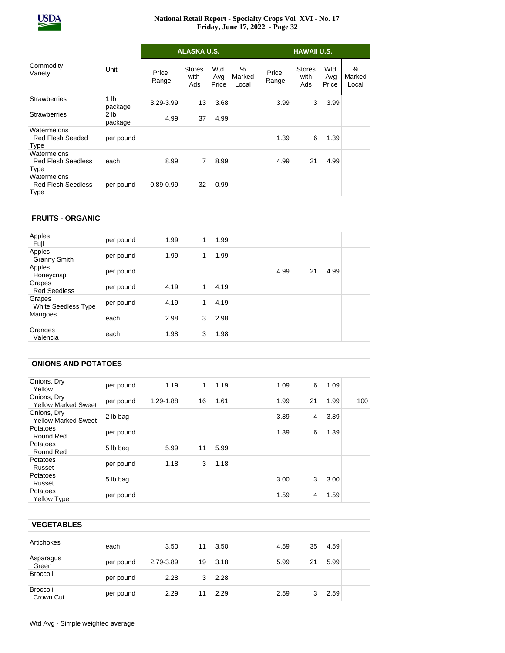|                                                  |                            |                | ALASKA U.S.                  |                     |                      |                | <b>HAWAII U.S.</b>           |                     |                      |
|--------------------------------------------------|----------------------------|----------------|------------------------------|---------------------|----------------------|----------------|------------------------------|---------------------|----------------------|
|                                                  |                            |                |                              |                     |                      |                |                              |                     |                      |
| Commodity<br>Variety                             | Unit                       | Price<br>Range | <b>Stores</b><br>with<br>Ads | Wtd<br>Avg<br>Price | %<br>Marked<br>Local | Price<br>Range | <b>Stores</b><br>with<br>Ads | Wtd<br>Avg<br>Price | %<br>Marked<br>Local |
| <b>Strawberries</b>                              | 1 <sub>lb</sub><br>package | 3.29-3.99      | 13                           | 3.68                |                      | 3.99           | 3                            | 3.99                |                      |
| <b>Strawberries</b>                              | 2 <sub>1b</sub><br>package | 4.99           | 37                           | 4.99                |                      |                |                              |                     |                      |
| Watermelons<br><b>Red Flesh Seeded</b><br>Type   | per pound                  |                |                              |                     |                      | 1.39           | 6                            | 1.39                |                      |
| Watermelons<br><b>Red Flesh Seedless</b><br>Type | each                       | 8.99           | 7                            | 8.99                |                      | 4.99           | 21                           | 4.99                |                      |
| Watermelons<br><b>Red Flesh Seedless</b><br>Type | per pound                  | $0.89 - 0.99$  | 32                           | 0.99                |                      |                |                              |                     |                      |
|                                                  |                            |                |                              |                     |                      |                |                              |                     |                      |
| <b>FRUITS - ORGANIC</b>                          |                            |                |                              |                     |                      |                |                              |                     |                      |
| Apples<br>Fuji                                   | per pound                  | 1.99           | 1                            | 1.99                |                      |                |                              |                     |                      |
| Apples<br><b>Granny Smith</b>                    | per pound                  | 1.99           | $\mathbf{1}$                 | 1.99                |                      |                |                              |                     |                      |
| Apples<br>Honeycrisp                             | per pound                  |                |                              |                     |                      | 4.99           | 21                           | 4.99                |                      |
| Grapes<br><b>Red Seedless</b>                    | per pound                  | 4.19           | 1                            | 4.19                |                      |                |                              |                     |                      |
| Grapes<br>White Seedless Type                    | per pound                  | 4.19           | 1                            | 4.19                |                      |                |                              |                     |                      |
| Mangoes                                          | each                       | 2.98           | 3                            | 2.98                |                      |                |                              |                     |                      |
| Oranges<br>Valencia                              | each                       | 1.98           | 3                            | 1.98                |                      |                |                              |                     |                      |
|                                                  |                            |                |                              |                     |                      |                |                              |                     |                      |
| <b>ONIONS AND POTATOES</b>                       |                            |                |                              |                     |                      |                |                              |                     |                      |
| Onions, Dry<br>Yellow                            | per pound                  | 1.19           | 1                            | 1.19                |                      | 1.09           | 6                            | 1.09                |                      |
| Onions, Dry<br><b>Yellow Marked Sweet</b>        | per pound                  | 1.29-1.88      | 16                           | 1.61                |                      | 1.99           | 21                           | 1.99                | 100                  |
| Onions, Dry<br><b>Yellow Marked Sweet</b>        | 2 lb bag                   |                |                              |                     |                      | 3.89           | 4                            | 3.89                |                      |
| Potatoes<br>Round Red                            | per pound                  |                |                              |                     |                      | 1.39           | 6                            | 1.39                |                      |
| Potatoes<br>Round Red                            | 5 lb bag                   | 5.99           | 11                           | 5.99                |                      |                |                              |                     |                      |
| Potatoes<br>Russet                               | per pound                  | 1.18           | 3                            | 1.18                |                      |                |                              |                     |                      |
| Potatoes<br>Russet                               | 5 lb bag                   |                |                              |                     |                      | 3.00           | 3                            | 3.00                |                      |
| Potatoes<br>Yellow Type                          | per pound                  |                |                              |                     |                      | 1.59           | 4                            | 1.59                |                      |
|                                                  |                            |                |                              |                     |                      |                |                              |                     |                      |
| <b>VEGETABLES</b>                                |                            |                |                              |                     |                      |                |                              |                     |                      |
| Artichokes                                       | each                       | 3.50           | 11                           | 3.50                |                      | 4.59           | 35                           | 4.59                |                      |
| Asparagus<br>Green                               | per pound                  | 2.79-3.89      | 19                           | 3.18                |                      | 5.99           | 21                           | 5.99                |                      |
| Broccoli                                         | per pound                  | 2.28           | 3                            | 2.28                |                      |                |                              |                     |                      |
| Broccoli<br>Crown Cut                            | per pound                  | 2.29           | 11                           | 2.29                |                      | 2.59           | 3                            | 2.59                |                      |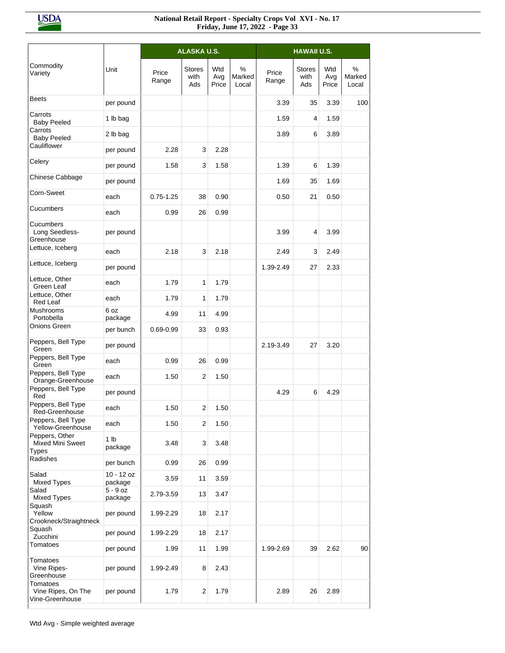|                                                    |                            |                | ALASKA U.S.                  |                     |                      |                |                              |                     |                      |
|----------------------------------------------------|----------------------------|----------------|------------------------------|---------------------|----------------------|----------------|------------------------------|---------------------|----------------------|
| Commodity<br>Variety                               | Unit                       | Price<br>Range | <b>Stores</b><br>with<br>Ads | Wtd<br>Avg<br>Price | %<br>Marked<br>Local | Price<br>Range | <b>Stores</b><br>with<br>Ads | Wtd<br>Avg<br>Price | %<br>Marked<br>Local |
| <b>Beets</b>                                       | per pound                  |                |                              |                     |                      | 3.39           | 35                           | 3.39                | 100                  |
| Carrots<br><b>Baby Peeled</b>                      | 1 lb bag                   |                |                              |                     |                      | 1.59           | 4                            | 1.59                |                      |
| Carrots<br><b>Baby Peeled</b>                      | 2 lb bag                   |                |                              |                     |                      | 3.89           | 6                            | 3.89                |                      |
| Cauliflower                                        | per pound                  | 2.28           | 3                            | 2.28                |                      |                |                              |                     |                      |
| Celery                                             | per pound                  | 1.58           | 3                            | 1.58                |                      | 1.39           | 6                            | 1.39                |                      |
| Chinese Cabbage                                    | per pound                  |                |                              |                     |                      | 1.69           | 35                           | 1.69                |                      |
| Corn-Sweet                                         | each                       | $0.75 - 1.25$  | 38                           | 0.90                |                      | 0.50           | 21                           | 0.50                |                      |
| Cucumbers                                          | each                       | 0.99           | 26                           | 0.99                |                      |                |                              |                     |                      |
| Cucumbers<br>Long Seedless-<br>Greenhouse          | per pound                  |                |                              |                     |                      | 3.99           | 4                            | 3.99                |                      |
| Lettuce, Iceberg                                   | each                       | 2.18           | 3                            | 2.18                |                      | 2.49           | 3                            | 2.49                |                      |
| Lettuce, Iceberg                                   | per pound                  |                |                              |                     |                      | 1.39-2.49      | 27                           | 2.33                |                      |
| Lettuce, Other<br>Green Leaf                       | each                       | 1.79           | $\mathbf{1}$                 | 1.79                |                      |                |                              |                     |                      |
| Lettuce, Other<br>Red Leaf                         | each                       | 1.79           | $\mathbf{1}$                 | 1.79                |                      |                |                              |                     |                      |
| Mushrooms<br>Portobella                            | 6 oz<br>package            | 4.99           | 11                           | 4.99                |                      |                |                              |                     |                      |
| Onions Green                                       | per bunch                  | $0.69 - 0.99$  | 33                           | 0.93                |                      |                |                              |                     |                      |
| Peppers, Bell Type<br>Green                        | per pound                  |                |                              |                     |                      | 2.19-3.49      | 27                           | 3.20                |                      |
| Peppers, Bell Type<br>Green                        | each                       | 0.99           | 26                           | 0.99                |                      |                |                              |                     |                      |
| Peppers, Bell Type<br>Orange-Greenhouse            | each                       | 1.50           | 2                            | 1.50                |                      |                |                              |                     |                      |
| Peppers, Bell Type<br>Red                          | per pound                  |                |                              |                     |                      | 4.29           | 6                            | 4.29                |                      |
| Peppers, Bell Type<br>Red-Greenhouse               | each                       | 1.50           | $\overline{2}$               | 1.50                |                      |                |                              |                     |                      |
| Peppers, Bell Type<br>Yellow-Greenhouse            | each                       | 1.50           | 2                            | 1.50                |                      |                |                              |                     |                      |
| Peppers, Other<br>Mixed Mini Sweet<br><b>Types</b> | 1 <sub>lb</sub><br>package | 3.48           | 3                            | 3.48                |                      |                |                              |                     |                      |
| Radishes                                           | per bunch                  | 0.99           | 26                           | 0.99                |                      |                |                              |                     |                      |
| Salad<br><b>Mixed Types</b>                        | $10 - 12$ oz<br>package    | 3.59           | 11                           | 3.59                |                      |                |                              |                     |                      |
| Salad<br><b>Mixed Types</b>                        | $5 - 9$ oz<br>package      | 2.79-3.59      | 13                           | 3.47                |                      |                |                              |                     |                      |
| Squash<br>Yellow<br>Crookneck/Straightneck         | per pound                  | 1.99-2.29      | 18                           | 2.17                |                      |                |                              |                     |                      |
| Squash<br>Zucchini                                 | per pound                  | 1.99-2.29      | 18                           | 2.17                |                      |                |                              |                     |                      |
| Tomatoes                                           | per pound                  | 1.99           | 11                           | 1.99                |                      | 1.99-2.69      | 39                           | 2.62                | 90                   |
| Tomatoes<br>Vine Ripes-<br>Greenhouse              | per pound                  | 1.99-2.49      | 8                            | 2.43                |                      |                |                              |                     |                      |
| Tomatoes<br>Vine Ripes, On The<br>Vine-Greenhouse  | per pound                  | 1.79           | 2                            | 1.79                |                      | 2.89           | 26                           | 2.89                |                      |